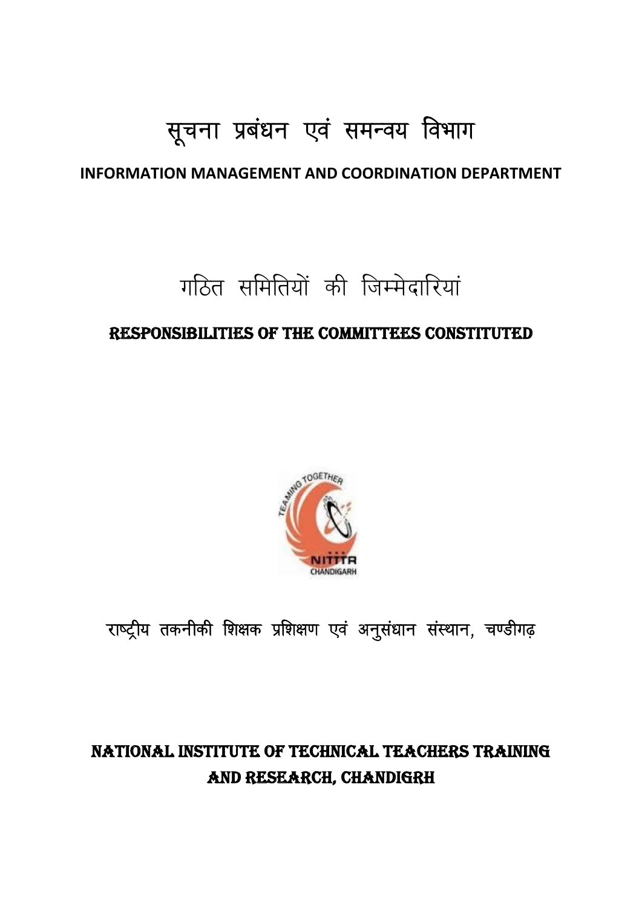# सूचना प्रबंधन एवं समन्वय विभाग

## **INFORMATION MANAGEMENT AND COORDINATION DEPARTMENT**

गठित समितियों की जिम्मेदारियां

## RESPONSIBILITIES OF THE COMMITTEES CONSTITUTED



राष्ट्रीय तकनीकी शिक्षक प्रशिक्षण एवं अनुसंधान संस्थान, चण्डीगढ़

## **NATIONAL INSTITUTE OF TECHNICAL TEACHERS TRAINING** AND RESEARCH, CHANDIGRH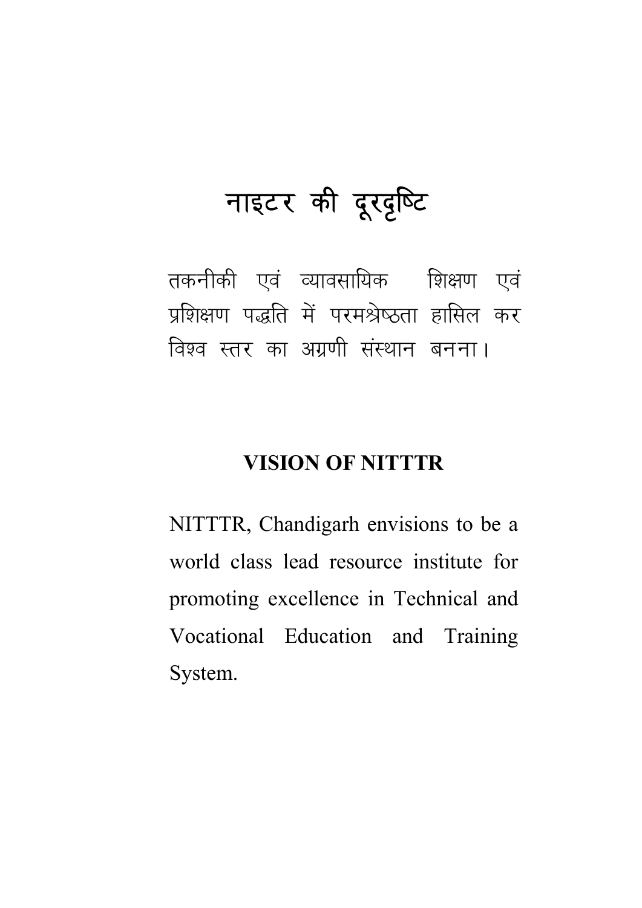# नाइटर की दूरदृष्टि

तकनीकी एवं व्यावसायिक शिक्षण एवं प्रशिक्षण पद्धति में परमश्रेष्ठता हासिल कर विश्व स्तर का अग्रणी संस्थान बनना।

## **VISION OF NITTTR**

NITTTR, Chandigarh envisions to be a world class lead resource institute for promoting excellence in Technical and Vocational Education and Training System.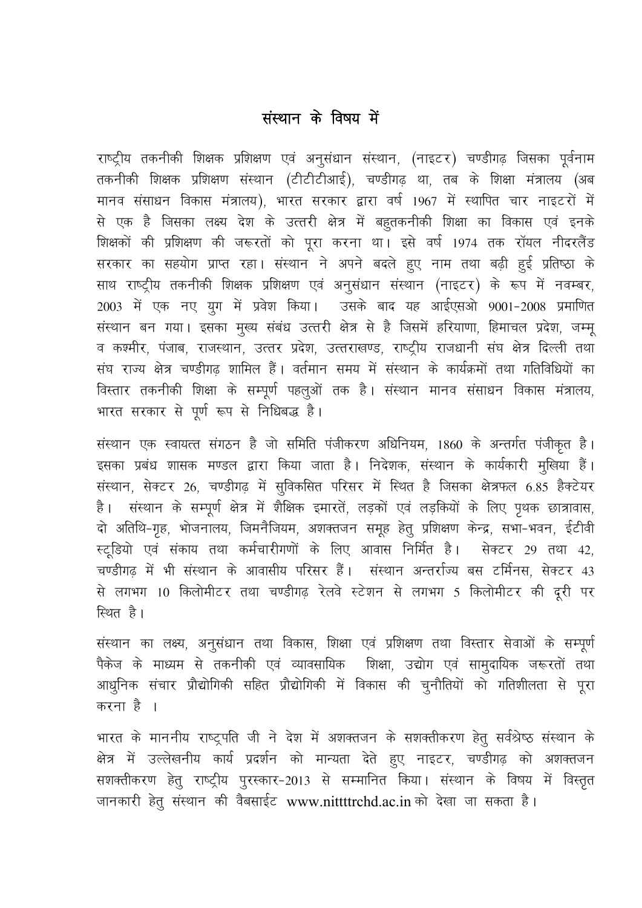## संस्थान के विषय में

राष्ट्रीय तकनीकी शिक्षक प्रशिक्षण एवं अनुसंधान संस्थान, (नाइटर) चण्डीगढ जिसका पूर्वनाम तकनीकी शिक्षक प्रशिक्षण संस्थान (टीटीटीआई), चण्डीगढ़ था, तब के शिक्षा मंत्रालय (अब मानव संसाधन विकास मंत्रालय), भारत सरकार द्वारा वर्ष 1967 में स्थापित चार नाइटरों में से एक है जिसका लक्ष्य देश के उत्तरी क्षेत्र में बहुतकनीकी शिक्षा का विकास एवं इनके शिक्षकों की प्रशिक्षण की जरूरतों को पूरा करना था। इसे वर्ष 1974 तक रॉयल नीदरलैंड सरकार का सहयोग प्राप्त रहा। संस्थान ने अपने बदले हुए नाम तथा बढ़ी हुई प्रतिष्ठा के साथ राष्ट्रीय तकनीकी शिक्षक प्रशिक्षण एवं अनुसंधान संस्थान (नाइटर) के रूप में नवम्बर, 2003 में एक नए युग में प्रवेश किया। उसके बाद यह आईएसओ 9001-2008 प्रमाणित संस्थान बन गया। इसका मुख्य संबंध उत्तरी क्षेत्र से है जिसमें हरियाणा, हिमाचल प्रदेश, जम्मू व कश्मीर, पंजाब, राजस्थान, उत्तर प्रदेश, उत्तराखण्ड, राष्ट्रीय राजधानी संघ क्षेत्र दिल्ली तथा संघ राज्य क्षेत्र चण्डीगढ़ शामिल हैं। वर्तमान समय में संस्थान के कार्यक्रमों तथा गतिविधियों का विस्तार तकनीकी शिक्षा के सम्पूर्ण पहलुओं तक है। संस्थान मानव संसाधन विकास मंत्रालय, भारत सरकार से पूर्ण रूप से निधिबद्ध है।

संस्थान एक स्वायत्त संगठन है जो समिति पंजीकरण अधिनियम, 1860 के अन्तर्गत पंजीकृत है। इसका प्रबंध शासक मण्डल द्वारा किया जाता है। निदेशक, संस्थान के कार्यकारी मुखिया हैं। संस्थान, सेक्टर 26, चण्डीगढ़ में सुविकसित परिसर में स्थित है जिसका क्षेत्रफल 6.85 हैक्टेयर है। संस्थान के सम्पूर्ण क्षेत्र में शैक्षिक इमारतें, लड़कों एवं लड़कियों के लिए पृथक छात्रावास, .<br>दो अतिथि-गृह, भोजनालय, जिमनैजियम, अशक्तजन समूह हेतू प्रशिक्षण केन्द्र, सभा-भवन, ईटीवी स्टूडियो एवं संकाय तथा कर्मचारीगणों के लिए आवास निर्मित है। सेक्टर 29 तथा 42 चण्डीगढ़ में भी संस्थान के आवासीय परिसर हैं। संस्थान अन्तर्राज्य बस टर्मिनस, सेक्टर 43 से लगभग 10 किलोमीटर तथा चण्डीगढ़ रेलवे स्टेशन से लगभग 5 किलोमीटर की दूरी पर स्थित है।

संस्थान का लक्ष्य, अनुसंधान तथा विकास, शिक्षा एवं प्रशिक्षण तथा विस्तार सेवाओं के सम्पूर्ण .<br>पैकेज के माध्यम से तकनीकी एवं व्यावसायिक शिक्षा, उद्योग एवं सामुदायिक जरूरतों तथा आधुनिक संचार प्रौद्योगिकी सहित प्रौद्योगिकी में विकास की चुनौतियों को गतिशीलता से पूरा करना है ।

भारत के माननीय राष्ट्रपति जी ने देश में अशक्तजन के सशक्तीकरण हेतू सर्वश्रेष्ठ संस्थान के क्षेत्र में उल्लेखनीय कार्य प्रदर्शन को मान्यता देते हूए नाइटर, चण्डीगढ़ को अशक्तजन सशक्तीकरण हेतु राष्ट्रीय पुरस्कार-2013 से सम्मानित किया। संस्थान के विषय में विस्तृत जानकारी हेतू संस्थान की वैबसाईट www.nittttrchd.ac.in को देखा जा सकता है।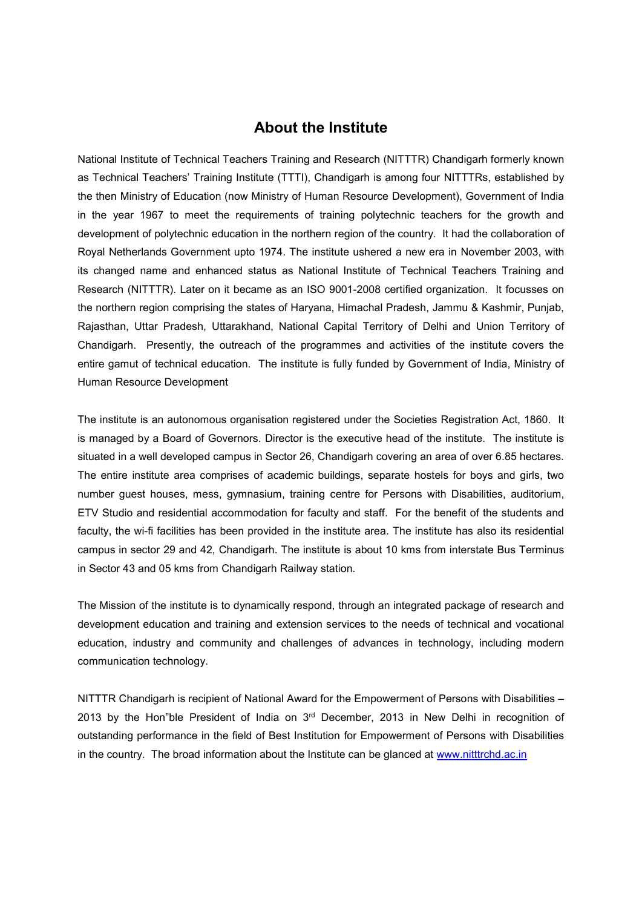#### About the Institute

National Institute of Technical Teachers Training and Research (NITTTR) Chandigarh formerly known as Technical Teachers' Training Institute (TTTI), Chandigarh is among four NITTTRs, established by the then Ministry of Education (now Ministry of Human Resource Development), Government of India in the year 1967 to meet the requirements of training polytechnic teachers for the growth and development of polytechnic education in the northern region of the country. It had the collaboration of Royal Netherlands Government upto 1974. The institute ushered a new era in November 2003, with its changed name and enhanced status as National Institute of Technical Teachers Training and Research (NITTTR). Later on it became as an ISO 9001-2008 certified organization. It focusses on the northern region comprising the states of Haryana, Himachal Pradesh, Jammu & Kashmir, Punjab, Rajasthan, Uttar Pradesh, Uttarakhand, National Capital Territory of Delhi and Union Territory of Chandigarh. Presently, the outreach of the programmes and activities of the institute covers the entire gamut of technical education. The institute is fully funded by Government of India, Ministry of Human Resource Development

The institute is an autonomous organisation registered under the Societies Registration Act, 1860. It is managed by a Board of Governors. Director is the executive head of the institute. The institute is situated in a well developed campus in Sector 26, Chandigarh covering an area of over 6.85 hectares. The entire institute area comprises of academic buildings, separate hostels for boys and girls, two number guest houses, mess, gymnasium, training centre for Persons with Disabilities, auditorium, ETV Studio and residential accommodation for faculty and staff. For the benefit of the students and faculty, the wi-fi facilities has been provided in the institute area. The institute has also its residential campus in sector 29 and 42, Chandigarh. The institute is about 10 kms from interstate Bus Terminus in Sector 43 and 05 kms from Chandigarh Railway station.

The Mission of the institute is to dynamically respond, through an integrated package of research and development education and training and extension services to the needs of technical and vocational education, industry and community and challenges of advances in technology, including modern communication technology.

NITTTR Chandigarh is recipient of National Award for the Empowerment of Persons with Disabilities – 2013 by the Hon"ble President of India on 3rd December, 2013 in New Delhi in recognition of outstanding performance in the field of Best Institution for Empowerment of Persons with Disabilities in the country. The broad information about the Institute can be glanced at [www.nitttrchd.ac.in](http://www.nitttrchd.ac.in/)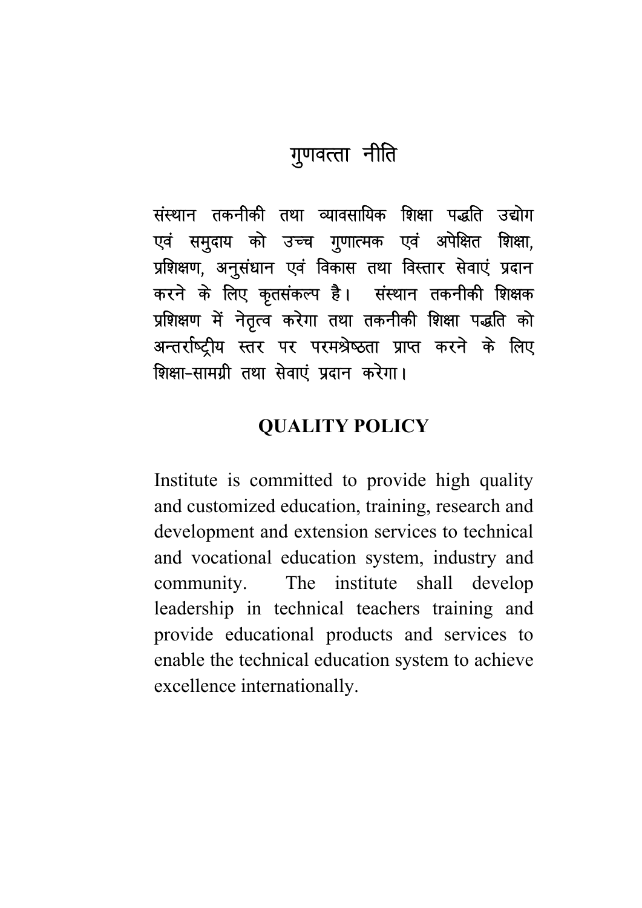## गुणवत्ता नीति

संस्थान तकनीकी तथा व्यावसायिक शिक्षा पद्धति उद्योग एवं समुदाय को उच्च गुणात्मक एवं अपेक्षित शिक्षा, प्रशिक्षण, अनुसंधान एवं विकास तथा विस्तार सेवाएं प्रदान करने के लिए कृतसंकल्प है। संस्थान तकनीकी शिक्षक प्रशिक्षण में नेतृत्व करेगा तथा तकनीकी शिक्षा पद्धति को अन्तर्राष्ट्रीय स्तर पर परमश्रेष्ठता प्राप्त करने के लिए <u> शिक्षा-सामग्री तथा सेवाएं प्रदान करेगा।</u>

## **QUALITY POLICY**

Institute is committed to provide high quality and customized education, training, research and development and extension services to technical and vocational education system, industry and The institute shall community. develop leadership in technical teachers training and provide educational products and services to enable the technical education system to achieve excellence internationally.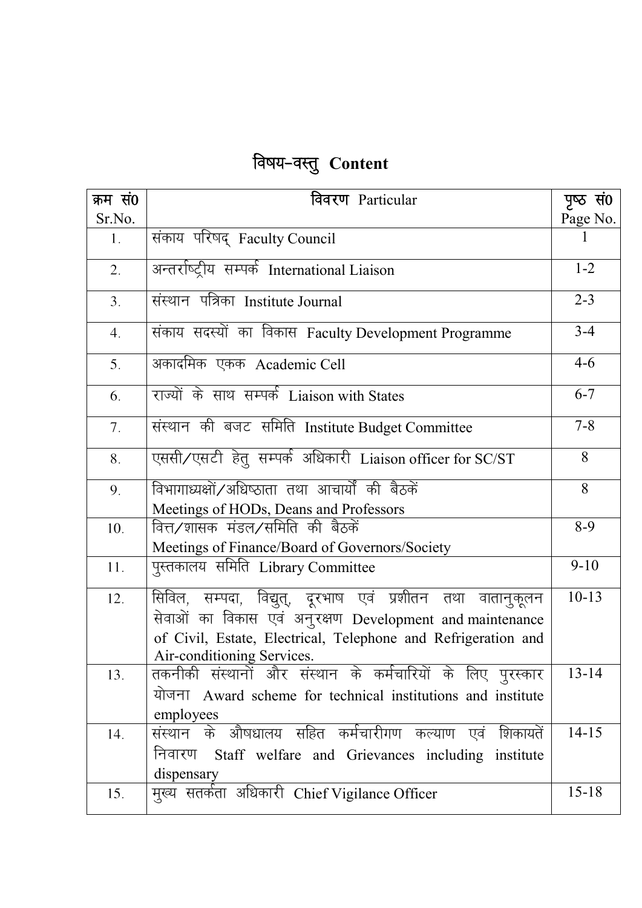## विषय-वस्तु Content

| क्रम सं0       | विवरण Particular                                                                                                                                                                        | पृष्ठ सं0 |
|----------------|-----------------------------------------------------------------------------------------------------------------------------------------------------------------------------------------|-----------|
| Sr.No.         |                                                                                                                                                                                         | Page No.  |
| 1.             | संकाय परिषद् Faculty Council                                                                                                                                                            |           |
| 2.             | अन्तर्राष्ट्रीय सम्पर्क International Liaison                                                                                                                                           | $1 - 2$   |
| 3.             | संस्थान पत्रिका Institute Journal                                                                                                                                                       | $2 - 3$   |
| 4.             | संकाय सदस्यों का विकास Faculty Development Programme                                                                                                                                    | $3 - 4$   |
| 5.             | अकादमिक एकक Academic Cell                                                                                                                                                               | $4 - 6$   |
| 6.             | राज्यों के साथ सम्पर्क Liaison with States                                                                                                                                              | $6 - 7$   |
| 7 <sub>1</sub> | संस्थान की बजट समिति Institute Budget Committee                                                                                                                                         | $7 - 8$   |
| 8.             | एससी/एसटी हेतु सम्पर्क अधिकारी Liaison officer for SC/ST                                                                                                                                | 8         |
| 9.             | विभागाध्यक्षों/अधिष्ठाता तथा आचार्यों की बैठकें                                                                                                                                         | 8         |
|                | Meetings of HODs, Deans and Professors                                                                                                                                                  |           |
| 10.            | वित्त⁄शासक मंडल⁄समिति की बैठकें                                                                                                                                                         | $8-9$     |
|                | Meetings of Finance/Board of Governors/Society                                                                                                                                          |           |
| 11.            | पुस्तकालय समिति Library Committee                                                                                                                                                       | $9 - 10$  |
| 12.            | सिविल, सम्पदा, विद्युत्, दूरभाष एवं प्रशीतन तथा वातानुकूलन<br>सेवाओं का विकास एवं अनुरक्षण Development and maintenance<br>of Civil, Estate, Electrical, Telephone and Refrigeration and | $10-13$   |
| 13.            | Air-conditioning Services.<br>तकनीकी संस्थानों और संस्थान के कर्मचारियों के लिए पुरस्कार<br>Award scheme for technical institutions and institute<br>योजना<br>employees                 | $13 - 14$ |
| 14.            | संस्थान के औषधालय सहित कर्मचारीगण कल्याण एवं शिकायतें<br>निवारण<br>Staff welfare and Grievances including institute<br>dispensary                                                       | $14-15$   |
| 15.            | मुख्य सतर्कता अधिकारी Chief Vigilance Officer                                                                                                                                           | $15 - 18$ |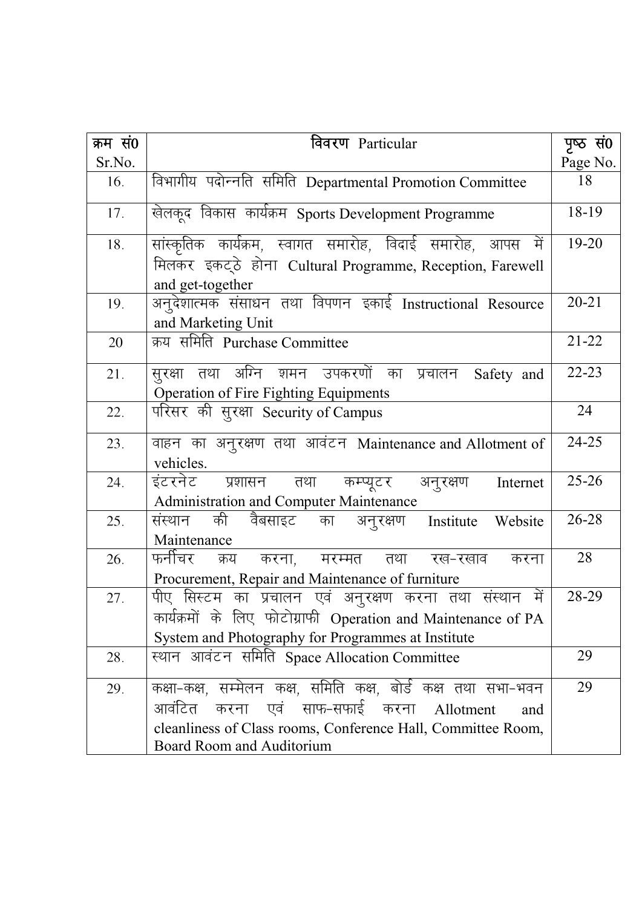| क्रम सं0 | विवरण Particular                                                                                       | पृष्ठ सं0 |
|----------|--------------------------------------------------------------------------------------------------------|-----------|
| Sr.No.   |                                                                                                        | Page No.  |
| 16.      | विभागीय पदोन्नति समिति Departmental Promotion Committee                                                | 18        |
| 17.      | खेलकूद विकास कार्यक्रम Sports Development Programme                                                    | 18-19     |
| 18.      | सांस्कृतिक कार्यक्रम, स्वागत समारोह, विदाई समारोह, आपस में                                             | 19-20     |
|          | मिलकर इकट्ठे होना Cultural Programme, Reception, Farewell<br>and get-together                          |           |
| 19.      | अनुदेशात्मक संसाधन तथा विपणन इकाई Instructional Resource<br>and Marketing Unit                         | $20 - 21$ |
| 20       | क्रय समिति Purchase Committee                                                                          | $21 - 22$ |
| 21.      | सूरक्षा तथा अग्नि शमन उपकरणों का प्रचालन<br>Safety and<br><b>Operation of Fire Fighting Equipments</b> | $22 - 23$ |
| 22.      | परिसर की सुरक्षा Security of Campus                                                                    | 24        |
| 23.      | वाहन का अनुरक्षण तथा आवंटन Maintenance and Allotment of<br>vehicles.                                   | 24-25     |
| 24.      | इंटरनेट प्रशासन तथा कम्प्यूटर अनुरक्षण<br>Internet<br><b>Administration and Computer Maintenance</b>   | $25 - 26$ |
| 25.      | की<br>वैबसाइट का अनुरक्षण Institute<br>संस्थान<br>Website<br>Maintenance                               | 26-28     |
| 26.      | फनींचर<br>क्रय करना, मरम्मत तथा रख-रखाव<br>करना<br>Procurement, Repair and Maintenance of furniture    | 28        |
| 27.      | पीए सिस्टम का प्रचालन एवं अनुरक्षण करना तथा संस्थान में                                                | 28-29     |
|          | कार्यक्रमों के लिए फोटोग्राफी Operation and Maintenance of PA                                          |           |
|          | System and Photography for Programmes at Institute                                                     |           |
| 28.      | स्थान आवंटन समिति Space Allocation Committee                                                           | 29        |
| 29.      | कक्षा-कक्ष, सम्मेलन कक्ष, समिति कक्ष, बोर्ड कक्ष तथा सभा-भवन                                           | 29        |
|          | करना एवं साफ-सफाई करना Allotment<br>आवंटित<br>and                                                      |           |
|          | cleanliness of Class rooms, Conference Hall, Committee Room,                                           |           |
|          | Board Room and Auditorium                                                                              |           |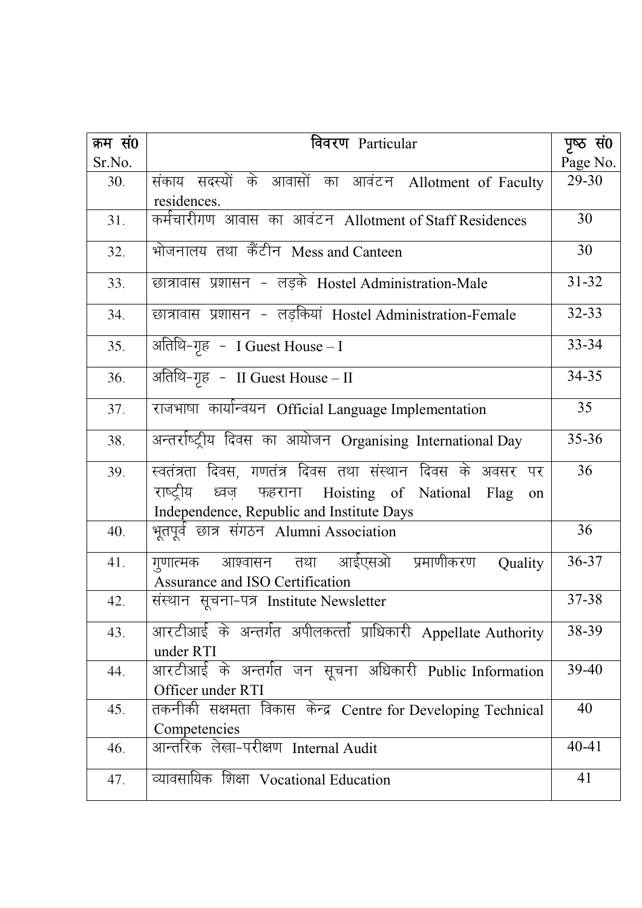| क्रम सं0 | विवरण Particular                                                                                    | पृष्ठ सं0 |
|----------|-----------------------------------------------------------------------------------------------------|-----------|
| Sr.No.   |                                                                                                     | Page No.  |
| 30.      | संकाय सदस्यों के आवासों का आवंटन Allotment of Faculty                                               | 29-30     |
|          | residences.                                                                                         |           |
| 31.      | कर्मचारीगण आवास का आवंटन Allotment of Staff Residences                                              | 30        |
| 32.      | भोजनालय तथा कैंटीन Mess and Canteen                                                                 | 30        |
| 33.      | छात्रावास प्रशासन - लड़के Hostel Administration-Male                                                | $31 - 32$ |
| 34.      | छात्रावास प्रशासन - लड़कियां Hostel Administration-Female                                           | 32-33     |
| 35.      | अतिथि–गृह – I Guest House – I                                                                       | 33-34     |
| 36.      | अतिथि-गृह - II Guest House – II                                                                     | 34-35     |
| 37.      | राजभाषा कार्यान्वयन Official Language Implementation                                                | 35        |
| 38.      | अन्तर्राष्ट्रीय दिवस का आयोजन Organising International Day                                          | $35 - 36$ |
| 39.      | स्वतंत्रता दिवस, गणतंत्र दिवस तथा संस्थान दिवस के अवसर पर                                           | 36        |
|          | राष्ट्रीय ध्वज़ फहराना Hoisting of National Flag<br>on<br>Independence, Republic and Institute Days |           |
| 40.      | भूतपूर्व छात्र संगठन Alumni Association                                                             | 36        |
| 41.      | गुणात्मक आश्वासन तथा आईएसओ प्रमाणीकरण<br>Quality<br>Assurance and ISO Certification                 | 36-37     |
| 42.      | संस्थान सूचना-पत्र Institute Newsletter                                                             | 37-38     |
| 43.      | आरटीआई के अन्तर्गत अपीलकर्त्ता प्राधिकारी Appellate Authority<br>under RTI                          | 38-39     |
| 44.      | आरटीआई के अन्तर्गत जन सूचना अधिकारी Public Information                                              | 39-40     |
|          | Officer under RTI                                                                                   | 40        |
| 45.      | तकनीकी सक्षमता विकास केन्द्र Centre for Developing Technical<br>Competencies                        |           |
| 46.      | आन्तरिक लेखा-परीक्षण Internal Audit                                                                 | $40 - 41$ |
| 47.      | व्यावसायिक शिक्षा Vocational Education                                                              | 41        |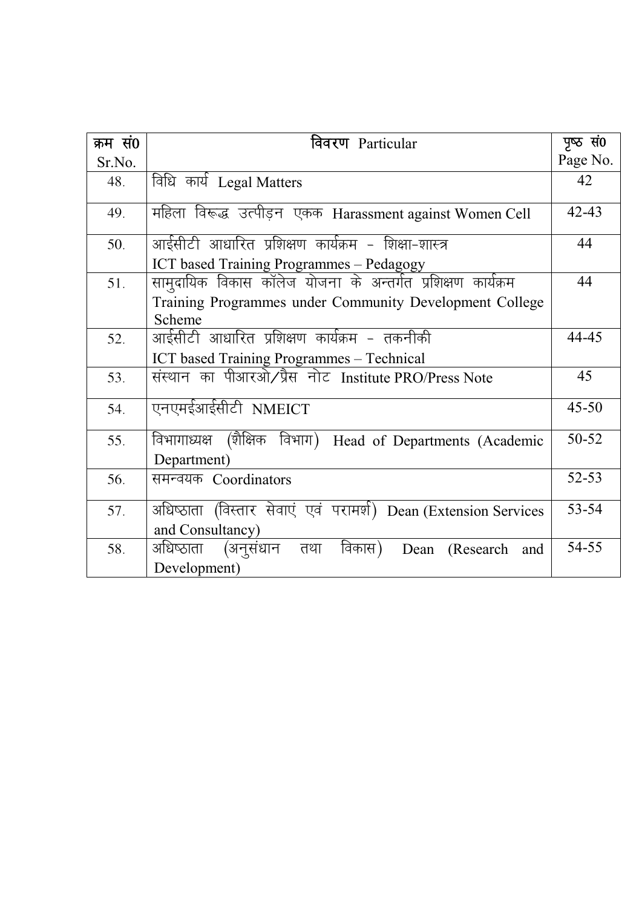| क्रम सं0 | विवरण Particular                                                                    | पृष्ठ सं0 |
|----------|-------------------------------------------------------------------------------------|-----------|
| Sr.No.   |                                                                                     | Page No.  |
| 48.      | विधि कार्य Legal Matters                                                            | 42        |
| 49.      | महिला विरूद्ध उत्पीड़न एकक Harassment against Women Cell                            | $42 - 43$ |
| 50.      | आईसीटी आधारित प्रशिक्षण कार्यक्रम - शिक्षा-शास्त्र                                  | 44        |
|          | ICT based Training Programmes - Pedagogy                                            |           |
| 51.      | सामुदायिक विकास कॉलेज योजना के अन्तर्गत प्रशिक्षण कार्यक्रम                         | 44        |
|          | Training Programmes under Community Development College<br>Scheme                   |           |
| 52.      | आईसीटी आधारित प्रशिक्षण कार्यक्रम - तकनीकी                                          | 44-45     |
|          | ICT based Training Programmes - Technical                                           |           |
| 53.      | संस्थान का पीआरओ/प्रैस नोट Institute PRO/Press Note                                 | 45        |
| 54.      | एनएमईआईसीटी NMEICT                                                                  | $45 - 50$ |
| 55.      | विभागाध्यक्ष (शैक्षिक विभाग) Head of Departments (Academic<br>Department)           | 50-52     |
| 56.      | समन्वयक Coordinators                                                                | $52 - 53$ |
| 57.      | अधिष्ठाता (विस्तार सेवाएं एवं परामर्श) Dean (Extension Services<br>and Consultancy) | 53-54     |
| 58.      | विकास)<br>(अनुसंधान तथा<br>अधिष्ठाता<br>Dean (Research and<br>Development)          | 54-55     |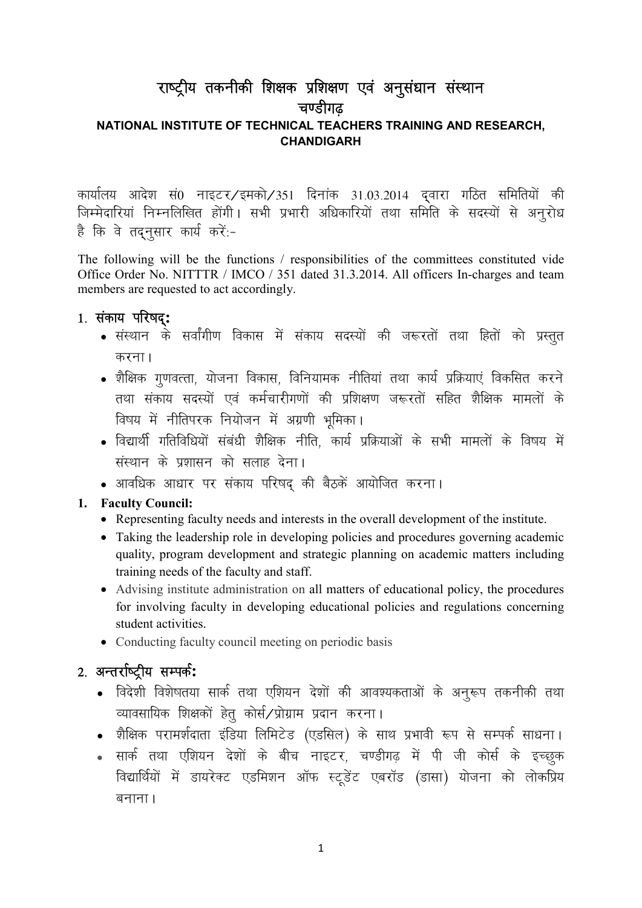## राष्ट्रीय तकनीकी शिक्षक प्रशिक्षण एवं अनुसंधान संस्थान चण्डीगढ NATIONAL INSTITUTE OF TECHNICAL TEACHERS TRAINING AND RESEARCH, **CHANDIGARH**

कार्यालय आदेश सं0 नाइटर/इमको/351 दिनांक 31.03.2014 दवारा गठित समितियों की जिम्मेदारियां निम्नलिखित होंगी। सभी प्रभारी अधिकारियों तथा समिति के सदस्यों से अनुरोध है कि वे तदनसार कार्य करें:-

The following will be the functions / responsibilities of the committees constituted vide Office Order No. NITTTR / IMCO / 351 dated 31.3.2014. All officers In-charges and team members are requested to act accordingly.

#### 1. संकाय परिषद:

- संस्थान के सर्वांगीण विकास में संकाय सदस्यों की जरूरतों तथा हितों को प्रस्तुत करना $<sub>1</sub>$ </sub>
- शैक्षिक गणवत्ता, योजना विकास, विनियामक नीतियां तथा कार्य प्रक्रियाएं विकसित करने तथा संकाय सदस्यों एवं कर्मचारीगणों की प्रशिक्षण जरूरतों सहित शैक्षिक मामलों के विषय में नीतिपरक नियोजन में अग्रणी भमिका।
- विद्यार्थी गतिविधियों संबंधी शैक्षिक नीति, कार्य प्रक्रियाओं के सभी मामलों के विषय में संस्थान के प्रशासन को सलाह देना।
- आवधिक आधार पर संकाय परिषद की बैठकें आयोजित करना।

#### 1. Faculty Council:

- Representing faculty needs and interests in the overall development of the institute.
- Taking the leadership role in developing policies and procedures governing academic quality, program development and strategic planning on academic matters including training needs of the faculty and staff.
- Advising institute administration on all matters of educational policy, the procedures for involving faculty in developing educational policies and regulations concerning student activities.
- Conducting faculty council meeting on periodic basis

## 2. अन्तर्राष्ट्रीय सम्पर्क:

- विदेशी विशेषतया सार्क तथा एशियन देशों की आवश्यकताओं के अनुरूप तकनीकी तथा व्यावसायिक शिक्षकों हेत कोर्स/प्रोग्राम प्रदान करना।
- $\bullet$  शैक्षिक परामर्शदाता इंडिया लिमिटेड (एडसिल) के साथ प्रभावी रूप से सम्पर्क साधना।
- <u>. सार्क तथा एशियन देशों के बीच नाइटर, चण्डीगढ में पी जी कोर्स के इच्छक</u> विद्यार्थियों में डायरेक्ट एडमिशन ऑफ स्टडेंट एबरॉड (डासा) योजना को लोकप्रिय बनाना ।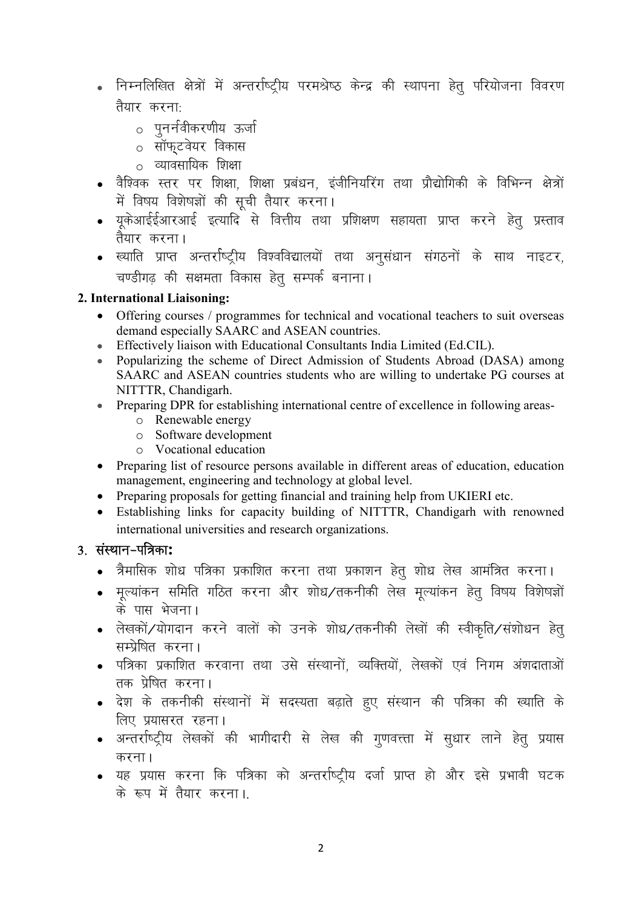- निम्नलिखित क्षेत्रों में अन्तर्राष्ट्रीय परमश्रेष्ठ केन्द्र की स्थापना हेतु परियोजना विवरण तैयार करना:
	- o पुनर्नवीकरणीय ऊर्जा
	- o सॉफ्*टवेयर विकास*
	- $\circ$  व्यावसायिक शिक्षा
- वैश्विक स्तर पर शिक्षा, शिक्षा प्रबंधन, इंजीनियरिंग तथा प्रौद्योगिकी के विभिन्न क्षेत्रों में विषय विशेषज्ञों की सूची तैयार करना।
- यूकेआईईआरआई इत्यादि से वित्तीय तथा प्रशिक्षण सहायता प्राप्त करने हेत् प्रस्ताव तैयार करना।
- ख्याति प्राप्त अन्तर्राष्ट्रीय विश्वविद्यालयों तथा अनुसंधान संगठनों के साथ नाइटर, चण्डीगढ़ की सक्षमता विकास हेतु सम्पर्क बनाना।

#### 2. International Liaisoning:

- Offering courses / programmes for technical and vocational teachers to suit overseas demand especially SAARC and ASEAN countries.
- Effectively liaison with Educational Consultants India Limited (Ed.CIL).
- Popularizing the scheme of Direct Admission of Students Abroad (DASA) among SAARC and ASEAN countries students who are willing to undertake PG courses at NITTTR, Chandigarh.
- Preparing DPR for establishing international centre of excellence in following areas
	- o Renewable energy
	- o Software development
	- o Vocational education
- Preparing list of resource persons available in different areas of education, education management, engineering and technology at global level.
- Preparing proposals for getting financial and training help from UKIERI etc.
- Establishing links for capacity building of NITTTR, Chandigarh with renowned international universities and research organizations.

## 3. संस्थान-पत्रिका:

- त्रैमासिक शोध पत्रिका प्रकाशित करना तथा प्रकाशन हेतु शोध लेख आमंत्रित करना।
- मूल्यांकन समिति गठित करना और शोध⁄तकनीकी लेख मूल्यांकन हेतु विषय विशेषज्ञों के पास भेजना।
- लेखकों/योगदान करने वालों को उनके शोध/तकनीकी लेखों की स्वीकृति/संशोधन हेतु सम्प्रेषित करना।
- पत्रिका प्रकाशित करवाना तथा उसे संस्थानों. व्यक्तियों. लेखकों एवं निगम अंशदाताओं तक प्रेषित करना।
- देश के तकनीकी संस्थानों में सदस्यता बढ़ाते हूए संस्थान की पत्रिका की ख्याति के लिए प्रयासरत रहना।
- अन्तर्राष्ट्रीय लेखकों की भागीदारी से लेख की गूणवत्त्ता में सूधार लाने हेतू प्रयास करना।
- यह प्रयास करना कि पत्रिका को अन्तर्राष्ट्रीय दर्जा प्राप्त हो और इसे प्रभावी घटक के रूप में तैयार करना।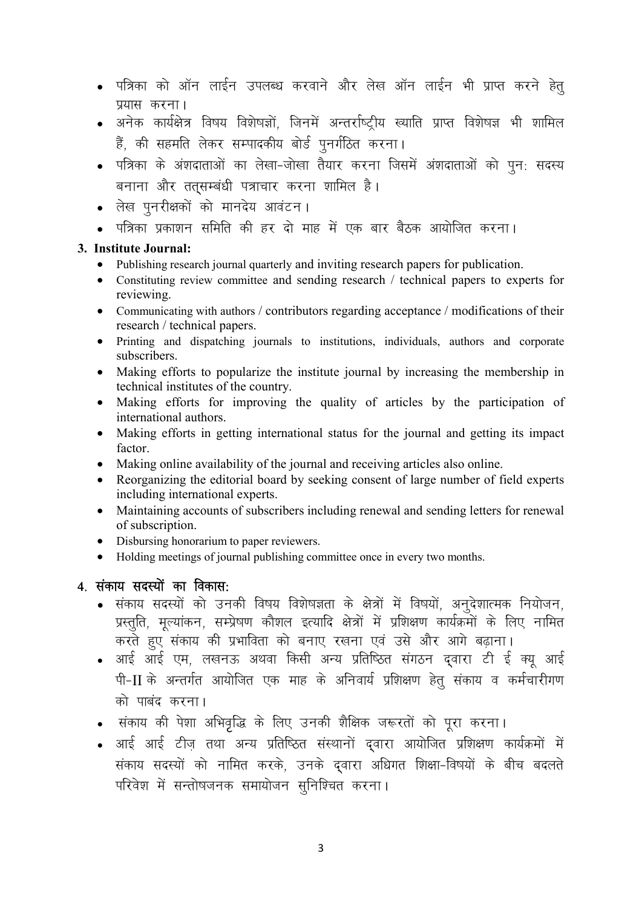- पत्रिका को ऑन लाईन उपलब्ध करवाने और लेख ऑन लाईन भी प्राप्त करने हेतु प्रयास करना।
- अनेक कार्यक्षेत्र विषय विशेषज्ञों. जिनमें अन्तर्राष्ट्रीय ख्याति प्राप्त विशेषज्ञ भी शामिल हैं, की सहमति लेकर सम्पादकीय बोर्ड पूनर्गठित करना।
- पत्रिका के अंशदाताओं का लेखा-जोखा तैयार करना जिसमें अंशदाताओं को पन: सदस्य बनाना और तत्सम्बंधी पत्राचार करना शामिल है।
- लेख पुनरीक्षकों को मानदेय आवंटन।
- पत्रिका प्रकाशन समिति की हर दो माह में एक बार बैठक आयोजित करना।

#### 3. Institute Journal:

- Publishing research journal quarterly and inviting research papers for publication.
- Constituting review committee and sending research / technical papers to experts for reviewing.
- Communicating with authors / contributors regarding acceptance / modifications of their research / technical papers.
- Printing and dispatching journals to institutions, individuals, authors and corporate subscribers.
- Making efforts to popularize the institute journal by increasing the membership in technical institutes of the country.
- Making efforts for improving the quality of articles by the participation of international authors.
- Making efforts in getting international status for the journal and getting its impact factor.
- Making online availability of the journal and receiving articles also online.
- Reorganizing the editorial board by seeking consent of large number of field experts including international experts.
- Maintaining accounts of subscribers including renewal and sending letters for renewal of subscription.
- Disbursing honorarium to paper reviewers.
- Holding meetings of journal publishing committee once in every two months.

#### $4.$  संकाय सदस्यों का विकास:

- संकाय सदस्यों को उनकी विषय विशेषज्ञता के क्षेत्रों में विषयों, अनुदेशात्मक नियोजन, प्रस्तूति, मूल्यांकन, सम्प्रेषण कौशल इत्यादि क्षेत्रों में प्रशिक्षण कार्यक्रमों के लिए नामित करते हुए संकाय की प्रभाविता को बनाए रखना एवं उसे और आगे बढ़ाना।
- आई आई एम, लखनऊ अथवा किसी अन्य प्रतिष्ठित संगठन द्वारा टी ई क्यू आई पी-II के अन्तर्गत आयोजित एक माह के अनिवार्य प्रशिक्षण हेतु संकाय व कर्मचारीगण को पाबंद करना।
- संकाय की पेशा अभिवृद्धि के लिए उनकी शैक्षिक जरूरतों को पूरा करना।
- आई आई टीज तथा अन्य प्रतिष्ठित संस्थानों दवारा आयोजित प्रशिक्षण कार्यक्रमों में संकाय सदस्यों को नामित करके, उनके दवारा अधिगत शिक्षा-विषयों के बीच बदलते परिवेश में सन्तोषजनक समायोजन सूनिश्चित करना।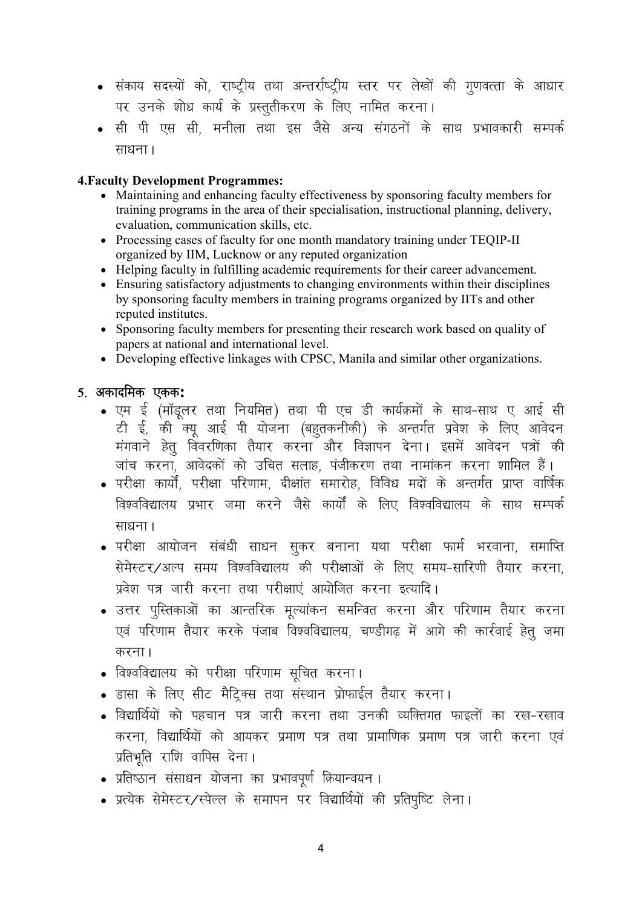- संकाय सदस्यों को, राष्ट्रीय तथा अन्तर्राष्ट्रीय स्तर पर लेखों की गुणवत्ता के आधार पर उनके शोध कार्य के प्रस्तुतीकरण के लिए नामित करना।
- सी पी एस सी, मनीला तथा इस जैसे अन्य संगठनों के साथ प्रभावकारी सम्पर्क साधना ।

#### 4.Faculty Development Programmes:

- Maintaining and enhancing faculty effectiveness by sponsoring faculty members for training programs in the area of their specialisation, instructional planning, delivery, evaluation, communication skills, etc.
- Processing cases of faculty for one month mandatory training under TEQIP-II organized by IIM, Lucknow or any reputed organization
- Helping faculty in fulfilling academic requirements for their career advancement.
- Ensuring satisfactory adjustments to changing environments within their disciplines by sponsoring faculty members in training programs organized by IITs and other reputed institutes.
- Sponsoring faculty members for presenting their research work based on quality of papers at national and international level.
- Developing effective linkages with CPSC, Manila and similar other organizations.

 $5.$  अकादमिक एकक:

- एम ई (मॉडूलर तथा नियमित) तथा पी एच डी कार्यक्रमों के साथ-साथ ए आई सी टी ई, की क्यू आई पी योजना (बहुतकनीकी) के अन्तर्गत प्रवेश के लिए आवेदन मंगवाने हेतू विवरणिका तैयार करना और विज्ञापन देना। इसमें आवेदन पत्रों की जांच करना. आवेदकों को उचित सलाह. पंजीकरण तथा नामांकन करना शामिल हैं।
- …<br>• परीक्षा कार्यों, परीक्षा परिणाम, दीक्षांत समारोह, विविध मदों के अन्तर्गत प्राप्त वार्षिक विश्वविद्यालय प्रभार जमा करने जैसे कार्यों के लिए विश्वविद्यालय के साथ सम्पर्क साधना।
- परीक्षा आयोजन संबंधी साधन सूकर बनाना यथा परीक्षा फार्म भरवाना, समाप्ति सेमेस्टर/अल्प समय विश्वविद्यालय की परीक्षाओं के लिए समय-सारिणी तैयार करना. प्रवेश पत्र जारी करना तथा परीक्षाएं आयोजित करना इत्यादि।
- उत्तर पुस्तिकाओं का आन्तरिक मुल्यांकन समन्वित करना और परिणाम तैयार करना एवं परिणाम तैयार करके पंजाब विश्वविद्यालय, चण्डीगढ़ में आगे की कार्रवाई हेतू जमा करना $<sub>1</sub>$ </sub>
- विश्वविद्यालय को परीक्षा परिणाम सुचित करना।
- $\bullet$  डासा के लिए सीट मैट्रिक्स तथा संस्थान प्रोफाईल तैयार करना।
- विद्यार्थियों को पहचान पत्र जारी करना तथा उनकी व्यक्तिगत फाइलों का रख-रखाव करना, विद्यार्थियों को आयकर प्रमाण पत्र तथा प्रामाणिक प्रमाण पत्र जारी करना एवं प्रतिभति राशि वापिस देना।
- प्रतिष्ठान संसाधन योजना का प्रभावपूर्ण क्रियान्वयन ।
- प्रत्येक सेमेस्टर/स्पेल्ल के समापन पर विद्यार्थियों की प्रतिपष्टि लेना।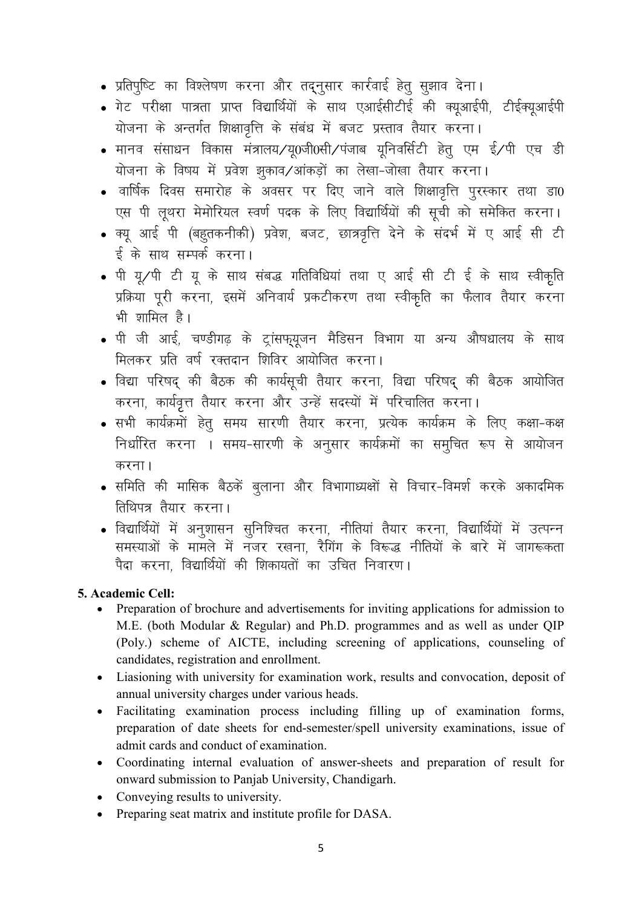- प्रतिपुष्टि का विश्लेषण करना और तद्नुसार कार्रवाई हेतु सुझाव देना।
- गेट परीक्षा पात्रता प्राप्त विद्यार्थियों के साथ एआईसीटीई की क्यूआईपी, टीईक्यूआईपी योजना के अन्तर्गत शिक्षावृत्ति के संबंध में बजट प्रस्ताव तैयार करना।
- मानव संसाधन विकास मंत्रालय⁄य0जी0सी∕पंजाब यनिवर्सिटी हेत एम ई∕पी एच डी योजना के विषय में प्रवेश झुकाव/आंकड़ों का लेखा-जोखा तैयार करना।
- वार्षिक दिवस समारोह के अवसर पर दिए जाने वाले शिक्षावृत्ति पूरस्कार तथा डा0 एस पी लूथरा मेमोरियल स्वर्ण पदक के लिए विद्यार्थियों की सूची को समेकित करना।
- क्यू आई पी (बहुतकनीकी) प्रवेश, बजट, छात्रवृत्ति देने के संदर्भ में ए आई सी टी ई के साथ सम्पर्क करना।
- पी यू⁄पी टी यू के साथ संबद्ध गतिविधियां तथा ए आई सी टी ई के साथ स्वीकृति प्रक्रिया पूरी करना, इसमें अनिवार्य प्रकटीकरण तथा स्वीकृति का फैलाव तैयार करना भी शामिल है।
- पी जी आई, चण्डीगढ़ के ट्रांसफ्यूजन मैडिसन विभाग या अन्य औषधालय के साथ मिलकर प्रति वर्ष रक्तदान शिविर आयोजित करना।
- विद्या परिषद् की बैठक की कार्यसूची तैयार करना, विद्या परिषद् की बैठक आयोजित करना, कार्यवृत्त तैयार करना और उन्हें सदस्यों में परिचालित करना।
- सभी कार्यक्रमों हेतु समय सारणी तैयार करना, प्रत्येक कार्यक्रम के लिए कक्षा-कक्ष निर्धारित करना । समय-सारणी के अनुसार कार्यक्रमों का समुचित रूप से आयोजन करना।
- समिति की मासिक बैठकें बूलाना और विभागाध्यक्षों से विचार-विमर्श करके अकादमिक तिथिपत्र तैयार करना।
- विद्यार्थियों में अनशासन सनिश्चित करना, नीतियां तैयार करना, विद्यार्थियों में उत्पन्न समस्याओं के मामले में नजर रखना. रैगिंग के विरूद्ध नीतियों के बारे में जागरूकता पैदा करना विद्यार्थियों की शिकायतों का उचित निवारण।

#### 5. Academic Cell:

- Preparation of brochure and advertisements for inviting applications for admission to M.E. (both Modular & Regular) and Ph.D. programmes and as well as under QIP (Poly.) scheme of AICTE, including screening of applications, counseling of candidates, registration and enrollment.
- Liasioning with university for examination work, results and convocation, deposit of annual university charges under various heads.
- $\bullet$ Facilitating examination process including filling up of examination forms, preparation of date sheets for end-semester/spell university examinations, issue of admit cards and conduct of examination.
- Coordinating internal evaluation of answer-sheets and preparation of result for onward submission to Panjab University, Chandigarh.
- Conveying results to university.
- Preparing seat matrix and institute profile for DASA.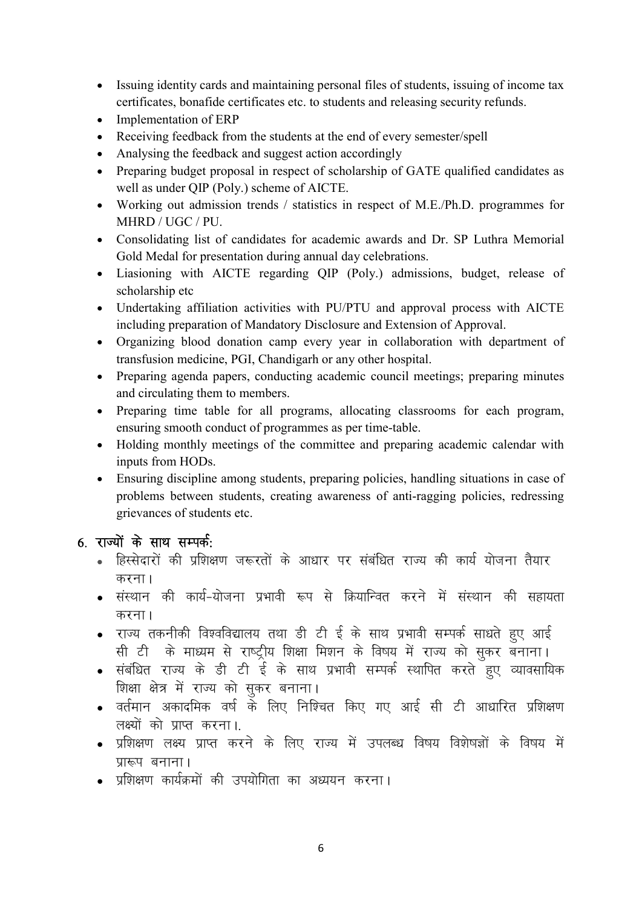- Issuing identity cards and maintaining personal files of students, issuing of income tax certificates, bonafide certificates etc. to students and releasing security refunds.
- Implementation of ERP
- Receiving feedback from the students at the end of every semester/spell
- Analysing the feedback and suggest action accordingly
- Preparing budget proposal in respect of scholarship of GATE qualified candidates as well as under QIP (Poly.) scheme of AICTE.
- Working out admission trends / statistics in respect of M.E./Ph.D. programmes for MHRD / UGC / PU.
- Consolidating list of candidates for academic awards and Dr. SP Luthra Memorial Gold Medal for presentation during annual day celebrations.
- Liasioning with AICTE regarding QIP (Poly.) admissions, budget, release of scholarship etc
- Undertaking affiliation activities with PU/PTU and approval process with AICTE including preparation of Mandatory Disclosure and Extension of Approval.
- Organizing blood donation camp every year in collaboration with department of transfusion medicine, PGI, Chandigarh or any other hospital.
- Preparing agenda papers, conducting academic council meetings; preparing minutes and circulating them to members.
- Preparing time table for all programs, allocating classrooms for each program, ensuring smooth conduct of programmes as per time-table.
- Holding monthly meetings of the committee and preparing academic calendar with inputs from HODs.
- Ensuring discipline among students, preparing policies, handling situations in case of problems between students, creating awareness of anti-ragging policies, redressing grievances of students etc.

## $6.$  राज्यों के साथ सम्पर्क:

- हिस्सेदारों की प्रशिक्षण जरूरतों के आधार पर संबंधित राज्य की कार्य योजना तैयार करना $\overline{\phantom{a}}$
- संस्थान की कार्य-योजना प्रभावी रूप से क्रियान्वित करने में संस्थान की सहायता करना $<sub>1</sub>$ </sub>
- राज्य तकनीकी विश्वविद्यालय तथा डी टी ई के साथ प्रभावी सम्पर्क साधते हुए आई सी टी के माध्यम से राष्ट्रीय शिक्षा मिशन के विषय में राज्य को सूकर बनाना।
- संबंधित राज्य के डी टी ई के साथ प्रभावी सम्पर्क स्थापित करते हूए व्यावसायिक शिक्षा क्षेत्र में राज्य को सुकर बनाना।
- $\bullet$  वर्तमान अकादमिक वर्ष के लिए निश्चित किए गए आई सी टी आधारित प्रशिक्षण लक्ष्यों को प्राप्त करना।
- प्रशिक्षण लक्ष्य प्राप्त करने के लिए राज्य में उपलब्ध विषय विशेषज्ञों के विषय में प्रारूप बनाना।
- प्रशिक्षण कार्यक्रमों की उपयोगिता का अध्ययन करना।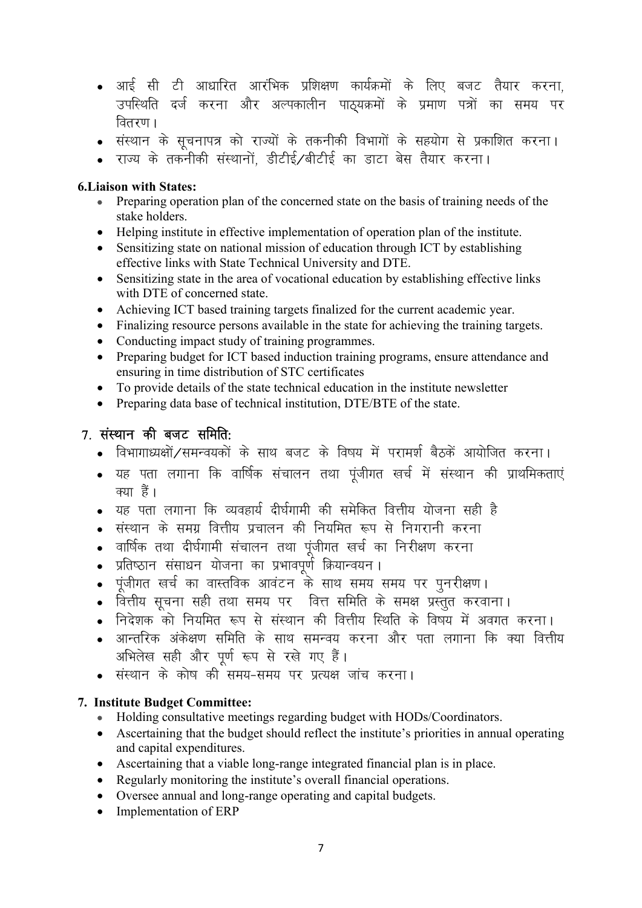- आई सी टी आधारित आरंभिक प्रशिक्षण कार्यक्रमों के लिए बजट तैयार करना. उपस्थिति दर्ज करना और अल्पकालीन पाठ्यक्रमों के प्रमाण पत्रों का समय पर वितरण ।
- संस्थान के सूचनापत्र को राज्यों के तकनीकी विभागों के सहयोग से प्रकाशित करना।
- राज्य के तकनीकी संस्थानों. डीटीई ⁄बीटीई का डाटा बेस तैयार करना**।**

#### 6.Liaison with States:

- Preparing operation plan of the concerned state on the basis of training needs of the stake holders.
- Helping institute in effective implementation of operation plan of the institute.
- Sensitizing state on national mission of education through ICT by establishing effective links with State Technical University and DTE.
- Sensitizing state in the area of vocational education by establishing effective links with DTE of concerned state.
- Achieving ICT based training targets finalized for the current academic year.
- Finalizing resource persons available in the state for achieving the training targets.
- Conducting impact study of training programmes.
- Preparing budget for ICT based induction training programs, ensure attendance and ensuring in time distribution of STC certificates
- To provide details of the state technical education in the institute newsletter
- Preparing data base of technical institution, DTE/BTE of the state.

## $7.$  संस्थान की बजट समिति:

- विभागाध्यक्षों/समन्वयकों के साथ बजट के विषय में परामर्श बैठकें आयोजित करना।
- यह पता लगाना कि वार्षिक संचालन तथा पंजीगत खर्च में संस्थान की प्राथमिकताएं ਰਹਾ ਵੈਂ।
- $\bullet$  यह पता लगाना कि व्यवहार्य दीर्घगामी की समेकित वित्तीय योजना सही है
- संस्थान के समग्र वित्तीय प्रचालन की नियमित रूप से निगरानी करना
- वार्षिक तथा दीर्घगामी संचालन तथा पूंजीगत खर्च का निरीक्षण करना
- ∙ प्रतिष्ठान संसाधन योजना का प्रभावपूर्ण क्रियान्वयन ।
- ∙ पूंजीगत खर्च का वास्तविक आवंटन के साथ समय समय पर पुनरीक्षण ।
- वित्तीय सूचना सही तथा समय पर वित्त समिति के समक्ष प्रस्तुत करवाना।
- निदेशक को नियमित रूप से संस्थान की वित्तीय स्थिति के विषय में अवगत करना।
- आन्तरिक अंकेक्षण समिति के साथ समन्वय करना और पता लगाना कि क्या वित्तीय अभिलेख सही और पूर्ण रूप से रखे गए हैं।
- …<br>■ संस्थान के कोष की समय-समय पर प्रत्यक्ष जांच करना।

#### 7. Institute Budget Committee:

- Holding consultative meetings regarding budget with HODs/Coordinators.
- Ascertaining that the budget should reflect the institute's priorities in annual operating and capital expenditures.
- Ascertaining that a viable long-range integrated financial plan is in place.
- Regularly monitoring the institute's overall financial operations.
- Oversee annual and long-range operating and capital budgets.
- Implementation of ERP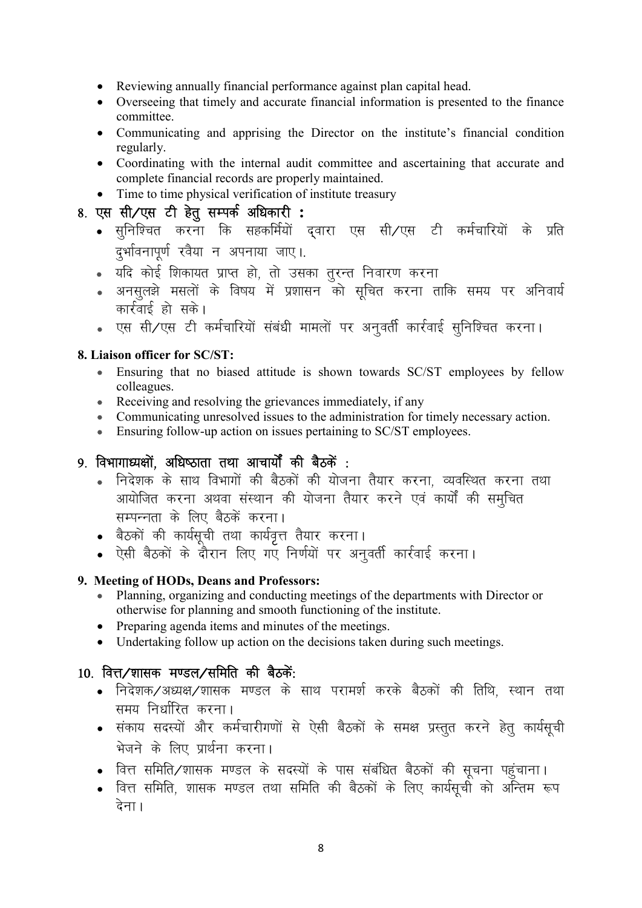- Reviewing annually financial performance against plan capital head.
- Overseeing that timely and accurate financial information is presented to the finance committee.
- Communicating and apprising the Director on the institute's financial condition regularly.
- Coordinating with the internal audit committee and ascertaining that accurate and complete financial records are properly maintained.
- Time to time physical verification of institute treasury

## 8. एस सी/एस टी हेतू सम्पर्क अधिकारी :

- सुनिश्चित करना कि सहकर्मियों दवारा एस सी∕एस टी कर्मचारियों के प्रति दुर्भावनापूर्ण रवैया न अपनाया जाए।.
- यदि कोई शिकायत प्राप्त हो, तो उसका तुरन्त निवारण करना
- अनसुलझे मसलों के विषय में प्रशासन को सूचित करना ताकि समय पर अनिवार्य कार्रवाई हो सके।
- . एस सी/एस टी कर्मचारियों संबंधी मामलों पर अनुवर्ती कार्रवाई सुनिश्चित करना।

#### 8. Liaison officer for SC/ST:

- Ensuring that no biased attitude is shown towards SC/ST employees by fellow colleagues.
- Receiving and resolving the grievances immediately, if any
- Communicating unresolved issues to the administration for timely necessary action.
- Ensuring follow-up action on issues pertaining to SC/ST employees.

## $9.$  विभागाध्यक्षों, अधिष्ठाता तथा आचार्यों की बैठकें :

- निदेशक के साथ विभागों की बैठकों की योजना तैयार करना, व्यवस्थित करना तथा आयोजित करना अथवा संस्थान की योजना तैयार करने एवं कार्यों की समचित सम्पन्नता के लिए बैठकें करना।
- बैठकों की कार्यसूची तथा कार्यवृत्त तैयार करना।
- ऐसी बैठकों के दौरान लिए गए निर्णयों पर अनुवर्ती कार्रवाई करना।

#### 9. Meeting of HODs, Deans and Professors:

- Planning, organizing and conducting meetings of the departments with Director or otherwise for planning and smooth functioning of the institute.
- Preparing agenda items and minutes of the meetings.
- Undertaking follow up action on the decisions taken during such meetings.

## 10. वित्त⁄शासक मण्डल⁄समिति की बैठकें:

- निदेशक/अध्यक्ष/शासक मण्डल के साथ परामर्श करके बैठकों की तिथि. स्थान तथा समय निर्धारित करना।
- संकाय सदस्यों और कर्मचारीगणों से ऐसी बैठकों के समक्ष प्रस्तूत करने हेतू कार्यसूची भेजने के लिए प्रार्थना करना।
- वित्त समिति/शासक मण्डल के सदस्यों के पास संबंधित बैठकों की सूचना पहुंचाना।
- वित्त समिति, शासक मण्डल तथा समिति की बैठकों के लिए कार्यसूची को अन्तिम रूप देना।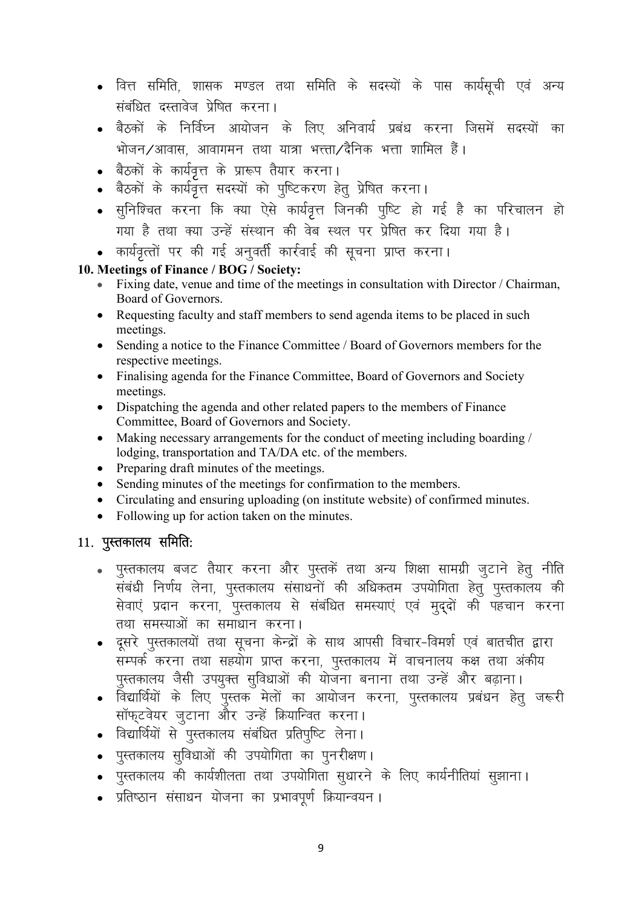- वित्त समिति, शासक मण्डल तथा समिति के सदस्यों के पास कार्यसूची एवं अन्य संबंधित दस्तावेज प्रेषित करना।
- बैठकों के निर्विघ्न आयोजन के लिए अनिवार्य प्रबंध करना जिसमें सदस्यों का भोजन ⁄ आवास आवागमन तथा यात्रा भत्ता ⁄ दैनिक भत्ता ग्रामिल हैं ।
- . बैठकों के कार्यवृत्त के प्रारूप तैयार करना।
- बैठकों के कार्यवृत्त सदस्यों को पुष्टिकरण हेतु प्रेषित करना।
- $\bullet$  सुनिश्चित करना कि क्या ऐसे कार्यवृत्त जिनकी पुष्टि हो गई है का परिचालन हो गया है तथा क्या उन्हें संस्थान की वेब स्थल पर प्रेषित कर दिया गया है।
- कार्यवृत्तों पर की गई अनुवर्ती कार्रवाई की सूचना प्राप्त करना।

#### 10. Meetings of Finance / BOG / Society:

- Fixing date, venue and time of the meetings in consultation with Director / Chairman, Board of Governors.
- Requesting faculty and staff members to send agenda items to be placed in such meetings.
- Sending a notice to the Finance Committee / Board of Governors members for the respective meetings.
- Finalising agenda for the Finance Committee, Board of Governors and Society meetings.
- Dispatching the agenda and other related papers to the members of Finance Committee, Board of Governors and Society.
- Making necessary arrangements for the conduct of meeting including boarding / lodging, transportation and TA/DA etc. of the members.
- Preparing draft minutes of the meetings.
- Sending minutes of the meetings for confirmation to the members.
- Circulating and ensuring uploading (on institute website) of confirmed minutes.
- Following up for action taken on the minutes.

## 11. पुस्तकालय समिति:

- पुस्तकालय बजट तैयार करना और पुस्तकें तथा अन्य शिक्षा सामग्री जुटाने हेतु नीति संबंधी निर्णय लेना, पुस्तकालय संसाधनों की अधिकतम उपयोगिता हेतु पुस्तकालय की सेवाएं प्रदान करना, पुस्तकालय से संबंधित समस्याएं एवं मुद्दों की पहचान करना तथा समस्याओं का समाधान करना।
- दूसरे पुस्तकालयों तथा सूचना केन्द्रों के साथ आपसी विचार-विमर्श एवं बातचीत द्वारा सम्पर्क करना तथा सहयोग प्राप्त करना, पुस्तकालय में वाचनालय कक्ष तथा अंकीय <u>प</u>स्तकालय जैसी उपयक्त सुविधाओं की योजना बनाना तथा उन्हें और बढाना।
- विद्यार्थियों के लिए पुस्तक मेलों का आयोजन करना, पुस्तकालय प्रबंधन हेतु जरूरी सॉफ्टवेयर जुटाना और उन्हें क्रियान्वित करना।
- विद्यार्थियों से पुस्तकालय संबंधित प्रतिपूष्टि लेना।
- पुस्तकालय सूविधाओं की उपयोगिता का पूनरीक्षण।
- पुस्तकालय की कार्यशीलता तथा उपयोगिता सुधारने के लिए कार्यनीतियां सुझाना।
- प्रतिष्ठान संसाधन योजना का प्रभावपर्ण क्रियान्वयन।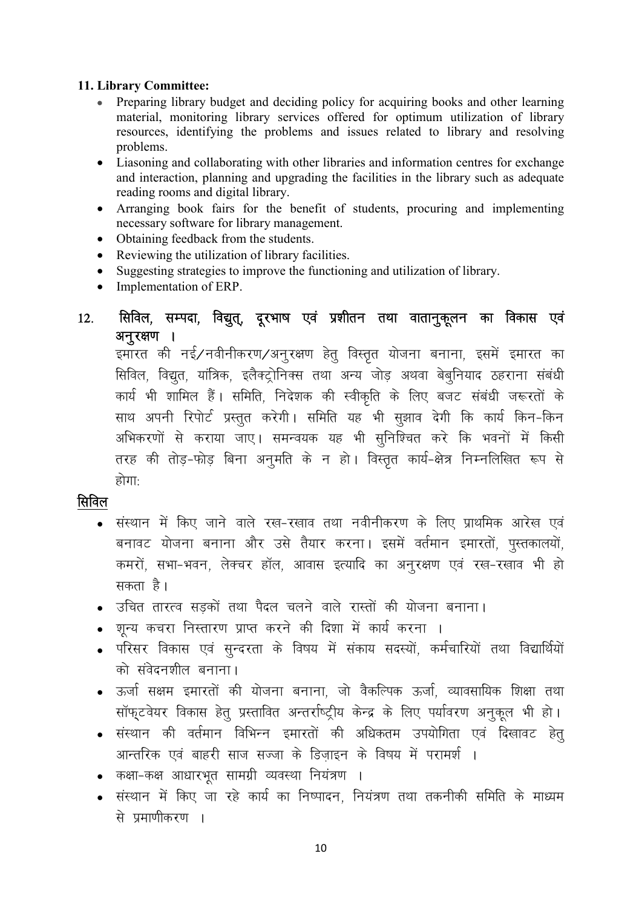#### 11. Library Committee:

- Preparing library budget and deciding policy for acquiring books and other learning  $\bullet$  . material, monitoring library services offered for optimum utilization of library resources, identifying the problems and issues related to library and resolving problems.
- $\bullet$ Liasoning and collaborating with other libraries and information centres for exchange and interaction, planning and upgrading the facilities in the library such as adequate reading rooms and digital library.
- Arranging book fairs for the benefit of students, procuring and implementing  $\bullet$ necessary software for library management.
- $\bullet$ Obtaining feedback from the students.
- Reviewing the utilization of library facilities.  $\bullet$
- Suggesting strategies to improve the functioning and utilization of library.  $\bullet$
- Implementation of ERP.  $\bullet$

#### सिविल, सम्पदा, विद्युत्, दूरभाष एवं प्रशीतन तथा वातानुकूलन का विकास एवं  $12<sub>1</sub>$ अनरक्षण ।

्ञु<br>इमारत की नई∕नवीनीकरण∕अनूरक्षण हेतू विस्तृत योजना बनाना, इसमें इमारत का सिविल, विद्यत, यांत्रिक, इलैक्ट्रोनिक्स तथा अन्य जोड अथवा बेबनियाद ठहराना संबंधी कार्य भी शामिल हैं। समिति, निदेशक की स्वीकृति के लिए बजट संबंधी जरूरतों के साथ अपनी रिपोर्ट प्रस्तूत करेगी। समिति यह भी सूझाव देगी कि कार्य किन-किन अभिकरणों से कराया जाए। समन्वयक यह भी सुनिश्चित करे कि भवनों में किसी तरह की तोड़-फोड़ बिना अनुमति के न हो। विस्तृत कार्य-क्षेत्र निम्नलिखित रूप से होगाः

## सिविल

- संस्थान में किए जाने वाले रख-रखाव तथा नवीनीकरण के लिए प्राथमिक आरेख एवं बनावट योजना बनाना और उसे तैयार करना। इसमें वर्तमान इमारतों, पुस्तकालयों, कमरों, सभा-भवन, लेक्चर हॉल, आवास इत्यादि का अनुरक्षण एवं रख-रखाव भी हो सकता है।
- उचित तारत्व सडकों तथा पैदल चलने वाले रास्तों की योजना बनाना।
- शून्य कचरा निस्तारण प्राप्त करने की दिशा में कार्य करना ।
- परिसर विकास एवं सुन्दरता के विषय में संकाय सदस्यों, कर्मचारियों तथा विद्यार्थियों को संवेदनशील बनाना।
- ऊर्जा सक्षम इमारतों की योजना बनाना, जो वैकल्पिक ऊर्जा, व्यावसायिक शिक्षा तथा सॉफ्टवेयर विकास हेतू प्रस्तावित अन्तर्राष्ट्रीय केन्द्र के लिए पर्यावरण अनूकूल भी हो।
- संस्थान की वर्तमान विभिन्न इमारतों की अधिकतम उपयोगिता एवं दिखावट हेतू आन्तरिक एवं बाहरी साज सज्जा के डिजाइन के विषय में परामर्श ।
- कक्षा-कक्ष आधारभूत सामग्री व्यवस्था नियंत्रण ।
- संस्थान में किए जा रहे कार्य का निष्पादन, नियंत्रण तथा तकनीकी समिति के माध्यम से प्रमाणीकरण ।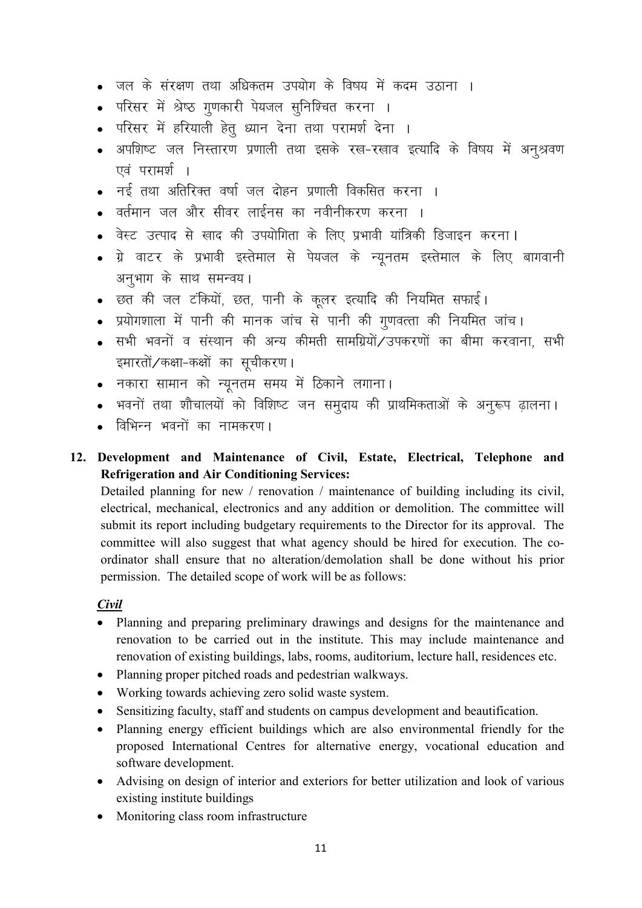- जल के संरक्षण तथा अधिकतम उपयोग के विषय में कदम उठाना ।
- परिसर में श्रेष्ठ गूणकारी पेयजल सुनिश्चित करना ।
- परिसर में हरियाली हेतु ध्यान देना तथा परामर्श देना ।
- अपशिष्ट जल निस्तारण प्रणाली तथा इसके रख-रखाव इत्यादि के विषय में अनश्रवण एवं परामर्श ।
- नई तथा अतिरिक्त वर्षा जल दोहन प्रणाली विकसित करना ।
- वर्तमान जल और सीवर लाईनस का नवीनीकरण करना ।
- वेस्ट उत्पाद से खाद की उपयोगिता के लिए प्रभावी यांत्रिकी डिजाइन करना।
- ग्रे वाटर के प्रभावी इस्तेमाल से पेयजल के न्यूनतम इस्तेमाल के लिए बागवानी अनभाग के साथ समन्वय।
- छत की जल टंकियों, छत, पानी के कूलर इत्यादि की नियमित सफाई।
- प्रयोगशाला में पानी की मानक जांच से पानी की गणवत्ता की नियमित जांच।
- सभी भवनों व संस्थान की अन्य कीमती सामग्रियों/उपकरणों का बीमा करवाना, सभी इमारतों/कक्षा-कक्षों का सुचीकरण।
- नकारा सामान को न्युनतम समय में ठिकाने लगाना।
- भवनों तथा शौचालयों को विशिष्ट जन समूदाय की प्राथमिकताओं के अनूरूप ढ़ालना।
- विभिन्न भवनों का नामकरण।
- 12. Development and Maintenance of Civil, Estate, Electrical, Telephone and **Refrigeration and Air Conditioning Services:**

Detailed planning for new / renovation / maintenance of building including its civil, electrical, mechanical, electronics and any addition or demolition. The committee will submit its report including budgetary requirements to the Director for its approval. The committee will also suggest that what agency should be hired for execution. The coordinator shall ensure that no alteration/demolation shall be done without his prior permission. The detailed scope of work will be as follows:

#### Civil

- Planning and preparing preliminary drawings and designs for the maintenance and renovation to be carried out in the institute. This may include maintenance and renovation of existing buildings, labs, rooms, auditorium, lecture hall, residences etc.
- Planning proper pitched roads and pedestrian walkways.
- Working towards achieving zero solid waste system.
- Sensitizing faculty, staff and students on campus development and beautification.
- Planning energy efficient buildings which are also environmental friendly for the proposed International Centres for alternative energy, vocational education and software development.
- Advising on design of interior and exteriors for better utilization and look of various existing institute buildings
- $\bullet$ Monitoring class room infrastructure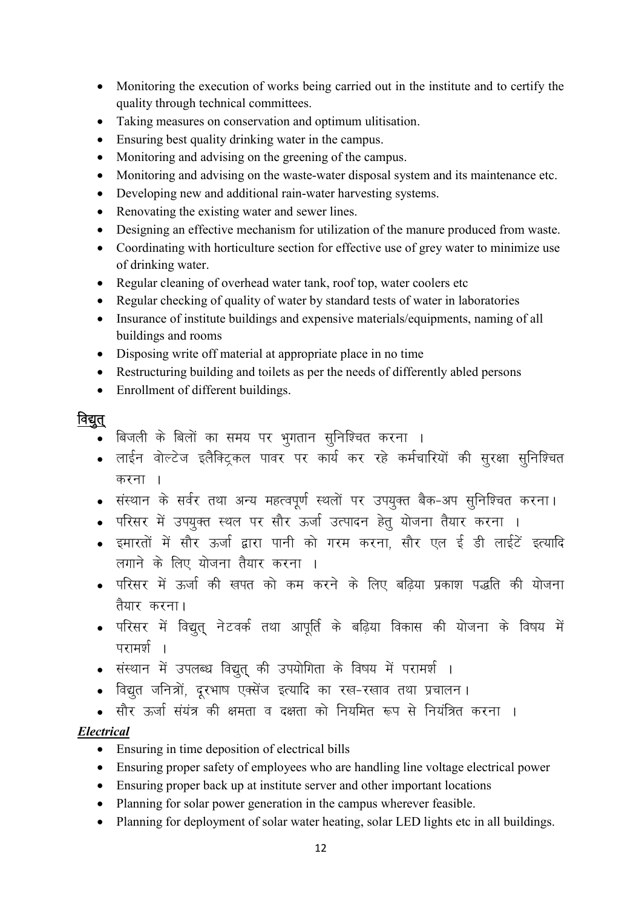- Monitoring the execution of works being carried out in the institute and to certify the quality through technical committees.
- Taking measures on conservation and optimum ulitisation.
- Ensuring best quality drinking water in the campus.
- Monitoring and advising on the greening of the campus.
- Monitoring and advising on the waste-water disposal system and its maintenance etc.
- Developing new and additional rain-water harvesting systems.
- Renovating the existing water and sewer lines.
- Designing an effective mechanism for utilization of the manure produced from waste.
- Coordinating with horticulture section for effective use of grey water to minimize use of drinking water.
- Regular cleaning of overhead water tank, roof top, water coolers etc
- Regular checking of quality of water by standard tests of water in laboratories
- Insurance of institute buildings and expensive materials/equipments, naming of all buildings and rooms
- Disposing write off material at appropriate place in no time
- Restructuring building and toilets as per the needs of differently abled persons
- Enrollment of different buildings.

## विद्युत्

- ,<br>• बिजली के बिलों का समय पर भूगतान सूनिश्चित करना ।
- लाईन वोल्टेज इलैक्ट्रिकल पावर पर कार्य कर रहे कर्मचारियों की सुरक्षा सुनिश्चित करना $\overline{\phantom{a}}$
- संस्थान के सर्वर तथा अन्य महत्वपूर्ण स्थलों पर उपयुक्त बैक-अप सुनिश्चित करना।
- परिसर में उपयूक्त स्थल पर सौर ऊर्जा उत्पादन हेतू योजना तैयार करना ।
- इमारतों में सौर ऊर्जा द्वारा पानी को गरम करना, सौर एल ई डी लाईटें इत्यादि लगाने के लिए योजना तैयार करना ।
- परिसर में ऊर्जा की खपत को कम करने के लिए बढिया प्रकाश पद्धति की योजना तैयार करना।
- परिसर में विद्युत् नेटवर्क तथा आपूर्ति के बढ़िया विकास की योजना के विषय में  $\overline{u}$ रामर्थ $\overline{u}$
- संस्थान में उपलब्ध विद्युत की उपयोगिता के विषय में परामर्श ।
- विद्युत जनित्रों, दरभाष एक्सेंज इत्यादि का रख-रखाव तथा प्रचालन।
- सौर ऊर्जा संयंत्र की क्षमता व दक्षता को नियमित रूप से नियंत्रित करना ।

#### *Electrical*

- Ensuring in time deposition of electrical bills
- Ensuring proper safety of employees who are handling line voltage electrical power
- Ensuring proper back up at institute server and other important locations
- Planning for solar power generation in the campus wherever feasible.
- Planning for deployment of solar water heating, solar LED lights etc in all buildings.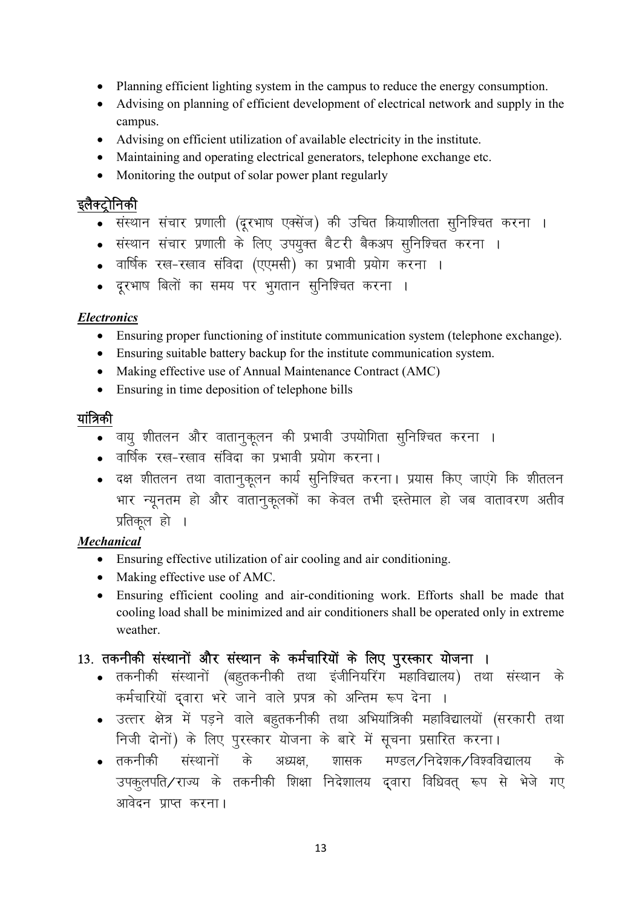- Planning efficient lighting system in the campus to reduce the energy consumption.
- Advising on planning of efficient development of electrical network and supply in the campus.
- Advising on efficient utilization of available electricity in the institute.
- Maintaining and operating electrical generators, telephone exchange etc.
- Monitoring the output of solar power plant regularly

#### इलैक्ट्रोनिकी

- संस्थान संचार प्रणाली (दूरभाष एक्सेंज) की उचित क्रियाशीलता सुनिश्चित करना ।
- संस्थान संचार प्रणाली के लिए उपयुक्त बैटरी बैकअप सुनिश्चित करना ।
- o वार्षिक रख-रखाव संविदा (एएमसी) का प्रभावी प्रयोग करना ।
- दूरभाष बिलों का समय पर भुगतान सुनिश्चित करना ।

#### *Electronics*

- Ensuring proper functioning of institute communication system (telephone exchange).
- Ensuring suitable battery backup for the institute communication system.
- Making effective use of Annual Maintenance Contract (AMC)
- Ensuring in time deposition of telephone bills

#### यांत्रिकी

- वायु शीतलन और वातानुकूलन की प्रभावी उपयोगिता सुनिश्चित करना ।
- o वार्षिक रख-रखाव संविदा का प्रभावी प्रयोग करना।
- दक्ष शीतलन तथा वातानुकुलन कार्य सुनिश्चित करना। प्रयास किए जाएंगे कि शीतलन भार न्यूनतम हो और वातानुकूलकों का केवल तभी इस्तेमाल हो जब वातावरण अतीव प्रतिकुल हो ।

#### *Mechanical*

- Ensuring effective utilization of air cooling and air conditioning.
- Making effective use of AMC.
- Ensuring efficient cooling and air-conditioning work. Efforts shall be made that cooling load shall be minimized and air conditioners shall be operated only in extreme weather.

## 13. तकनीकी संस्थानों और संस्थान के कर्मचारियों के लिए पुरस्कार योजना ।

- तकनीकी संस्थानों (बहूतकनीकी तथा इंजीनियरिंग महाविद्यालय) तथा संस्थान के कर्मचारियों दवारा भरे जाने वाले प्रपत्र को अन्तिम रूप देना ।
- उत्तर क्षेत्र में पड़ने वाले बहूतकनीकी तथा अभियांत्रिकी महाविद्यालयों (सरकारी तथा निजी दोनों) के लिए पूरस्कार योजना के बारे में सूचना प्रसारित करना।
- तकनीकी संस्थानों के अध्यक्ष शासक मण्डल/निदेशक/विश्वविद्यालय के उपकलपति/राज्य के तकनीकी शिक्षा निदेशालय द्वारा विधिवत् रूप से भेजे गए आवेदन प्राप्त करना।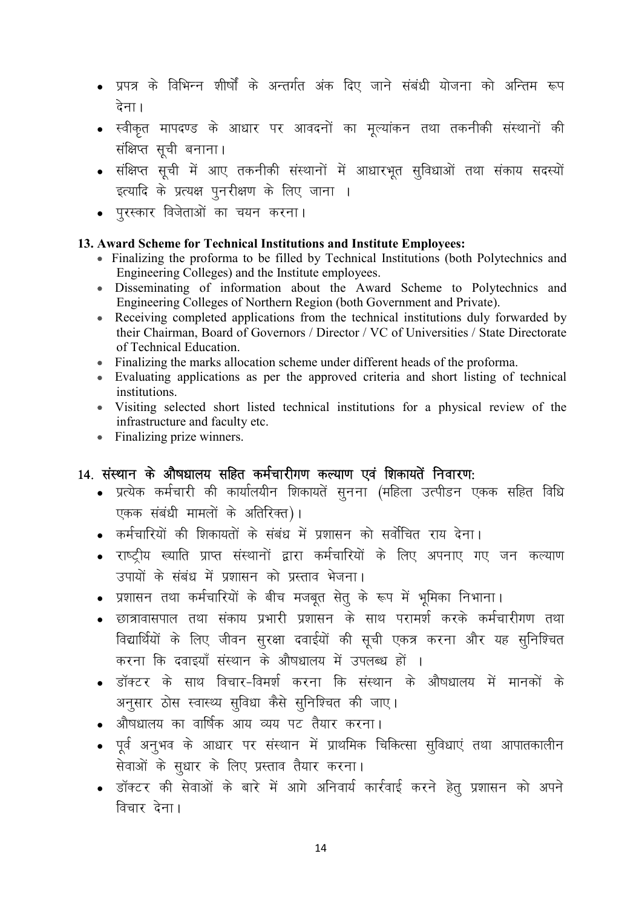- प्रपत्र के विभिन्न शीर्षों के अन्तर्गत अंक दिए जाने संबंधी योजना को अन्तिम रूप देना।
- स्वीकृत मापदण्ड के आधार पर आवदनों का मूल्यांकन तथा तकनीकी संस्थानों की संक्षिप्त सची बनाना।
- संक्षिप्त सूची में आए तकनीकी संस्थानों में आधारभूत सुविधाओं तथा संकाय सदस्यों इत्यादि के प्रत्यक्ष पूनरीक्षण के लिए जाना ।
- . परस्कार विजेताओं का चयन करना।

#### 13. Award Scheme for Technical Institutions and Institute Employees:

- Finalizing the proforma to be filled by Technical Institutions (both Polytechnics and Engineering Colleges) and the Institute employees.
- Disseminating of information about the Award Scheme to Polytechnics and Engineering Colleges of Northern Region (both Government and Private).
- Receiving completed applications from the technical institutions duly forwarded by their Chairman, Board of Governors / Director / VC of Universities / State Directorate of Technical Education.
- Finalizing the marks allocation scheme under different heads of the proforma.
- Evaluating applications as per the approved criteria and short listing of technical institutions.
- Visiting selected short listed technical institutions for a physical review of the infrastructure and faculty etc.
- Finalizing prize winners.

## 14. संस्थान के औषधालय सहित कर्मचारीगण कल्याण एवं शिकायतें निवारण:

- प्रत्येक कर्मचारी की कार्यालयीन शिकायतें सनना (महिला उत्पीडन एकक सहित विधि एकक संबंधी मामलों के अतिरिक्त)।
- कर्मचारियों की शिकायतों के संबंध में प्रशासन को सर्वोचित राय देना।
- राष्ट्रीय ख्याति प्राप्त संस्थानों द्वारा कर्मचारियों के लिए अपनाए गए जन कल्याण उपायों के संबंध में प्रशासन को प्रस्ताव भेजना।
- प्रशासन तथा कर्मचारियों के बीच मजबूत सेतू के रूप में भूमिका निभाना।
- छात्रावासपाल तथा संकाय प्रभारी प्रशासन के साथ परामर्श करके कर्मचारीगण तथा विद्यार्थियों के लिए जीवन सुरक्षा दवाईयों की सूची एकत्र करना और यह सुनिश्चित करना कि दवाइयाँ संस्थान के औषधालय में उपलब्ध हों ।
- डॉक्टर के साथ विचार-विमर्श करना कि संस्थान के औषधालय में मानकों के अनुसार ठोस स्वास्थ्य सुविधा कैसे सुनिश्चित की जाए।
- औषधालय का वार्षिक आय व्यय पट तैयार करना।
- पूर्व अनुभव के आधार पर संस्थान में प्राथमिक चिकित्सा सुविधाएं तथा आपातकालीन सेवाओं के सुधार के लिए प्रस्ताव तैयार करना।
- $\bullet$  डॉक्टर की सेवाओं के बारे में आगे अनिवार्य कार्रवाई करने हेतु प्रशासन को अपने विचार देना।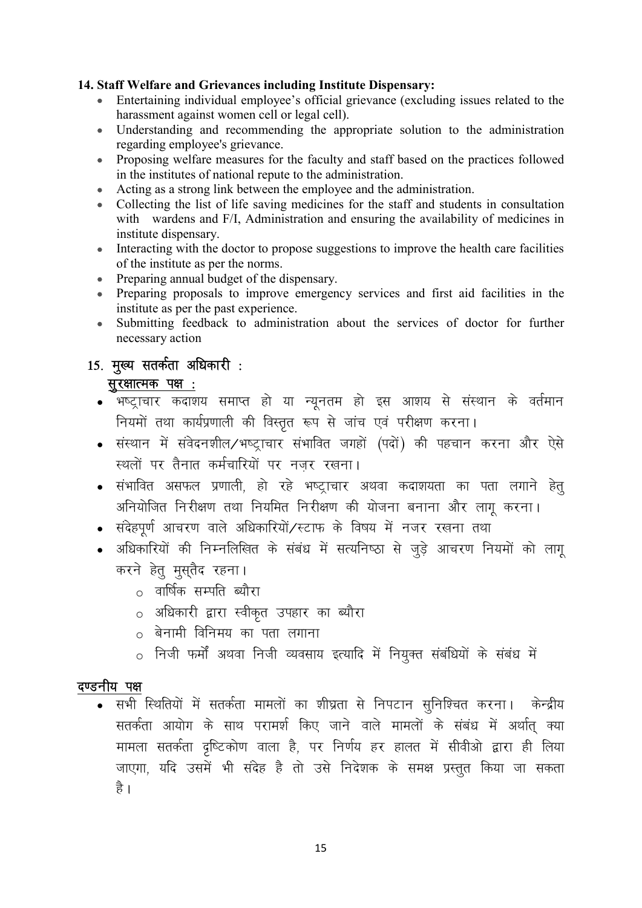#### 14. Staff Welfare and Grievances including Institute Dispensary:

- Entertaining individual employee's official grievance (excluding issues related to the harassment against women cell or legal cell).
- Understanding and recommending the appropriate solution to the administration regarding employee's grievance.
- Proposing welfare measures for the faculty and staff based on the practices followed in the institutes of national repute to the administration.
- Acting as a strong link between the employee and the administration.
- Collecting the list of life saving medicines for the staff and students in consultation with wardens and F/I, Administration and ensuring the availability of medicines in institute dispensary.
- $\bullet$ Interacting with the doctor to propose suggestions to improve the health care facilities of the institute as per the norms.
- Preparing annual budget of the dispensary.
- Preparing proposals to improve emergency services and first aid facilities in the institute as per the past experience.
- Submitting feedback to administration about the services of doctor for further necessary action

## 15. मुख्य सतर्कता अधिकारी :

## सुरक्षात्मक पक्ष :

- भष्ट्राचार कदाशय समाप्त हो या न्यूनतम हो इस आशय से संस्थान के वर्तमान नियमों तथा कार्यप्रणाली की विस्तृत रूप से जांच एवं परीक्षण करना।
- संस्थान में संवेदनशील/भष्टाचार संभावित जगहों (पदों) की पहचान करना और ऐसे स्थलों पर तैनात कर्मचारियों पर नजर रखना।
- संभावित असफल प्रणाली, हो रहे भष्ट्राचार अथवा कदाशयता का पता लगाने हेतू अनियोजित निरीक्षण तथा नियमित निरीक्षण की योजना बनाना और लागू करना।
- संदेहपर्ण आचरण वाले अधिकारियों/स्टाफ के विषय में नजर रखना तथा
- अधिकारियों की निम्नलिखित के संबंध में सत्यनिष्ठा से जुड़े आचरण नियमों को लागू करने हेतु मुस्तैद रहना।
	- o वार्षिक सम्पति ब्यौरा
	- o अधिकारी द्वारा स्वीकृत उपहार का ब्यौरा
	- $\circ$  बेनामी विनिमय का पता लगाना
	- o निजी फर्मों अथवा निजी व्यवसाय इत्यादि में नियुक्त संबंधियों के संबंध में

#### दण्डनीय पक्ष

• सभी स्थितियों में सतर्कता मामलों का शीघ्रता से निपटान सुनिश्चित करना। केन्द्रीय सतर्कता आयोग के साथ परामर्श किए जाने वाले मामलों के संबंध में अर्थात् क्या मामला सतर्कता दृष्टिकोण वाला है, पर निर्णय हर हालत में सीवीओ द्वारा ही लिया जाएगा, यदि उसमें भी संदेह है तो उसे निदेशक के समक्ष प्रस्तुत किया जा सकता है ।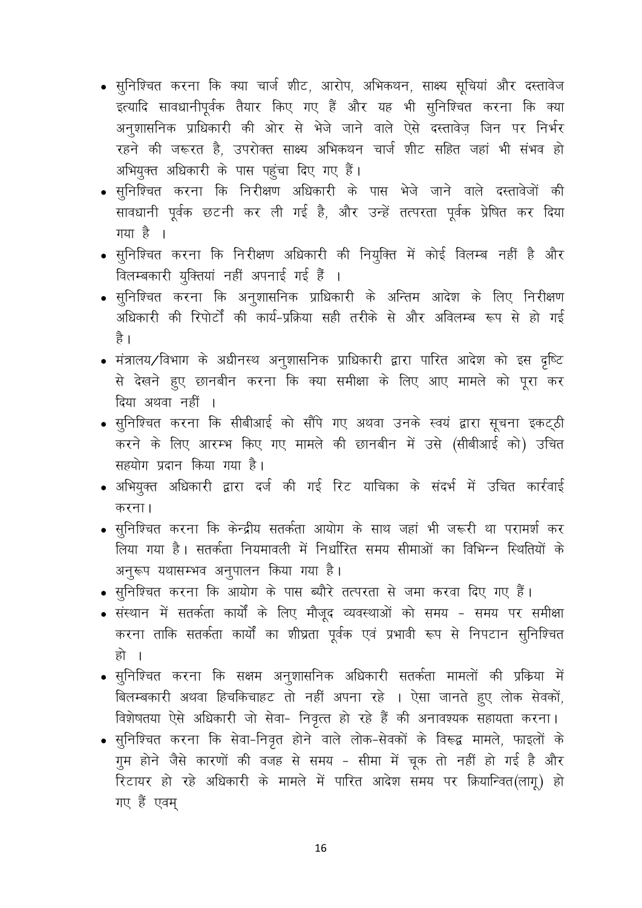- सुनिश्चित करना कि क्या चार्ज शीट, आरोप, अभिकथन, साक्ष्य सूचियां और दस्तावेज इत्यादि सावधानीपूर्वक तैयार किए गए हैं और यह भी सूनिश्चित करना कि क्या अनूशासनिक प्राधिकारी की ओर से भेजे जाने वाले ऐसे दस्तावेज़ जिन पर निर्भर रहने की जरूरत है. उपरोक्त साक्ष्य अभिकथन चार्ज शीट सहित जहां भी संभव हो अभियुक्त अधिकारी के पास पहुंचा दिए गए हैं।
- सुनिश्चित करना कि निरीक्षण अधिकारी के पास भेजे जाने वाले दस्तावेजों की सावधानी पूर्वक छटनी कर ली गई है, और उन्हें तत्परता पूर्वक प्रेषित कर दिया गया है ।
- सुनिश्चित करना कि निरीक्षण अधिकारी की नियुक्ति में कोई विलम्ब नहीं है और विलम्बकारी यूक्तियां नहीं अपनाई गई हैं ।
- सूनिश्चित करना कि अनूशासनिक प्राधिकारी के अन्तिम आदेश के लिए निरीक्षण अधिकारी की रिपोर्टों की कार्य-प्रक्रिया सही तरीके से और अविलम्ब रूप से हो गई है ।
- मंत्रालय/विभाग के अधीनस्थ अनुशासनिक प्राधिकारी द्वारा पारित आदेश को इस दृष्टि से देखने हुए छानबीन करना कि क्या समीक्षा के लिए आए मामले को पूरा कर दिया अथवा नहीं ।
- सूनिश्चित करना कि सीबीआई को सौंपे गए अथवा उनके स्वयं द्वारा सूचना इकट्ठी करने के लिए आरम्भ किए गए मामले की छानबीन में उसे (सीबीआई को) उचित सहयोग प्रदान किया गया है।
- अभियुक्त अधिकारी द्वारा दर्ज की गई रिट याचिका के संदर्भ में उचित कार्रवाई करना।
- सुनिश्चित करना कि केन्द्रीय सतर्कता आयोग के साथ जहां भी जरूरी था परामर्श कर लिया गया है। सतर्कता नियमावली में निर्धारित समय सीमाओं का विभिन्न स्थितियों के अनुरूप यथासम्भव अनुपालन किया गया है।
- सूनिश्चित करना कि आयोग के पास ब्यौरे तत्परता से जमा करवा दिए गए हैं।
- संस्थान में सतर्कता कार्यों के लिए मौजूद व्यवस्थाओं को समय समय पर समीक्षा करना ताकि सतर्कता कार्यों का शीघ्रता पूर्वक एवं प्रभावी रूप से निपटान सूनिश्चित हो ।
- सुनिश्चित करना कि सक्षम अनुशासनिक अधिकारी सतर्कता मामलों की प्रकिया में बिलम्बकारी अथवा हिचकिचाहट तो नहीं अपना रहे । ऐसा जानते हुए लोक सेवकों, विशेषतया ऐसे अधिकारी जो सेवा- निवृत्त हो रहे हैं की अनावश्यक सहायता करना।
- सुनिश्चित करना कि सेवा-निवृत होने वाले लोक-सेवकों के विरूद्व मामले, फाइलों के गूम होने जैसे कारणों की वजह से समय - सीमा में चूक तो नहीं हो गई है और रिटायर हो रहे अधिकारी के मामले में पारित आदेश समय पर क्रियान्वित(लागू) हो गए हैं एवम्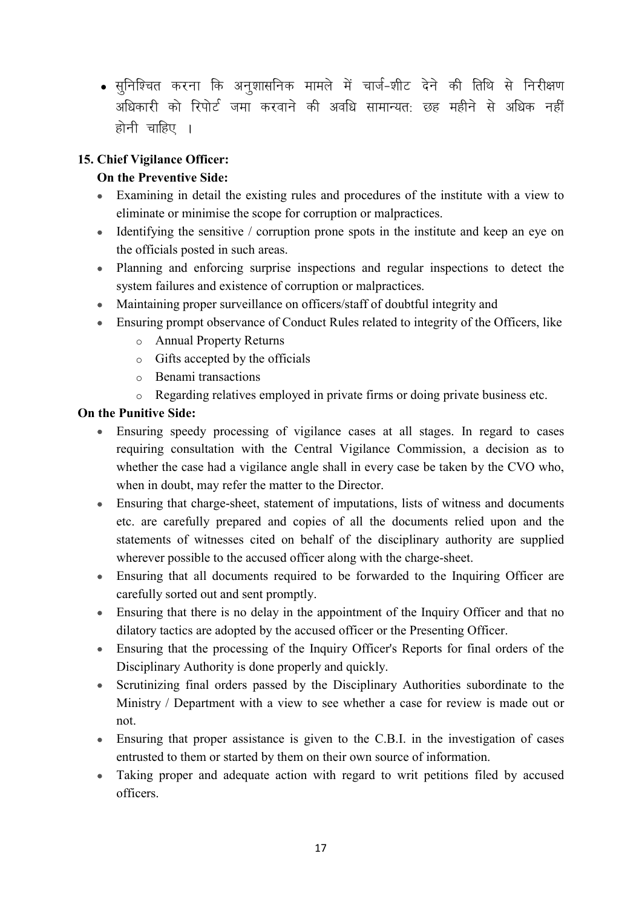• सुनिश्चित करना कि अनुशासनिक मामले में चार्ज-शीट देने की तिथि से निरीक्षण अधिकारी को रिपोर्ट जमा करवाने की अवधि सामान्यतः छह महीने से अधिक नहीं होनी चाहिए ।

#### 15. Chief Vigilance Officer:

#### On the Preventive Side:

- Examining in detail the existing rules and procedures of the institute with a view to eliminate or minimise the scope for corruption or malpractices.
- $\bullet$  Identifying the sensitive / corruption prone spots in the institute and keep an eye on the officials posted in such areas.
- Planning and enforcing surprise inspections and regular inspections to detect the system failures and existence of corruption or malpractices.
- Maintaining proper surveillance on officers/staff of doubtful integrity and
- Ensuring prompt observance of Conduct Rules related to integrity of the Officers, like
	- o Annual Property Returns
	- o Gifts accepted by the officials
	- o Benami transactions
	- o Regarding relatives employed in private firms or doing private business etc.

#### On the Punitive Side:

- Ensuring speedy processing of vigilance cases at all stages. In regard to cases requiring consultation with the Central Vigilance Commission, a decision as to whether the case had a vigilance angle shall in every case be taken by the CVO who, when in doubt, may refer the matter to the Director.
- Ensuring that charge-sheet, statement of imputations, lists of witness and documents etc. are carefully prepared and copies of all the documents relied upon and the statements of witnesses cited on behalf of the disciplinary authority are supplied wherever possible to the accused officer along with the charge-sheet.
- Ensuring that all documents required to be forwarded to the Inquiring Officer are carefully sorted out and sent promptly.
- Ensuring that there is no delay in the appointment of the Inquiry Officer and that no dilatory tactics are adopted by the accused officer or the Presenting Officer.
- Ensuring that the processing of the Inquiry Officer's Reports for final orders of the Disciplinary Authority is done properly and quickly.
- Scrutinizing final orders passed by the Disciplinary Authorities subordinate to the Ministry / Department with a view to see whether a case for review is made out or not.
- Ensuring that proper assistance is given to the C.B.I. in the investigation of cases entrusted to them or started by them on their own source of information.
- Taking proper and adequate action with regard to writ petitions filed by accused officers.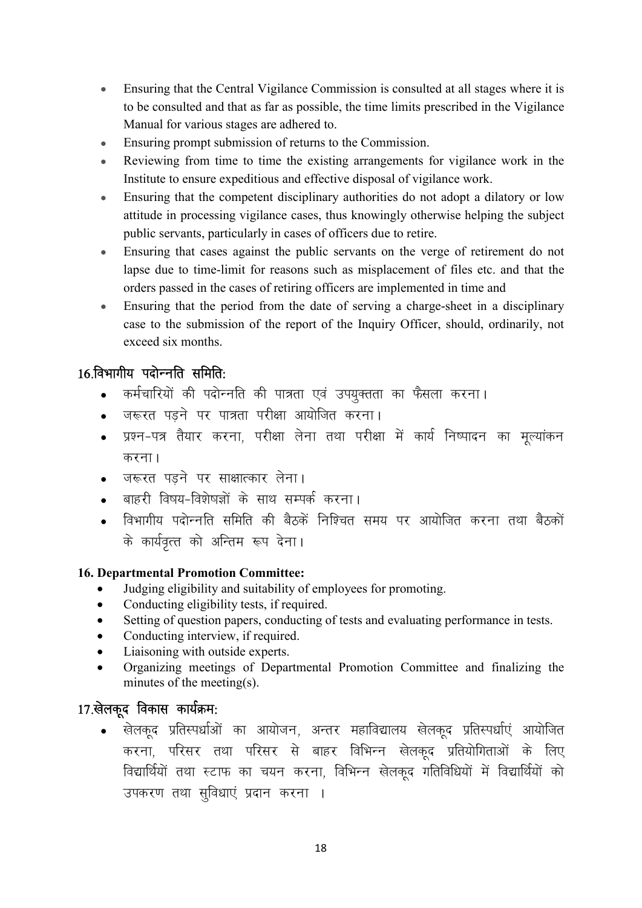- Ensuring that the Central Vigilance Commission is consulted at all stages where it is to be consulted and that as far as possible, the time limits prescribed in the Vigilance Manual for various stages are adhered to.
- Ensuring prompt submission of returns to the Commission.
- Reviewing from time to time the existing arrangements for vigilance work in the Institute to ensure expeditious and effective disposal of vigilance work.
- Ensuring that the competent disciplinary authorities do not adopt a dilatory or low attitude in processing vigilance cases, thus knowingly otherwise helping the subject public servants, particularly in cases of officers due to retire.
- Ensuring that cases against the public servants on the verge of retirement do not lapse due to time-limit for reasons such as misplacement of files etc. and that the orders passed in the cases of retiring officers are implemented in time and
- Ensuring that the period from the date of serving a charge-sheet in a disciplinary case to the submission of the report of the Inquiry Officer, should, ordinarily, not exceed six months.

## $16$  विभागीय पदोन्नति समिति $\cdot$

- . कर्मचारियों की पदोन्नति की पात्रता एवं उपयुक्तता का फैसला करना।
- जरूरत पडने पर पात्रता परीक्षा आयोजित करना।
- प्रश्न-पत्र तैयार करना, परीक्षा लेना तथा परीक्षा में कार्य निष्पादन का मूल्यांकन करना $<sub>1</sub>$ </sub>
- जरूरत पड़ने पर साक्षात्कार लेना।
- बाहरी विषय-विशेषज्ञों के साथ सम्पर्क करना।
- विभागीय पदोन्नति समिति की बैठकें निश्चित समय पर आयोजित करना तथा बैठकों के कार्यवत्त को अन्तिम रूप देना।

#### 16. Departmental Promotion Committee:

- Judging eligibility and suitability of employees for promoting.
- Conducting eligibility tests, if required.
- Setting of question papers, conducting of tests and evaluating performance in tests.
- Conducting interview, if required.
- Liaisoning with outside experts.
- Organizing meetings of Departmental Promotion Committee and finalizing the minutes of the meeting(s).

## 17.खेलकूद विकास कार्यक्रम:

खेलकूद प्रतिस्पर्धाओं का आयोजन, अन्तर महाविद्यालय खेलकूद प्रतिस्पर्धाएं आयोजित करना, परिसर तथा परिसर से बाहर विभिन्न खेलकद प्रतियोगिताओं के लिए विद्यार्थियों तथा स्टाफ का चयन करना, विभिन्न खेलकद गतिविधियों में विद्यार्थियों को उपकरण तथा सुविधाएं प्रदान करना ।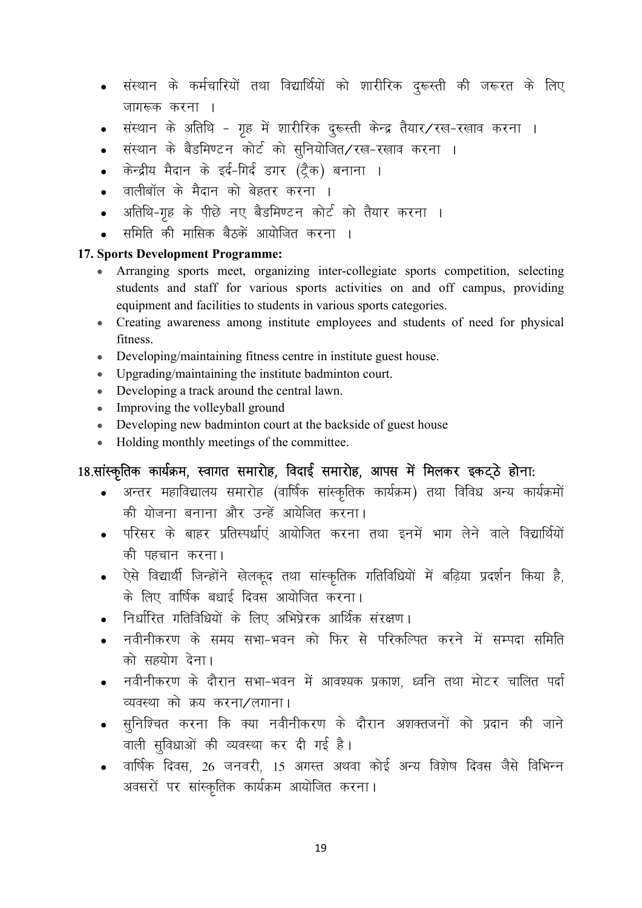- संस्थान के कर्मचारियों तथा विद्यार्थियों को शारीरिक दुरूस्ती की जरूरत के लिए जागरूक करना ।
- संस्थान के अतिथि गृह में शारीरिक दुरूस्ती केन्द्र तैयार⁄रख-रखाव करना ।
- संस्थान के बैडमिण्टन कोर्ट को सुनियोजित/रख-रखाव करना ।
- केन्द्रीय मैदान के इर्द-गिर्द डगर (ट्रैक) बनाना ।
- वालीबॉल के मैदान को बेहतर करना ।
- अतिथि-गृह के पीछे नए बैडमिण्टन कोर्ट को तैयार करना ।
- समिति की मासिक बैठकें आयोजित करना ।

#### 17. Sports Development Programme:

- Arranging sports meet, organizing inter-collegiate sports competition, selecting students and staff for various sports activities on and off campus, providing equipment and facilities to students in various sports categories.
- Creating awareness among institute employees and students of need for physical fitness.
- Developing/maintaining fitness centre in institute guest house.
- Upgrading/maintaining the institute badminton court.
- Developing a track around the central lawn.
- Improving the volleyball ground
- Developing new badminton court at the backside of guest house
- Holding monthly meetings of the committee.

## 18.सांस्कृतिक कार्यक्रम, स्वागत समारोह, विदाई समारोह, आपस में मिलकर इकट्ठे होना:

- अन्तर महाविद्यालय समारोह (वार्षिक सांस्कृतिक कार्यक्रम) तथा विविध अन्य कार्यक्रमों की योजना बनाना और उन्हें आयेजित करना।
- परिसर के बाहर प्रतिस्पर्धाएं आयोजित करना तथा इनमें भाग लेने वाले विद्यार्थियों की पहचान करना।
- ऐसे विद्यार्थी जिन्होंने खेलकूद तथा सांस्कृतिक गतिविधियों में बढ़िया प्रदर्शन किया है, के लिए वार्षिक बधाई दिवस आयोजित करना।
- निर्धारित गतिविधियों के लिए अभिप्रेरक आर्थिक संरक्षण।
- नवीनीकरण के समय सभा–भवन को फिर से परिकल्पित करने में सम्पदा समिति को सहयोग देना।
- नवीनीकरण के दौरान सभा-भवन में आवश्यक प्रकाश, ध्वनि तथा मोटर चालित पर्दा व्यवस्था को क्रय करना/लगाना।
- सूनिश्चित करना कि क्या नवीनीकरण के दौरान अशक्तजनों को प्रदान की जाने वाली सुविधाओं की व्यवस्था कर दी गई है।
- वार्षिक दिवस, 26 जनवरी, 15 अगस्त अथवा कोई अन्य विशेष दिवस जैसे विभिन्न अवसरों पर सांस्कृतिक कार्यक्रम आयोजित करना।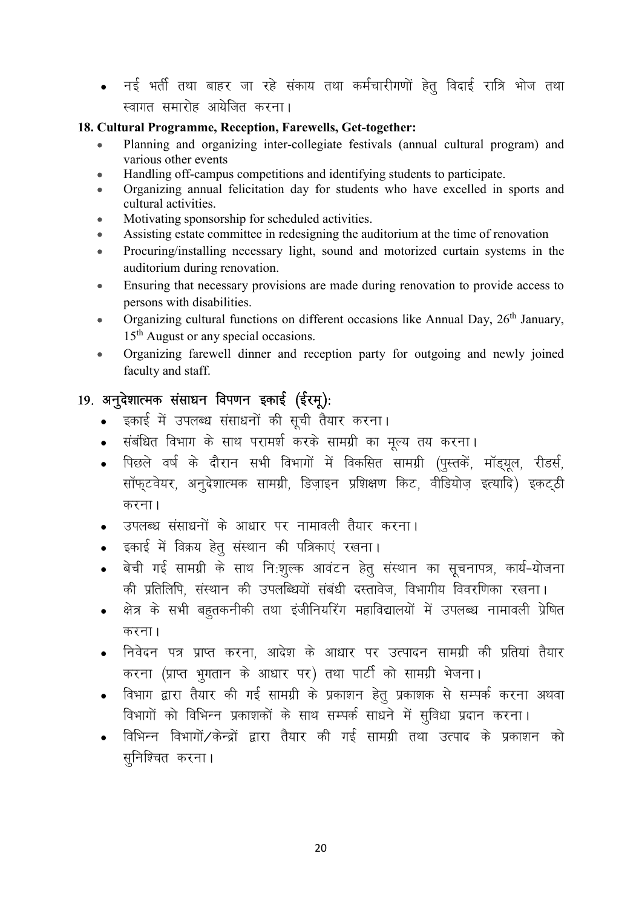• नई भर्ती तथा बाहर जा रहे संकाय तथा कर्मचारीगणों हेतु विदाई रात्रि भोज तथा स्वागत समारोह आयेजित करना।

#### 18. Cultural Programme, Reception, Farewells, Get-together:

- Planning and organizing inter-collegiate festivals (annual cultural program) and various other events
- Handling off-campus competitions and identifying students to participate.
- Organizing annual felicitation day for students who have excelled in sports and cultural activities.
- Motivating sponsorship for scheduled activities.
- Assisting estate committee in redesigning the auditorium at the time of renovation
- Procuring/installing necessary light, sound and motorized curtain systems in the auditorium during renovation.
- Ensuring that necessary provisions are made during renovation to provide access to persons with disabilities.
- Organizing cultural functions on different occasions like Annual Day, 26<sup>th</sup> January, 15<sup>th</sup> August or any special occasions.
- Organizing farewell dinner and reception party for outgoing and newly joined faculty and staff.

## 19. अनुदेशात्मक संसाधन विपणन इकाई (ईरमू):

- इकाई में उपलब्ध संसाधनों की सूची तैयार करना।
- संबंधित विभाग के साथ परामर्श करके सामग्री का मूल्य तय करना।
- पिछले वर्ष के दौरान सभी विभागों में विकसित सामग्री (पुस्तकें, मॉड्यूल, रीडर्स, सॉफ्टवेयर, अनुदेशात्मक सामग्री, डिज़ाइन प्रशिक्षण किट, वीडियोज़ इत्यादि) इकट्ठी करना।
- उपलब्ध संसाधनों के आधार पर नामावली तैयार करना।
- इकाई में विक्रय हेतु संस्थान की पत्रिकाएं रखना।
- बेची गई सामग्री के साथ नि:शुल्क आवंटन हेतु संस्थान का सूचनापत्र, कार्य-योजना की प्रतिलिपि संस्थान की उपलब्धियों संबंधी दस्तावेज, विभागीय विवरणिका रखना।
- क्षेत्र के सभी बहतकनीकी तथा इंजीनियरिंग महाविद्यालयों में उपलब्ध नामावली प्रेषित करना।
- निवेदन पत्र प्राप्त करना, आदेश के आधार पर उत्पादन सामग्री की प्रतियां तैयार करना (प्राप्त भगतान के आधार पर) तथा पार्टी को सामग्री भेजना।
- विभाग द्वारा तैयार की गई सामग्री के प्रकाशन हेतु प्रकाशक से सम्पर्क करना अथवा विभागों को विभिन्न प्रकाशकों के साथ सम्पर्क साधने में सविधा प्रदान करना।
- विभिन्न विभागों/केन्द्रों द्वारा तैयार की गई सामग्री तथा उत्पाद के प्रकाशन को सुनिश्चित करना।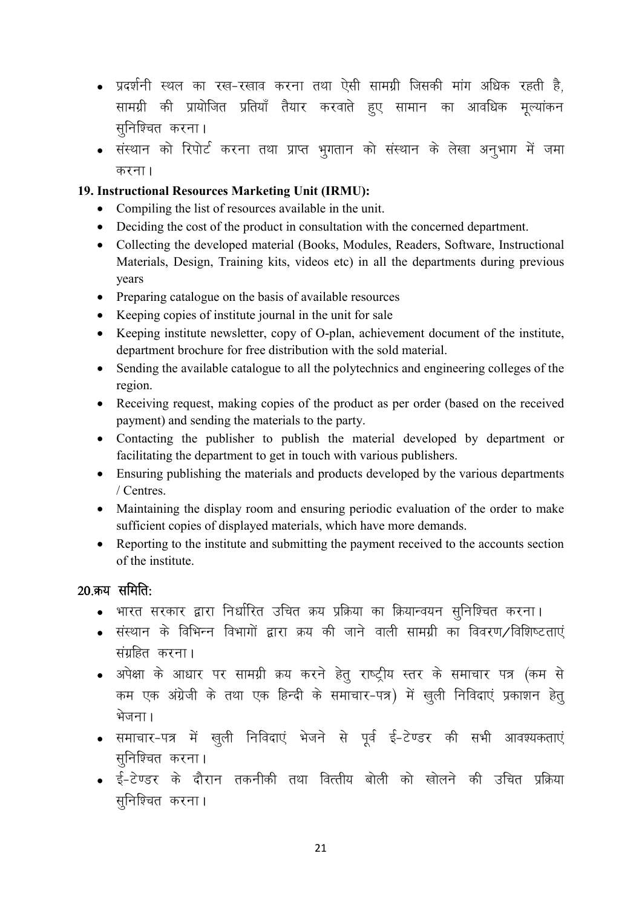- प्रदर्शनी स्थल का रख-रखाव करना तथा ऐसी सामग्री जिसकी मांग अधिक रहती है. सामग्री की प्रायोजित प्रतियाँ तैयार करवाते <u>हु</u>ए सामान का आवधिक मूल्यांकन सुनिश्चित करना।
- संस्थान को रिपोर्ट करना तथा प्राप्त भगतान को संस्थान के लेखा अनभाग में जमा करना।

#### 19. Instructional Resources Marketing Unit (IRMU):

- Compiling the list of resources available in the unit.
- Deciding the cost of the product in consultation with the concerned department.
- Collecting the developed material (Books, Modules, Readers, Software, Instructional Materials, Design, Training kits, videos etc) in all the departments during previous years
- Preparing catalogue on the basis of available resources
- Keeping copies of institute journal in the unit for sale
- Keeping institute newsletter, copy of O-plan, achievement document of the institute, department brochure for free distribution with the sold material.
- Sending the available catalogue to all the polytechnics and engineering colleges of the region.
- Receiving request, making copies of the product as per order (based on the received payment) and sending the materials to the party.
- Contacting the publisher to publish the material developed by department or facilitating the department to get in touch with various publishers.
- Ensuring publishing the materials and products developed by the various departments / Centres.
- Maintaining the display room and ensuring periodic evaluation of the order to make sufficient copies of displayed materials, which have more demands.
- Reporting to the institute and submitting the payment received to the accounts section of the institute.

#### $20$  क्रय समिति:

- भारत सरकार द्वारा निर्धारित उचित क्रय प्रक्रिया का क्रियान्वयन सुनिश्चित करना।
- संस्थान के विभिन्न विभागों द्वारा क्रय की जाने वाली सामग्री का विवरण ⁄ विशिष्टताएं संग्रहित करना।
- अपेक्षा के आधार पर सामग्री क्रय करने हेत् राष्ट्रीय स्तर के समाचार पत्र (कम से कम एक अंग्रेजी के तथा एक हिन्दी के समाचार-पत्र) में खली निविदाएं प्रकाशन हेत भेजना।
- समाचार-पत्र में खुली निविदाएं भेजने से पूर्व ई-टेण्डर की सभी आवश्यकताएं सुनिश्चित करना।
- ई-टेण्डर के दौरान तकनीकी तथा वित्तीय बोली को खोलने की उचित प्रक्रिया सुनिश्चित करना।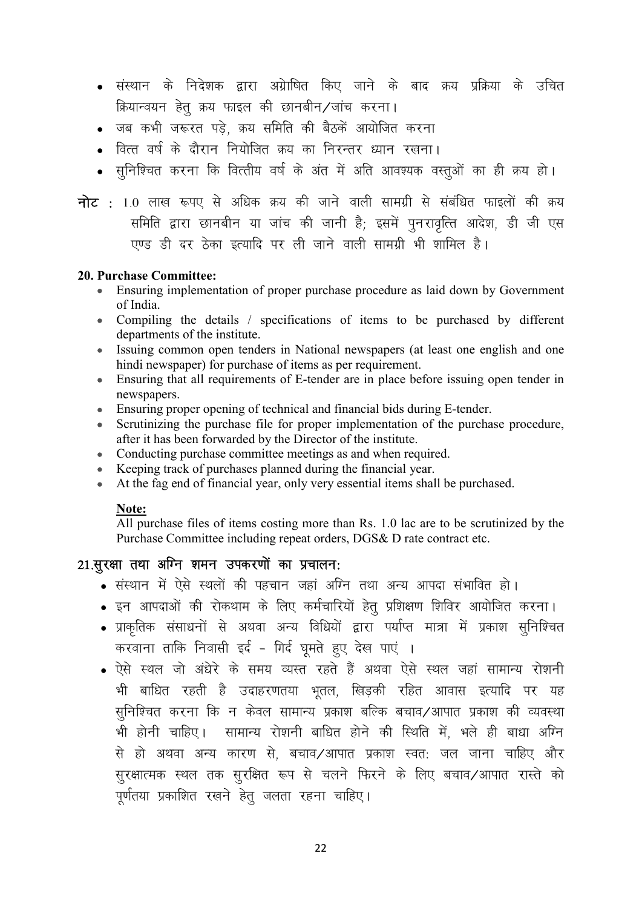- संस्थान के निदेशक द्वारा अग्रेाषित किए जाने के बाद क्रय प्रक्रिया के उचित क्रियान्वयन हेतू क्रय फाइल की छानबीन/जांच करना।
- जब कभी जरूरत पड़े. क्रय समिति की बैठकें आयोजित करना
- वित्त वर्ष के दौरान नियोजित कय का निरन्तर ध्यान रखना।
- सुनिश्चित करना कि वित्तीय वर्ष के अंत में अति आवश्यक वस्तुओं का ही क्रय हो।
- नोट : 1.0 लाख रूपए से अधिक क्रय की जाने वाली सामग्री से संबंधित फाइलों की क्रय समिति द्वारा छानबीन या जांच की जानी है; इसमें पुनरावृत्ति आदेश, डी जी एस एण्ड डी दर ठेका इत्यादि पर ली जाने वाली सामग्री भी शामिल है।

#### 20. Purchase Committee:

- Ensuring implementation of proper purchase procedure as laid down by Government of India.
- Compiling the details / specifications of items to be purchased by different departments of the institute.
- Issuing common open tenders in National newspapers (at least one english and one hindi newspaper) for purchase of items as per requirement.
- Ensuring that all requirements of E-tender are in place before issuing open tender in newspapers.
- Ensuring proper opening of technical and financial bids during E-tender.
- Scrutinizing the purchase file for proper implementation of the purchase procedure, after it has been forwarded by the Director of the institute.
- Conducting purchase committee meetings as and when required.
- Keeping track of purchases planned during the financial year.
- At the fag end of financial year, only very essential items shall be purchased.

#### Note:

All purchase files of items costing more than Rs. 1.0 lac are to be scrutinized by the Purchase Committee including repeat orders, DGS& D rate contract etc.

#### $21.$ सुरक्षा तथा अग्नि शमन उपकरणों का प्रचालन:

- संस्थान में ऐसे स्थलों की पहचान जहां अग्नि तथा अन्य आपदा संभावित हो।
- इन आपदाओं की रोकथाम के लिए कर्मचारियों हेतु प्रशिक्षण शिविर आयोजित करना।
- प्राकृतिक संसाधनों से अथवा अन्य विधियों द्वारा पर्याप्त मात्रा में प्रकाश सुनिश्चित करवाना ताकि निवासी इर्द - गिर्द घूमते हूए देख पाएं ।
- ऐसे स्थल जो अंधेरे के समय व्यस्त रहते हैं अथवा ऐसे स्थल जहां सामान्य रोशनी भी बाधित रहती है उदाहरणतया भूतल, खिडकी रहित आवास इत्यादि पर यह सुनिश्चित करना कि न केवल सामान्य प्रकाश बल्कि बचाव/आपात प्रकाश की व्यवस्था भी होनी चाहिए। सामान्य रोशनी बाधित होने की स्थिति में, भले ही बाधा अग्नि से हो अथवा अन्य कारण से, बचाव/आपात प्रकाश स्वत: जल जाना चाहिए और सुरक्षात्मक स्थल तक सुरक्षित रूप से चलने फिरने के लिए बचाव⁄आपात रास्ते को पूर्णतया प्रकाशित रखने हेत् जलता रहना चाहिए।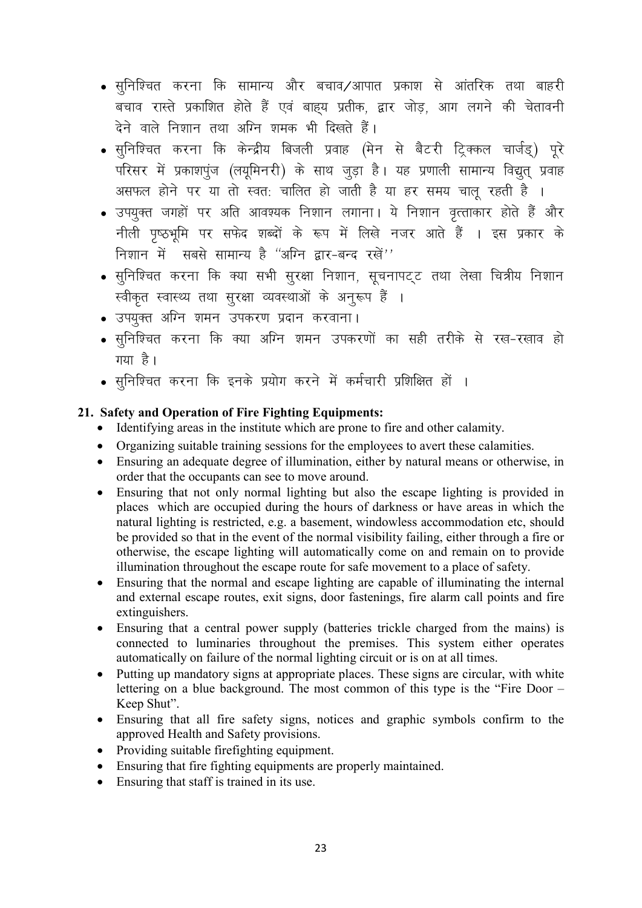- सुनिश्चित करना कि सामान्य और बचाव⁄आपात प्रकाश से आंतरिक तथा बाहरी बचाव रास्ते प्रकाशित होते हैं एवं बाह्य प्रतीक, द्वार जोड़, आग लगने की चेतावनी ढेने वाले निशान तथा अग्नि श्रमक भी दिखते हैं।
- सूनिश्चित करना कि केन्द्रीय बिजली प्रवाह (मेन से बैटरी ट्रिक्कल चार्जड्) पूरे परिसर में प्रकाशपूंज (लयूमिनरी) के साथ जूड़ा है। यह प्रणाली सामान्य विद्यूत् प्रवाह असफल होने पर या तो स्वत: चालित हो जाती है या हर समय चालू रहती है ।
- उपयुक्त जगहों पर अति आवश्यक निशान लगाना। ये निशान वृत्ताकार होते हैं और नीली पृष्ठभूमि पर सफेद शब्दों के रूप में लिखे नजर आते हैं । इस प्रकार के निशान में सबसे सामान्य है "अग्नि द्वार-बन्द रखें"
- सुनिश्चित करना कि क्या सभी सुरक्षा निशान, सूचनापट्ट तथा लेखा चित्रीय निशान स्वीकृत स्वास्थ्य तथा सुरक्षा व्यवस्थाओं के अनुरूप हैं ।
- उपयुक्त अग्नि शमन उपकरण प्रदान करवाना।
- सुनिश्चित करना कि क्या अग्नि शमन उपकरणों का सही तरीके से रख-रखाव हो गया है।
- सुनिश्चित करना कि इनके प्रयोग करने में कर्मचारी प्रशिक्षित हों ।

#### 21. Safety and Operation of Fire Fighting Equipments:

- Identifying areas in the institute which are prone to fire and other calamity.
- Organizing suitable training sessions for the employees to avert these calamities.
- Ensuring an adequate degree of illumination, either by natural means or otherwise, in order that the occupants can see to move around.
- Ensuring that not only normal lighting but also the escape lighting is provided in places which are occupied during the hours of darkness or have areas in which the natural lighting is restricted, e.g. a basement, windowless accommodation etc, should be provided so that in the event of the normal visibility failing, either through a fire or otherwise, the escape lighting will automatically come on and remain on to provide illumination throughout the escape route for safe movement to a place of safety.
- Ensuring that the normal and escape lighting are capable of illuminating the internal  $\bullet$ and external escape routes, exit signs, door fastenings, fire alarm call points and fire extinguishers.
- Ensuring that a central power supply (batteries trickle charged from the mains) is  $\bullet$ connected to luminaries throughout the premises. This system either operates automatically on failure of the normal lighting circuit or is on at all times.
- Putting up mandatory signs at appropriate places. These signs are circular, with white  $\bullet$ lettering on a blue background. The most common of this type is the "Fire Door – Keep Shut".
- Ensuring that all fire safety signs, notices and graphic symbols confirm to the  $\bullet$ approved Health and Safety provisions.
- Providing suitable firefighting equipment.  $\bullet$
- Ensuring that fire fighting equipments are properly maintained.
- Ensuring that staff is trained in its use.  $\bullet$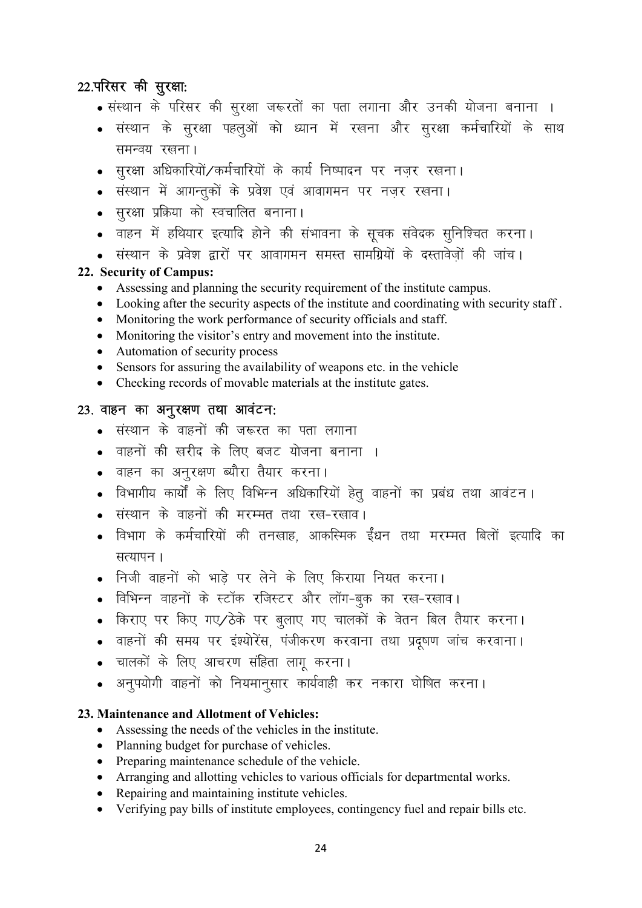## 22.परिसर की सुरक्षा:

- संस्थान के परिसर की सुरक्षा जरूरतों का पता लगाना और उनकी योजना बनाना ।
- संस्थान के सुरक्षा पहलुओं को ध्यान में रखना और सुरक्षा कर्मचारियों के साथ समन्वय रखना ।
- सुरक्षा अधिकारियों/कर्मचारियों के कार्य निष्पादन पर नजर रखना।
- संस्थान में आगन्तुकों के प्रवेश एवं आवागमन पर नजर रखना।
- सरक्षा प्रक्रिया को स्वचालित बनाना।
- वाहन में हथियार इत्यादि होने की संभावना के सूचक संवेदक सूनिश्चित करना।
- संस्थान के प्रवेश द्वारों पर आवागमन समस्त सामग्रियों के दस्तावेजों की जांच।

#### 22. Security of Campus:

- Assessing and planning the security requirement of the institute campus.
- Looking after the security aspects of the institute and coordinating with security staff .
- Monitoring the work performance of security officials and staff.
- Monitoring the visitor's entry and movement into the institute.
- Automation of security process
- Sensors for assuring the availability of weapons etc. in the vehicle
- Checking records of movable materials at the institute gates.

#### 23. वाहन का अनुरक्षण तथा आवंटन:

- संस्थान के वाहनों की जरूरत का पता लगाना
- वाहनों की खरीद के लिए बजट योजना बनाना ।
- o वाहन का अनुरक्षण ब्यौरा तैयार करना।
- विभागीय कार्यों के लिए विभिन्न अधिकारियों हेतू वाहनों का प्रबंध तथा आवंटन।
- संस्थान के वाहनों की मरम्मत तथा रख-रखाव।
- विभाग के कर्मचारियों की तनखाह, आकस्मिक ईंधन तथा मरम्मत बिलों इत्यादि का सत्यापन ।
- निजी वाहनों को भाड़े पर लेने के लिए किराया नियत करना।
- विभिन्न वाहनों के स्टॉक रजिस्टर और लॉग-बुक का रख-रखाव।
- किराए पर किए गए⁄ठेके पर बूलाए गए चालकों के वेतन बिल तैयार करना।
- वाहनों की समय पर इंश्योरेंस, पंजीकरण करवाना तथा प्रदूषण जांच करवाना।
- चालकों के लिए आचरण संहिता लागू करना।
- अनूपयोगी वाहनों को नियमानूसार कार्यवाही कर नकारा घोषित करना।

#### 23. Maintenance and Allotment of Vehicles:

- Assessing the needs of the vehicles in the institute.
- Planning budget for purchase of vehicles.
- Preparing maintenance schedule of the vehicle.
- Arranging and allotting vehicles to various officials for departmental works.
- Repairing and maintaining institute vehicles.
- Verifying pay bills of institute employees, contingency fuel and repair bills etc.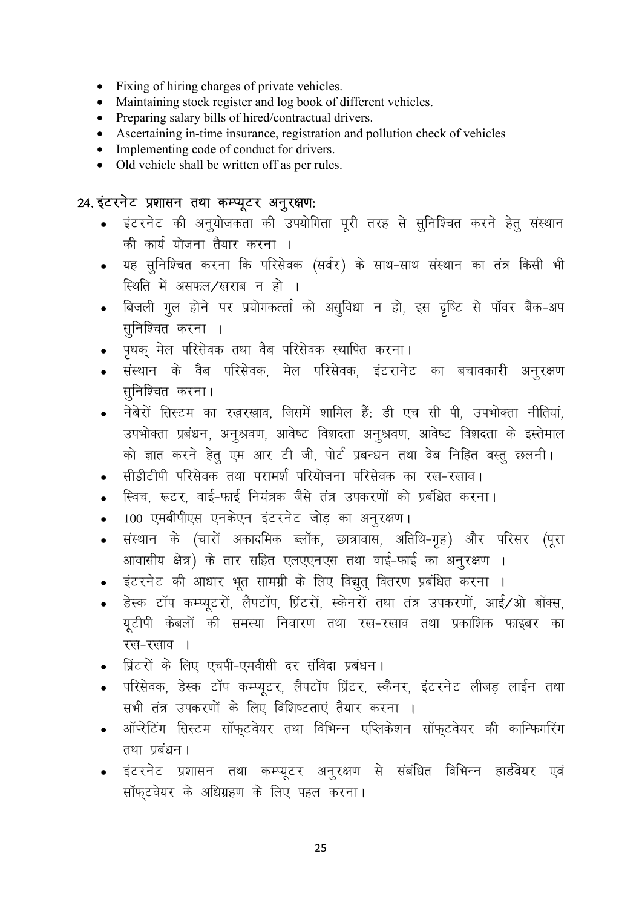- Fixing of hiring charges of private vehicles.
- Maintaining stock register and log book of different vehicles.
- Preparing salary bills of hired/contractual drivers.
- Ascertaining in-time insurance, registration and pollution check of vehicles
- Implementing code of conduct for drivers.
- Old vehicle shall be written off as per rules.

#### 24. इंटरनेट प्रशासन तथा कम्प्यूटर अनुरक्षण:

- इंटरनेट की अनुयोजकता की उपयोगिता पूरी तरह से सुनिश्चित करने हेतु संस्थान की कार्य योजना तैयार करना ।
- यह सुनिश्चित करना कि परिसेवक (सर्वर) के साथ-साथ संस्थान का तंत्र किसी भी स्थिति में असफल/खराब न हो ।
- बिजली गुल होने पर प्रयोगकर्त्ता को असुविधा न हो, इस दृष्टि से पॉवर बैक-अप सुनिश्चित करना ।
- पृथक् मेल परिसेवक तथा वैब परिसेवक स्थापित करना।
- संस्थान के वैब परिसेवक, मेल परिसेवक, इंटरानेट का बचावकारी अनुरक्षण सुनिश्चित करना।
- नेबेरों सिस्टम का रखरखाव, जिसमें शामिल हैं: डी एच सी पी, उपभोक्ता नीतियां, उपभोक्ता प्रबंधन, अनुश्रवण, आवेष्ट विशदता अनुश्रवण, आवेष्ट विशदता के इस्तेमाल को ज्ञात करने हेतु एम आर टी जी, पोर्ट प्रबन्धन तथा वेब निहित वस्तु छलनी।
- सीडीटीपी परिसेवक तथा परामर्श परियोजना परिसेवक का रख-रखाव।
- स्विच, रूटर, वाई-फाई नियंत्रक जैसे तंत्र उपकरणों को प्रबंधित करना।
- 100 एमबीपीएस एनकेएन इंटरनेट जोड़ का अनूरक्षण।
- संस्थान के (चारों अकादमिक ब्लॉक, छात्रावास, अतिथि-गृह) और परिसर (पूरा  $\bullet$ आवासीय क्षेत्र) के तार सहित एलएएनएस तथा वाई-फाई का अनूरक्षण ।
- इंटरनेट की आधार भूत सामग्री के लिए विद्युत् वितरण प्रबंधित करना ।
- डेस्क टॉप कम्प्यूटरों, लैपटॉप, प्रिंटरों, स्केनरों तथा तंत्र उपकरणों, आई/ओ बॉक्स, यूटीपी केबलों की समस्या निवारण तथा रख-रखाव तथा प्रकाशिक फाइबर का रख-रखाव ।
- प्रिंटरों के लिए एचपी-एमवीसी दर संविदा प्रबंधन।
- परिसेवक, डेस्क टॉप कम्प्युटर, लैपटॉप प्रिंटर, स्कैनर, इंटरनेट लीजड लाईन तथा सभी तंत्र उपकरणों के लिए विशिष्टताएं तैयार करना ।
- ऑप्रेटिंग सिस्टम सॉफुटवेयर तथा विभिन्न एप्लिकेशन सॉफुटवेयर की कान्फिगरिंग तथा प्रबंधन।
- इंटरनेट प्रशासन तथा कम्प्यूटर अनूरक्षण से संबंधित विभिन्न हार्डवेयर एवं सॉफ़्टवेयर के अधिग्रहण के लिए पहल करना।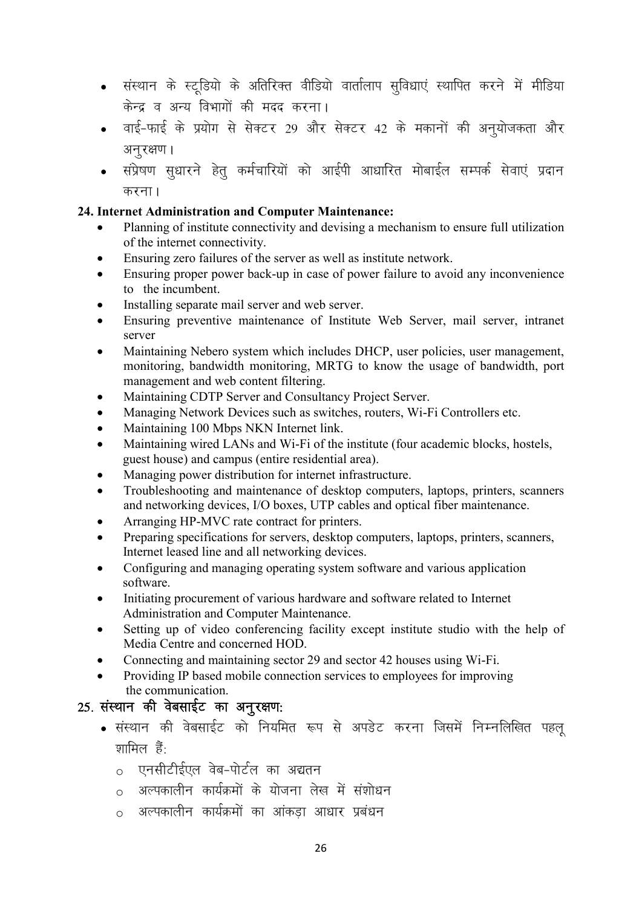- संस्थान के स्टूडियो के अतिरिक्त वीडियो वार्तालाप सुविधाएं स्थापित करने में मीडिया केन्द्र व अन्य विभागों की मदद करना।
- o वाई-फाई के प्रयोग से सेक्टर 29 और सेक्टर 42 के मकानों की अनूयोजकता और अनरक्षण ।
- संप्रेषण सूधारने हेतू कर्मचारियों को आईपी आधारित मोबाईल सम्पर्क सेवाएं प्रदान करना $<sub>1</sub>$ </sub>

#### 24. Internet Administration and Computer Maintenance:

- Planning of institute connectivity and devising a mechanism to ensure full utilization of the internet connectivity.
- Ensuring zero failures of the server as well as institute network.
- Ensuring proper power back-up in case of power failure to avoid any inconvenience to the incumbent.
- Installing separate mail server and web server.
- Ensuring preventive maintenance of Institute Web Server, mail server, intranet server
- Maintaining Nebero system which includes DHCP, user policies, user management, monitoring, bandwidth monitoring, MRTG to know the usage of bandwidth, port management and web content filtering.
- Maintaining CDTP Server and Consultancy Project Server.
- Managing Network Devices such as switches, routers, Wi-Fi Controllers etc.
- Maintaining 100 Mbps NKN Internet link.
- Maintaining wired LANs and Wi-Fi of the institute (four academic blocks, hostels, guest house) and campus (entire residential area).
- Managing power distribution for internet infrastructure.
- Troubleshooting and maintenance of desktop computers, laptops, printers, scanners and networking devices, I/O boxes, UTP cables and optical fiber maintenance.
- Arranging HP-MVC rate contract for printers.
- Preparing specifications for servers, desktop computers, laptops, printers, scanners, Internet leased line and all networking devices.
- Configuring and managing operating system software and various application software.
- Initiating procurement of various hardware and software related to Internet Administration and Computer Maintenance.
- Setting up of video conferencing facility except institute studio with the help of Media Centre and concerned HOD.
- Connecting and maintaining sector 29 and sector 42 houses using Wi-Fi.
- Providing IP based mobile connection services to employees for improving the communication.

## 25. संस्थान की वेबसाईट का अनुरक्षण:

- संस्थान की वेबसाईट को नियमित रूप से अपडेट करना जिसमें निम्नलिखित पहल  $\overline{y}$ ामिल हैं $\cdot$ 
	- $\circ$  एनसीटीईएल वेब-पोर्टल का अद्यतन
	- $\circ$  अल्पकालीन कार्यक्रमों के योजना लेख में संशोधन
	- $\circ$  अल्पकालीन कार्यक्रमों का आंकड़ा आधार प्रबंधन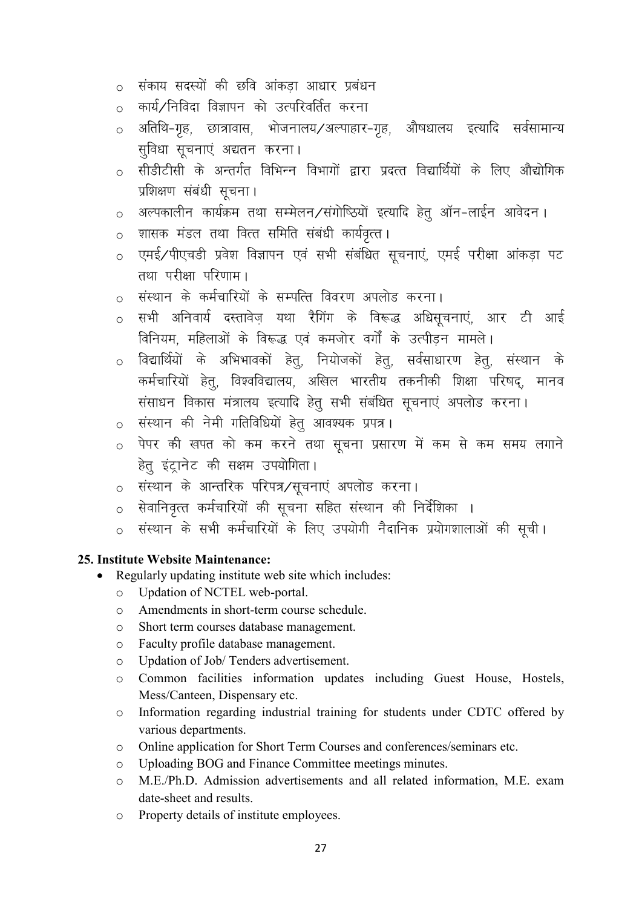- 0 संकाय सदस्यों की छवि आंकड़ा आधार प्रबंधन
- कार्य ∕निविदा विज्ञापन को उत्परिवर्तित करना  $\circ$
- अतिथि-गृह, छात्रावास, भोजनालय/अल्पाहार-गृह, औषधालय इत्यादि सर्वसामान्य  $\circ$ सविधा सचनाएं अद्यतन करना।
- o सीडीटीसी के अन्तर्गत विभिन्न विभागों द्वारा प्रदत्त विद्यार्थियों के लिए औद्योगिक प्रशिक्षण संबंधी सूचना।
- अल्पकालीन कार्यक्रम तथा सम्मेलन/संगोष्ठियों इत्यादि हेतू ऑन-लाईन आवेदन।  $\circ$
- शासक मंडल तथा वित्त समिति संबंधी कार्यवृत्त।  $\circ$
- o एमई/पीएचडी प्रवेश विज्ञापन एवं सभी संबंधित सूचनाएं, एमई परीक्षा आंकड़ा पट तथा परीक्षा परिणाम।
- o संस्थान के कर्मचारियों के सम्पत्ति विवरण अपलोड करना।
- o सभी अनिवार्य दस्तावेज़ यथा रैगिंग के विरूद्ध अधिसूचनाएं, आर टी आई विनियम, महिलाओं के विरूद्ध एवं कमजोर वर्गों के उत्पीडन मामले।
- विद्यार्थियों के अभिभावकों हेतु, नियोजकों हेतु, सर्वसाधारण हेतु, संस्थान के  $\circ$ कर्मचारियों हेतु, विश्वविद्यालय, अखिल भारतीय तकनीकी शिक्षा परिषद्, मानव संसाधन विकास मंत्रालय इत्यादि हेतु सभी संबंधित सूचनाएं अपलोड करना।
- o संस्थान की नेमी गतिविधियों हेतू आवश्यक प्रपत्र।
- पेपर की खपत को कम करने तथा सूचना प्रसारण में कम से कम समय लगाने  $\circ$ हेतु इंट्रानेट की सक्षम उपयोगिता।
- ० संस्थान के आन्तरिक परिपत्र∕सूचनाएं अपलोड करना ।
- <u>ं</u> सेवानिवृत्त कर्मचारियों की सूचना सहित संस्थान की निर्देशिका ।
- संस्थान के सभी कर्मचारियों के लिए उपयोगी नैदानिक प्रयोगशालाओं की सूची।  $\bigcap$

#### 25. Institute Website Maintenance:

- Regularly updating institute web site which includes:  $\bullet$ 
	- $\circ$ Updation of NCTEL web-portal.
	- Amendments in short-term course schedule.  $\circ$
	- Short term courses database management.  $\circ$
	- Faculty profile database management.  $\circ$
	- Updation of Job/Tenders advertisement.  $\Omega$
	- Common facilities information updates including Guest House, Hostels,  $\Omega$ Mess/Canteen, Dispensary etc.
	- Information regarding industrial training for students under CDTC offered by  $\circ$ various departments.
	- $\circ$ Online application for Short Term Courses and conferences/seminars etc.
	- Uploading BOG and Finance Committee meetings minutes.  $\bigcap$
	- M.E./Ph.D. Admission advertisements and all related information, M.E. exam  $\bigcap$ date-sheet and results.
	- Property details of institute employees.  $\Omega$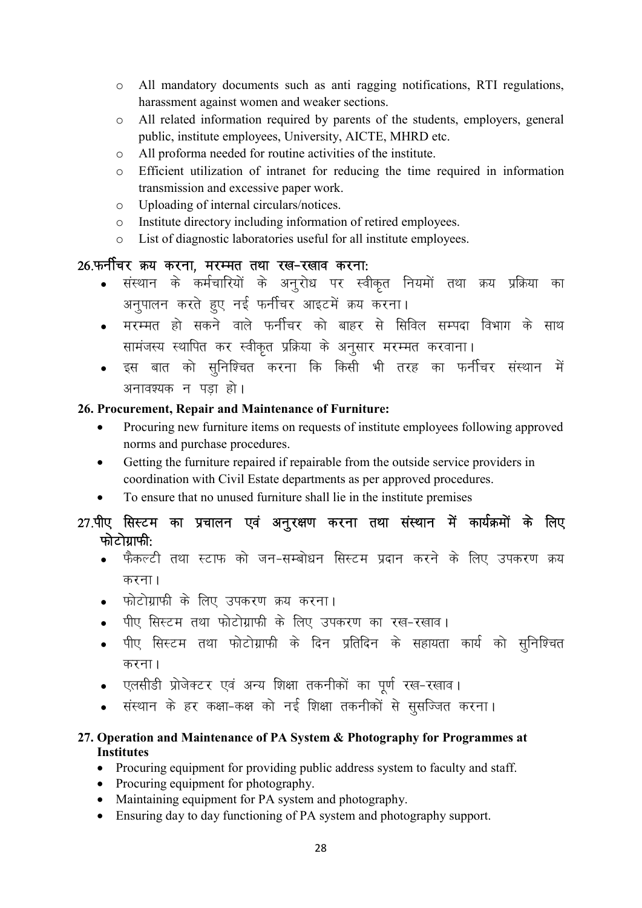- o All mandatory documents such as anti ragging notifications, RTI regulations, harassment against women and weaker sections.
- o All related information required by parents of the students, employers, general public, institute employees, University, AICTE, MHRD etc.
- o All proforma needed for routine activities of the institute.
- o Efficient utilization of intranet for reducing the time required in information transmission and excessive paper work.
- o Uploading of internal circulars/notices.
- o Institute directory including information of retired employees.
- o List of diagnostic laboratories useful for all institute employees.

## 26.फर्नीचर क्रय करना, मरम्मत तथा रख-रखाव करना:

- संस्थान के कर्मचारियों के अनुरोध पर स्वीकृत नियमों तथा क्रय प्रक्रिया का अनुपालन करते हुए नई फर्नीचर आइटमें क्रय करना।
- मरम्मत हो सकने वाले फर्नीचर को बाहर से सिविल सम्पदा विभाग के साथ सामंजस्य स्थापित कर स्वीकृत प्रक्रिया के अनुसार मरम्मत करवाना।
- इस बात को सुनिश्चित करना कि किसी भी तरह का फर्नीचर संस्थान में अनावश्यक न पड़ा हो।

#### 26. Procurement, Repair and Maintenance of Furniture:

- Procuring new furniture items on requests of institute employees following approved norms and purchase procedures.
- Getting the furniture repaired if repairable from the outside service providers in coordination with Civil Estate departments as per approved procedures.
- To ensure that no unused furniture shall lie in the institute premises

## 27.पीए सिस्टम का प्रचालन एवं अनुरक्षण करना तथा संस्थान में कार्यक्रमों के लिए फोटोग्राफी:

- फैकल्टी तथा स्टाफ को जन-सम्बोधन सिस्टम प्रदान करने के लिए उपकरण क्रय करना $<sub>1</sub>$ </sub>
- फोटोग्राफी के लिए उपकरण क्रय करना।
- पीए सिस्टम तथा फोटोग्राफी के लिए उपकरण का रख-रखाव।
- पीए सिस्टम तथा फोटोग्राफी के दिन प्रतिदिन के सहायता कार्य को सुनिश्चित करना।
- एलसीडी प्रोजेक्टर एवं अन्य शिक्षा तकनीकों का पूर्ण रख-रखाव।
- संस्थान के हर कक्षा-कक्ष को नई शिक्षा तकनीकों से सुसज्जित करना।

#### 27. Operation and Maintenance of PA System & Photography for Programmes at **Institutes**

- Procuring equipment for providing public address system to faculty and staff.
- Procuring equipment for photography.
- Maintaining equipment for PA system and photography.
- Ensuring day to day functioning of PA system and photography support.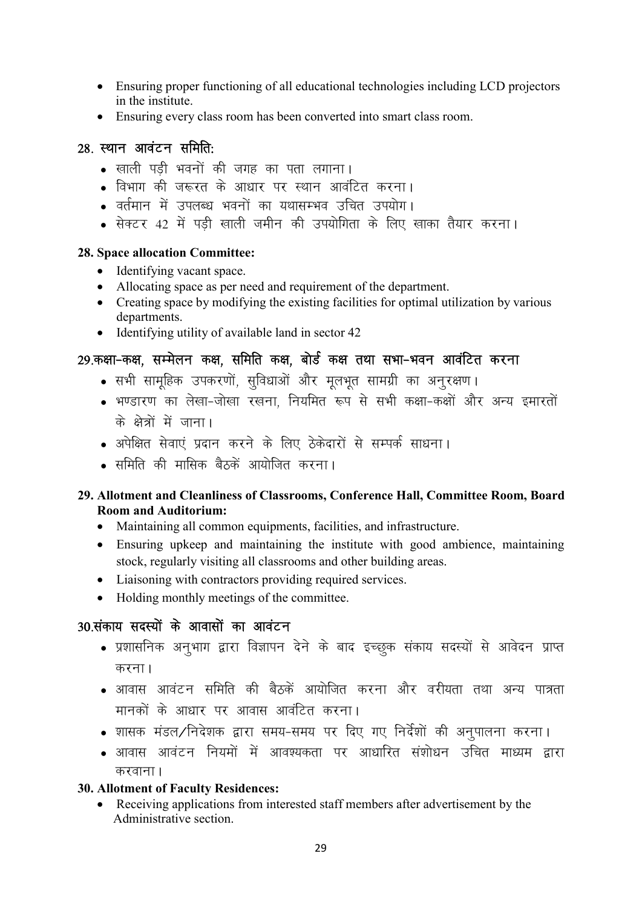- Ensuring proper functioning of all educational technologies including LCD projectors in the institute.
- Ensuring every class room has been converted into smart class room.

#### 28. स्थान आवंटन समिति:

- खाली पडी भवनों की जगह का पता लगाना।
- विभाग की जरूरत के आधार पर स्थान आवंटित करना।
- वर्तमान में उपलब्ध भवनों का यथासम्भव उचित उपयोग।
- सेक्टर 42 में पड़ी खाली जमीन की उपयोगिता के लिए खाका तैयार करना।

#### 28. Space allocation Committee:

- Identifying vacant space.
- Allocating space as per need and requirement of the department.
- Creating space by modifying the existing facilities for optimal utilization by various departments.
- Identifying utility of available land in sector 42

#### 29.कक्षा-कक्ष. सम्मेलन कक्ष. समिति कक्ष. बोर्ड कक्ष तथा सभा-भवन आवंटित करना

- सभी सामूहिक उपकरणों, सुविधाओं और मूलभूत सामग्री का अनुरक्षण।
- भण्डारण का लेखा-जोखा रखना. नियमित रूप से सभी कक्षा-कक्षों और अन्य इमारतों के क्षेत्रों में जाना।
- अपेक्षित सेवाएं प्रदान करने के लिए ठेकेदारों से सम्पर्क साधना।
- समिति की मासिक बैठकें आयोजित करना।

#### 29. Allotment and Cleanliness of Classrooms, Conference Hall, Committee Room, Board Room and Auditorium:

- Maintaining all common equipments, facilities, and infrastructure.
- Ensuring upkeep and maintaining the institute with good ambience, maintaining stock, regularly visiting all classrooms and other building areas.
- Liaisoning with contractors providing required services.
- Holding monthly meetings of the committee.

## 30 संकाय सदस्यों के आवासों का आवंटन

- प्रशासनिक अनुभाग द्वारा विज्ञापन देने के बाद इच्छुक संकाय सदस्यों से आवेदन प्राप्त करना $<sub>1</sub>$ </sub>
- आवास आवंटन समिति की बैठकें आयोजित करना और वरीयता तथा अन्य पात्रता मानकों के आधार पर आवास आवंटित करना।
- शासक मंडल∕निदेशक द्वारा समय-समय पर दिए गए निर्देशों की अनपालना करना।
- आवास आवंटन नियमों में आवश्यकता पर आधारित संशोधन उचित माध्यम द्रारा करवाना $\overline{\phantom{a}}$

#### 30. Allotment of Faculty Residences:

 Receiving applications from interested staff members after advertisement by the Administrative section.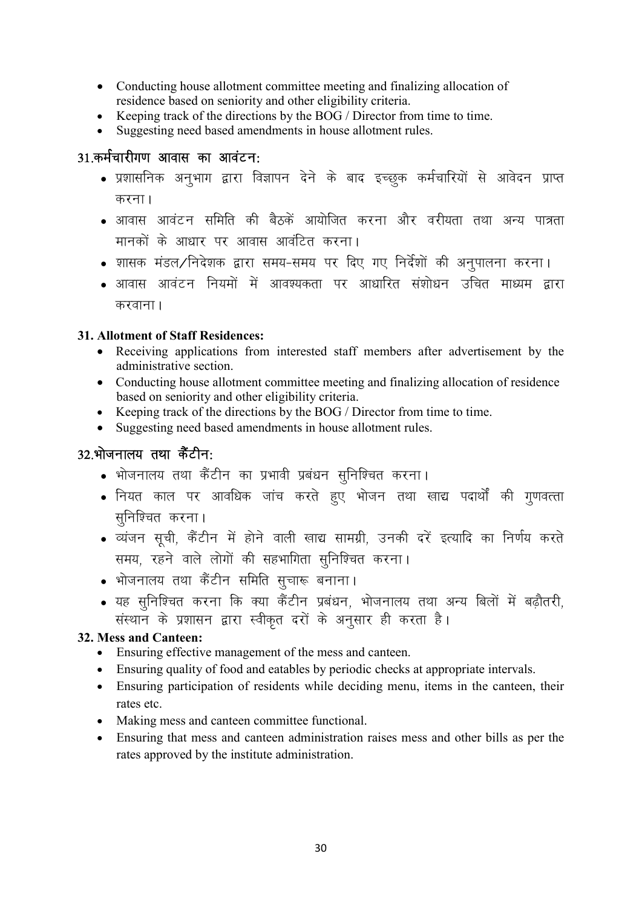- Conducting house allotment committee meeting and finalizing allocation of residence based on seniority and other eligibility criteria.<br>• Keeping track of the directions by the BOG / Director fro
- Keeping track of the directions by the BOG / Director from time to time.
- Suggesting need based amendments in house allotment rules.

#### 31.कर्मचारीगण आवास का आवंटन:

- प्रशासनिक अनुभाग द्वारा विज्ञापन देने के बाद इच्छुक कर्मचारियों से आवेदन प्राप्त करना।
- आवास आवंटन समिति की बैठकें आयोजित करना और वरीयता तथा अन्य पात्रता मानकों के आधार पर आवास आवंटित करना।
- शासक मंडल∕निदेशक द्वारा समय-समय पर दिए गए निर्देशों की अनुपालना करना।
- आवास आवंटन नियमों में आवश्यकता पर आधारित संशोधन उचित माध्यम द्वारा करवाना $\overline{1}$

#### 31. Allotment of Staff Residences:

- Receiving applications from interested staff members after advertisement by the administrative section.
- Conducting house allotment committee meeting and finalizing allocation of residence based on seniority and other eligibility criteria.
- Keeping track of the directions by the BOG / Director from time to time.
- Suggesting need based amendments in house allotment rules.

#### $32.$ भोजनालय तथा कैंटीन:

- भोजनालय तथा कैंटीन का प्रभावी प्रबंधन सुनिश्चित करना।
- नियत काल पर आवधिक जांच करते हुए भोजन तथा खाद्य पदार्थों की गुणवत्ता सुनिश्चित करना।
- व्यंजन सची, कैंटीन में होने वाली खाद्य सामग्री, उनकी दरें इत्यादि का निर्णय करते समय, रहने वाले लोगों की सहभागिता सुनिश्चित करना।
- भोजनालय तथा कैंटीन समिति सूचारू बनाना।
- यह सुनिश्चित करना कि क्या कैंटीन प्रबंधन, भोजनालय तथा अन्य बिलों में बढौतरी, संस्थान के प्रशासन द्वारा स्वीकृत दरों के अनुसार ही करता है।

#### 32. Mess and Canteen:

- Ensuring effective management of the mess and canteen.
- Ensuring quality of food and eatables by periodic checks at appropriate intervals.
- Ensuring participation of residents while deciding menu, items in the canteen, their rates etc.
- Making mess and canteen committee functional.
- Ensuring that mess and canteen administration raises mess and other bills as per the rates approved by the institute administration.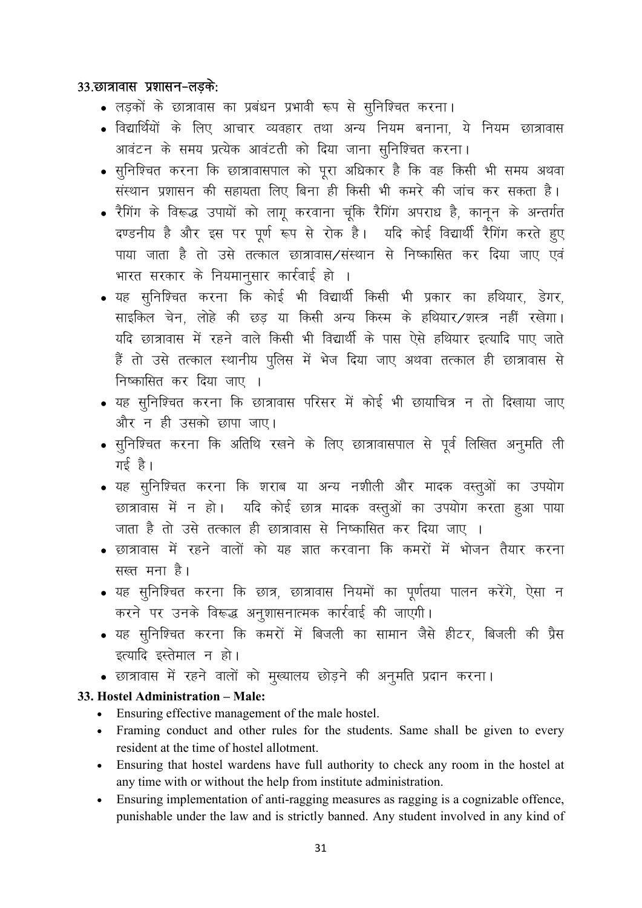#### 33.छात्रावास प्रशासन-लडके:

- लड़कों के छात्रावास का प्रबंधन प्रभावी रूप से सुनिश्चित करना।
- विद्यार्थियों के लिए आचार व्यवहार तथा अन्य नियम बनाना, ये नियम छात्रावास आवंटन के समय प्रत्येक आवंटती को दिया जाना सनिश्चित करना।
- सुनिश्चित करना कि छात्रावासपाल को पूरा अधिकार है कि वह किसी भी समय अथवा संस्थान प्रशासन की सहायता लिए बिना ही किसी भी कमरे की जांच कर सकता है।
- रैगिंग के विरूद्ध उपायों को लागू करवाना चूंकि रैगिंग अपराध है, कानून के अन्तर्गत दण्डनीय है और इस पर पूर्ण रूप से रोक है। यदि कोई विद्यार्थी रैगिंग करते हूए पाया जाता है तो उसे तत्काल छात्रावास/संस्थान से निष्कासित कर दिया जाए एवं भारत सरकार के नियमानूसार कार्रवाई हो ।
- यह सुनिश्चित करना कि कोई भी विद्यार्थी किसी भी प्रकार का हथियार, डेगर, साइकिल चेन, लोहे की छड़ या किसी अन्य किस्म के हथियार/शस्त्र नहीं रखेगा। यदि छात्रावास में रहने वाले किसी भी विद्यार्थी के पास ऐसे हथियार इत्यादि पाए जाते हैं तो उसे तत्काल स्थानीय पुलिस में भेज दिया जाए अथवा तत्काल ही छात्रावास से निष्कासित कर दिया जाए ।
- यह सुनिश्चित करना कि छात्रावास परिसर में कोई भी छायाचित्र न तो दिखाया जाए और न ही उसको छापा जाए।
- सुनिश्चित करना कि अतिथि रखने के लिए छात्रावासपाल से पूर्व लिखित अनूमति ली गई है।
- यह सुनिश्चित करना कि शराब या अन्य नशीली और मादक वस्तुओं का उपयोग छात्रावास में न हो। यदि कोई छात्र मादक वस्तुओं का उपयोग करता हुआ पाया जाता है तो उसे तत्काल ही छात्रावास से निष्कासित कर दिया जाए ।
- छात्रावास में रहने वालों को यह ज्ञात करवाना कि कमरों में भोजन तैयार करना सख्त मना है।
- यह सुनिश्चित करना कि छात्र, छात्रावास नियमों का पूर्णतया पालन करेंगे, ऐसा न करने पर उनके विरूद्ध अनुशासनात्मक कार्रवाई की जाएगी।
- यह सुनिश्चित करना कि कमरों में बिजली का सामान जैसे हीटर, बिजली की प्रैस इत्यादि इस्तेमाल न हो।
- छात्रावास में रहने वालों को मुख्यालय छोड़ने की अनुमति प्रदान करना।

#### 33. Hostel Administration - Male:

- Ensuring effective management of the male hostel.
- Framing conduct and other rules for the students. Same shall be given to every resident at the time of hostel allotment.
- Ensuring that hostel wardens have full authority to check any room in the hostel at any time with or without the help from institute administration.
- Ensuring implementation of anti-ragging measures as ragging is a cognizable offence,  $\bullet$ punishable under the law and is strictly banned. Any student involved in any kind of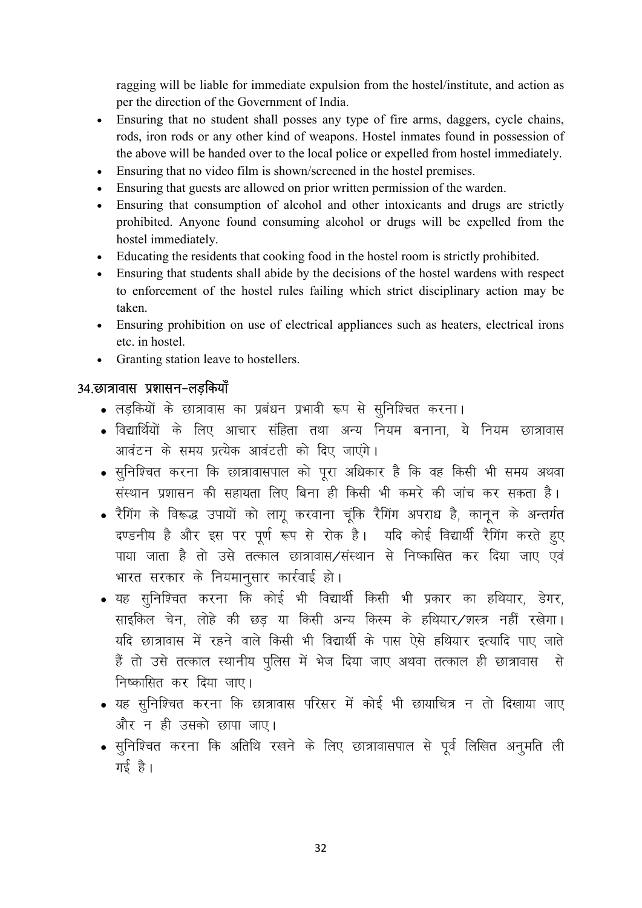ragging will be liable for immediate expulsion from the hostel/institute, and action as per the direction of the Government of India.

- Ensuring that no student shall posses any type of fire arms, daggers, cycle chains, rods, iron rods or any other kind of weapons. Hostel inmates found in possession of the above will be handed over to the local police or expelled from hostel immediately.
- Ensuring that no video film is shown/screened in the hostel premises.
- Ensuring that guests are allowed on prior written permission of the warden.
- Ensuring that consumption of alcohol and other intoxicants and drugs are strictly prohibited. Anyone found consuming alcohol or drugs will be expelled from the hostel immediately.
- Educating the residents that cooking food in the hostel room is strictly prohibited.
- Ensuring that students shall abide by the decisions of the hostel wardens with respect to enforcement of the hostel rules failing which strict disciplinary action may be taken.
- Ensuring prohibition on use of electrical appliances such as heaters, electrical irons etc. in hostel.
- Granting station leave to hostellers.

#### 34.छात्रावास प्रशासन-लडकियाँ

- लड़कियों के छात्रावास का प्रबंधन प्रभावी रूप से सुनिश्चित करना।
- विद्यार्थियों के लिए आचार संहिता तथा अन्य नियम बनाना, ये नियम छात्रावास आवंटन के समय प्रत्येक आवंटती को दिए जाएंगे।
- सनिश्चित करना कि छात्रावासपाल को परा अधिकार है कि वह किसी भी समय अथवा संस्थान प्रशासन की सहायता लिए बिना ही किसी भी कमरे की जांच कर सकता है।
- रैगिंग के विरूद्ध उपायों को लागू करवाना चूंकि रैगिंग अपराध है, कानून के अन्तर्गत दण्डनीय है और इस पर पूर्ण रूप से रोक है। पदि कोई विद्यार्थी रैगिंग करते हूए पाया जाता है तो उसे तत्काल छात्रावास/संस्थान से निष्कासित कर दिया जाए एवं भारत सरकार के नियमानुसार कार्रवाई हो।
- यह सुनिश्चित करना कि कोई भी विद्यार्थी किसी भी प्रकार का हथियार, डेगर, साइकिल चेन, लोहे की छुड या किसी अन्य किस्म के हथियार/शस्त्र नहीं रखेगा। यदि छात्रावास में रहने वाले किसी भी विद्यार्थी के पास ऐसे हथियार इत्यादि पाए जाते हैं तो उसे तत्काल स्थानीय पुलिस में भेज दिया जाए अथवा तत्काल ही छात्रावास से निष्कासित कर दिया जाए।
- यह सुनिश्चित करना कि छात्रावास परिसर में कोई भी छायाचित्र न तो दिखाया जाए और न ही उसको छापा जाए।
- सुनिश्चित करना कि अतिथि रखने के लिए छात्रावासपाल से पूर्व लिखित अनुमति ली  $\pi \xi$  है।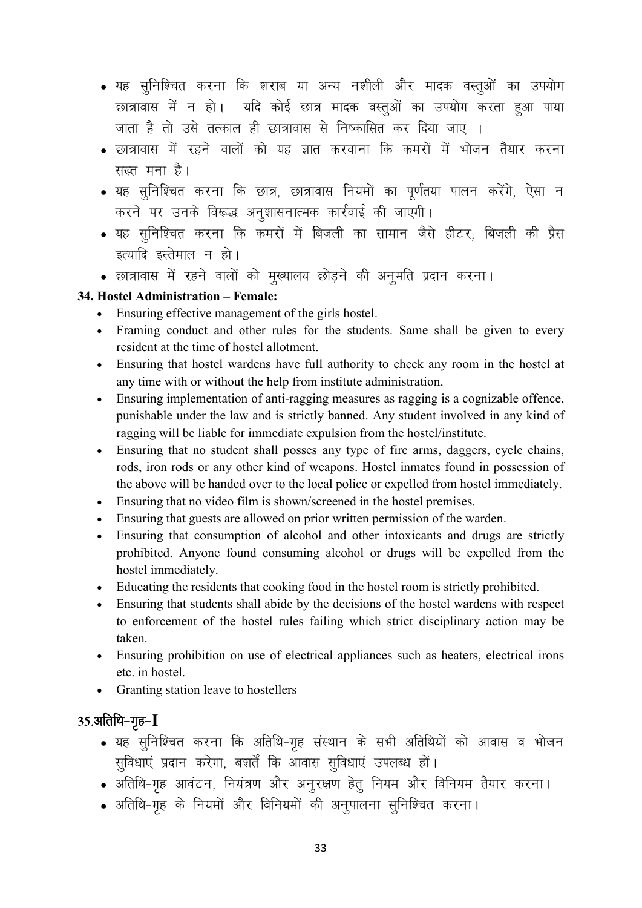- यह सुनिश्चित करना कि शराब या अन्य नशीली और मादक वस्तुओं का उपयोग छात्रावास में न हो। यदि कोई छात्र मादक वस्तुओं का उपयोग करता हुआ पाया जाता है तो उसे तत्काल ही छात्रावास से निष्कासित कर दिया जाए ।
- छात्रावास में रहने वालों को यह ज्ञात करवाना कि कमरों में भोजन तैयार करना सख्त मना है।
- यह सूनिश्चित करना कि छात्र, छात्रावास नियमों का पूर्णतया पालन करेंगे, ऐसा न करने पर उनके विरूद्ध अनूशासनात्मक कार्रवाई की जाएगी।
- यह सूनिश्चित करना कि कमरों में बिजली का सामान जैसे हीटर, बिजली की प्रैस इत्यादि इस्तेमाल न हो।
- छात्रावास में रहने वालों को मुख्यालय छोड़ने की अनुमति प्रदान करना।

#### 34. Hostel Administration – Female:

- Ensuring effective management of the girls hostel.
- Framing conduct and other rules for the students. Same shall be given to every resident at the time of hostel allotment.
- Ensuring that hostel wardens have full authority to check any room in the hostel at any time with or without the help from institute administration.
- Ensuring implementation of anti-ragging measures as ragging is a cognizable offence, punishable under the law and is strictly banned. Any student involved in any kind of ragging will be liable for immediate expulsion from the hostel/institute.
- Ensuring that no student shall posses any type of fire arms, daggers, cycle chains, rods, iron rods or any other kind of weapons. Hostel inmates found in possession of the above will be handed over to the local police or expelled from hostel immediately.
- Ensuring that no video film is shown/screened in the hostel premises.
- Ensuring that guests are allowed on prior written permission of the warden.
- Ensuring that consumption of alcohol and other intoxicants and drugs are strictly prohibited. Anyone found consuming alcohol or drugs will be expelled from the hostel immediately.
- Educating the residents that cooking food in the hostel room is strictly prohibited.
- Ensuring that students shall abide by the decisions of the hostel wardens with respect to enforcement of the hostel rules failing which strict disciplinary action may be taken.
- Ensuring prohibition on use of electrical appliances such as heaters, electrical irons etc. in hostel.
- Granting station leave to hostellers

## $35.$ अतिथि-गृह- $I$

- यह सुनिश्चित करना कि अतिथि-गृह संस्थान के सभी अतिथियों को आवास व भोजन सुविधाएं प्रदान करेगा, बशर्तें कि आवास सुविधाएं उपलब्ध हों।
- अतिथि-गृह आवंटन, नियंत्रण और अनुरक्षण हेतु नियम और विनियम तैयार करना।
- अतिथि-गृह के नियमों और विनियमों की अनुपालना सुनिश्चित करना।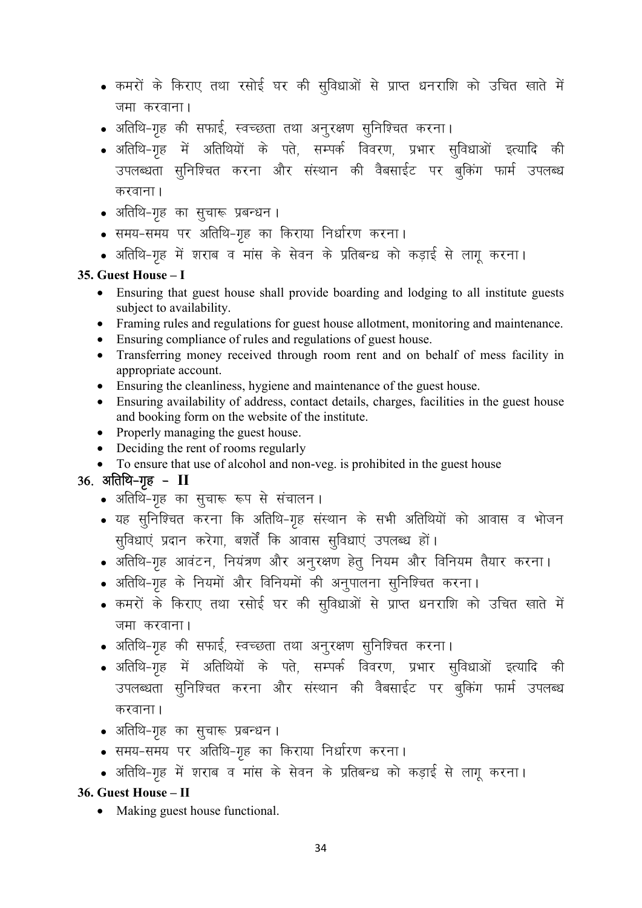- कमरों के किराए तथा रसोई घर की सुविधाओं से प्राप्त धनराशि को उचित खाते में जमा करवाना।
- अतिथि-गृह की सफाई, स्वच्छता तथा अनुरक्षण सुनिश्चित करना।
- अतिथि-गृह में अतिथियों के पते, सम्पर्क विवरण, प्रभार सुविधाओं इत्यादि की उपलब्धता सुनिश्चित करना और संस्थान की वैबसाईट पर बुकिंग फार्म उपलब्ध करवाना ।
- अतिथि-गृह का सुचारू प्रबन्धन।
- समय-समय पर अतिथि-गृह का किराया निर्धारण करना।
- अतिथि-गृह में शराब व मांस के सेवन के प्रतिबन्ध को कड़ाई से लागू करना।

#### 35. Guest House – I

- Ensuring that guest house shall provide boarding and lodging to all institute guests subject to availability.
- Framing rules and regulations for guest house allotment, monitoring and maintenance.
- Ensuring compliance of rules and regulations of guest house.
- Transferring money received through room rent and on behalf of mess facility in appropriate account.
- Ensuring the cleanliness, hygiene and maintenance of the guest house.
- Ensuring availability of address, contact details, charges, facilities in the guest house and booking form on the website of the institute.
- Properly managing the guest house.
- Deciding the rent of rooms regularly
- To ensure that use of alcohol and non-veg. is prohibited in the guest house

## $36.$  अतिथि-गृह -  $II$

- अतिथि-गृह का सुचारू रूप से संचालन।
- यह सुनिश्चित करना कि अतिथि-गृह संस्थान के सभी अतिथियों को आवास व भोजन सुविधाएं प्रदान करेगा, बशर्तें कि आवास सुविधाएं उपलब्ध हों।
- अतिथि-गृह आवंटन, नियंत्रण और अनुरक्षण हेतु नियम और विनियम तैयार करना।
- अतिथि-गृह के नियमों और विनियमों की अनुपालना सुनिश्चित करना।
- कमरों के किराए तथा रसोई घर की सुविधाओं से प्राप्त धनराशि को उचित खाते में जमा करवाना।
- अतिथि-गृह की सफाई, स्वच्छता तथा अनूरक्षण सूनिश्चित करना।
- अतिथि-गृह में अतिथियों के पते, सम्पर्क विवरण, प्रभार सुविधाओं इत्यादि की उपलब्धता सुनिश्चित करना और संस्थान की वैबसाईट पर बुकिंग फार्म उपलब्ध करवाना।
- अतिथि-गृह का सुचारू प्रबन्धन ।
- समय-समय पर अतिथि-गृह का किराया निर्धारण करना।
- अतिथि-गृह में शराब व मांस के सेवन के प्रतिबन्ध को कड़ाई से लागू करना।

#### 36. Guest House – II

• Making guest house functional.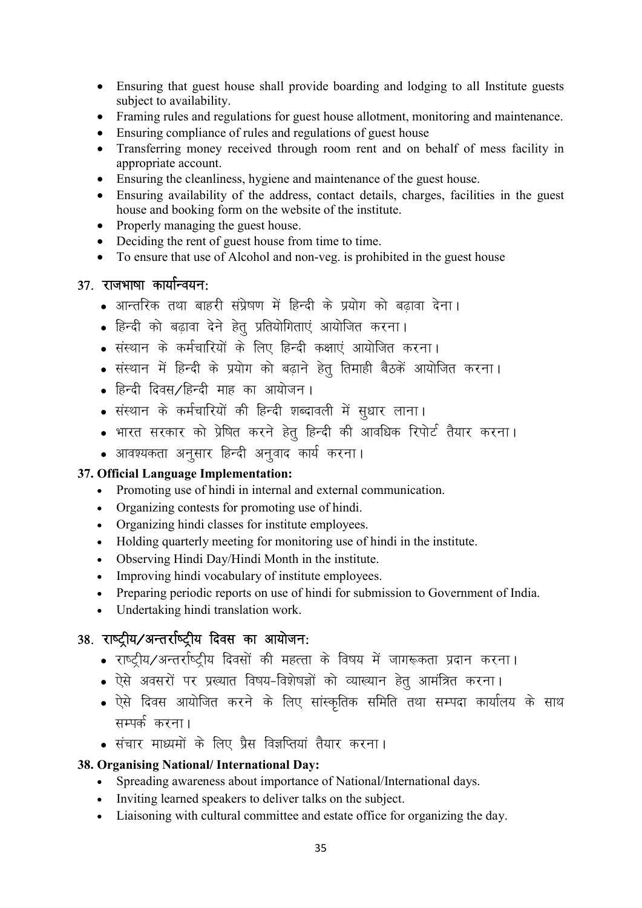- Ensuring that guest house shall provide boarding and lodging to all Institute guests subject to availability.
- Framing rules and regulations for guest house allotment, monitoring and maintenance.
- Ensuring compliance of rules and regulations of guest house
- Transferring money received through room rent and on behalf of mess facility in appropriate account.
- Ensuring the cleanliness, hygiene and maintenance of the guest house.
- Ensuring availability of the address, contact details, charges, facilities in the guest house and booking form on the website of the institute.
- Properly managing the guest house.
- Deciding the rent of guest house from time to time.
- To ensure that use of Alcohol and non-veg. is prohibited in the guest house

#### $37.$  राजभाषा कार्यान्वयन:

- आन्तरिक तथा बाहरी संप्रेषण में हिन्दी के प्रयोग को बढावा देना।
- हिन्दी को बढावा देने हेत् प्रतियोगिताएं आयोजित करना।
- संस्थान के कर्मचारियों के लिए हिन्दी कक्षाएं आयोजित करना।
- संस्थान में हिन्दी के प्रयोग को बढ़ाने हेतु तिमाही बैठकें आयोजित करना।
- हिन्दी दिवस /हिन्दी माह का आयोजन।
- संस्थान के कर्मचारियों की हिन्दी शब्दावली में सुधार लाना।
- भारत सरकार को प्रेषित करने हेतु हिन्दी की आवधिक रिपोर्ट तैयार करना।
- आवश्यकता अनुसार हिन्दी अनुवाद कार्य करना।

#### 37. Official Language Implementation:

- Promoting use of hindi in internal and external communication.
- Organizing contests for promoting use of hindi.
- Organizing hindi classes for institute employees.
- Holding quarterly meeting for monitoring use of hindi in the institute.
- Observing Hindi Day/Hindi Month in the institute.
- Improving hindi vocabulary of institute employees.
- Preparing periodic reports on use of hindi for submission to Government of India.
- Undertaking hindi translation work.

## 38. राष्ट्रीय/अन्तर्राष्ट्रीय दिवस का आयोजन:

- राष्ट्रीय/अन्तर्राष्ट्रीय दिवसों की महत्ता के विषय में जागरूकता प्रदान करना।
- . ऐसे अवसरों पर प्रख्यात विषय-विशेषज्ञों को व्याख्यान हेतु आमंत्रित करना।
- ऐसे दिवस आयोजित करने के लिए सांस्कृतिक समिति तथा सम्पदा कार्यालय के साथ सम्पर्क करना।
- संचार माध्यमों के लिए प्रैस विज्ञप्तियां तैयार करना।

#### 38. Organising National/ International Day:

- Spreading awareness about importance of National/International days.
- Inviting learned speakers to deliver talks on the subject.
- Liaisoning with cultural committee and estate office for organizing the day.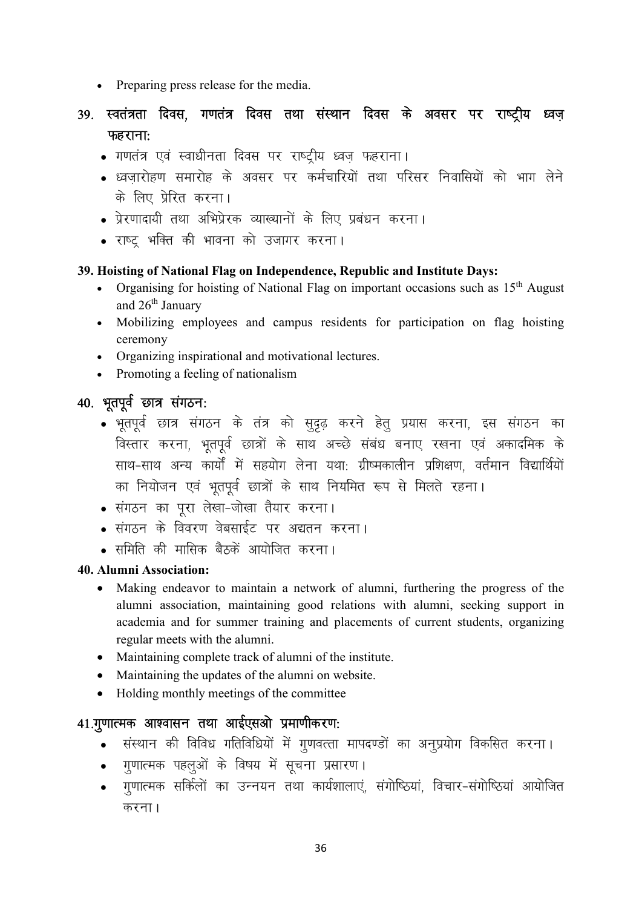- Preparing press release for the media.
- 39. स्वतंत्रता दिवस, गणतंत्र दिवस तथा संस्थान दिवस के अवसर पर राष्ट्रीय ध्वज़  $\overline{\text{W}}$ कहराना:
	- . गणतंत्र एवं स्वाधीनता दिवस पर राष्ट्रीय ध्वज़ फहराना।
	- ध्वजारोहण समारोह के अवसर पर कर्मचारियों तथा परिसर निवासियों को भाग लेने के लिए प्रेरित करना।
	- प्रेरणादायी तथा अभिप्रेरक व्याख्यानों के लिए प्रबंधन करना।
	- राष्ट् भक्ति की भावना को उजागर करना।

#### 39. Hoisting of National Flag on Independence, Republic and Institute Days:

- Organising for hoisting of National Flag on important occasions such as  $15<sup>th</sup>$  August and 26th January
- Mobilizing employees and campus residents for participation on flag hoisting ceremony
- Organizing inspirational and motivational lectures.
- Promoting a feeling of nationalism

## 40. भूतपूर्व छात्र संगठन:

- भूतपूर्व छात्र संगठन के तंत्र को सुदृढ़ करने हेतु प्रयास करना, इस संगठन का विस्तार करना, भूतपूर्व छात्रों के साथ अच्छे संबंध बनाए रखना एवं अकादमिक के साथ-साथ अन्य कार्यों में सहयोग लेना यथा: ग्रीष्मकालीन प्रशिक्षण, वर्तमान विद्यार्थियों का नियोजन एवं भूतपूर्व छात्रों के साथ नियमित रूप से मिलते रहना।
- संगठन का पूरा लेखा-जोखा तैयार करना।
- **.** संगठन के विवरण वेबसाईट पर अद्यतन करना।
- समिति की मासिक बैठकें आयोजित करना।

#### 40. Alumni Association:

- Making endeavor to maintain a network of alumni, furthering the progress of the alumni association, maintaining good relations with alumni, seeking support in academia and for summer training and placements of current students, organizing regular meets with the alumni.
- Maintaining complete track of alumni of the institute.
- Maintaining the updates of the alumni on website.
- Holding monthly meetings of the committee

#### 41.गुणात्मक आश्वासन तथा आईएसओ प्रमाणीकरण:

- संस्थान की विविध गतिविधियों में गूणवत्ता मापदण्डों का अनूप्रयोग विकसित करना।
- गुणात्मक पहलुओं के विषय में सूचना प्रसारण।
- गणात्मक सर्किलों का उन्नयन तथा कार्यशालाएं, संगोष्ठियां, विचार-संगोष्ठियां आयोजित करना $<sub>1</sub>$ </sub>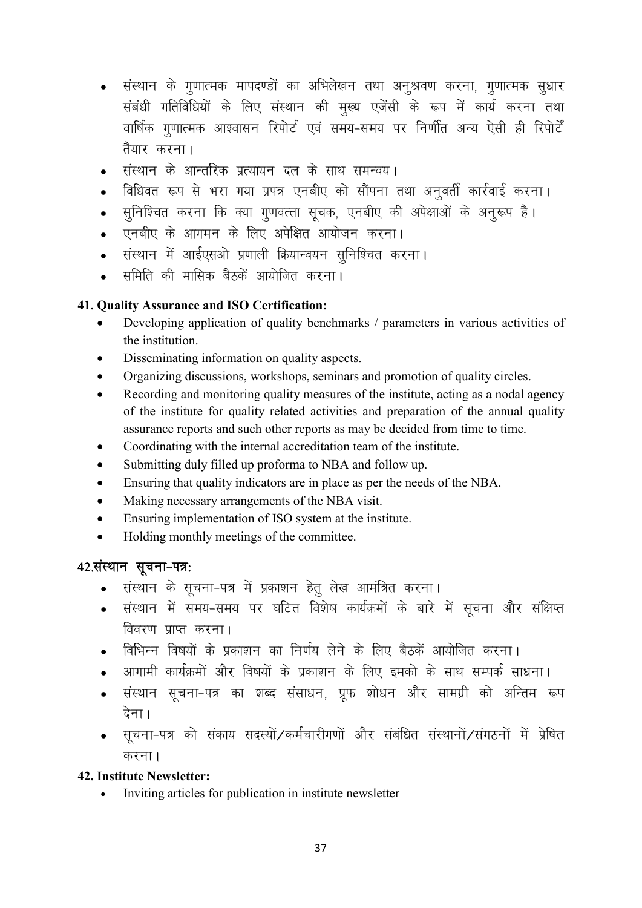- संस्थान के गुणात्मक मापदण्डों का अभिलेखन तथा अनुश्रवण करना, गुणात्मक सुधार संबंधी गतिविधियों के लिए संस्थान की मुख्य एजेंसी के रूप में कार्य करना तथा वार्षिक गणात्मक आश्वासन रिपोर्ट एवं समय-समय पर निर्णीत अन्य ऐसी ही रिपोर्टें तैयार करना।
- संस्थान के आन्तरिक प्रत्यायन दल के साथ समन्वय।
- विधिवत रूप से भरा गया प्रपत्र एनबीए को सौंपना तथा अनूवर्ती कार्रवाई करना।
- सूनिश्चित करना कि क्या गूणवत्ता सूचक, एनबीए की अपेक्षाओं के अनूरूप है।
- एनबीए के आगमन के लिए अपेक्षित आयोजन करना।
- संस्थान में आईएसओ प्रणाली क्रियान्वयन सनिश्चित करना।
- समिति की मासिक बैठकें आयोजित करना।

#### 41. Quality Assurance and ISO Certification:

- Developing application of quality benchmarks / parameters in various activities of the institution.
- Disseminating information on quality aspects.
- Organizing discussions, workshops, seminars and promotion of quality circles.
- Recording and monitoring quality measures of the institute, acting as a nodal agency of the institute for quality related activities and preparation of the annual quality assurance reports and such other reports as may be decided from time to time.
- Coordinating with the internal accreditation team of the institute.
- Submitting duly filled up proforma to NBA and follow up.
- Ensuring that quality indicators are in place as per the needs of the NBA.
- Making necessary arrangements of the NBA visit.
- Ensuring implementation of ISO system at the institute.
- Holding monthly meetings of the committee.

## 42. संस्थान सूचना-पत्र:

- संस्थान के सूचना-पत्र में प्रकाशन हेतु लेख आमंत्रित करना।
- संस्थान में समय-समय पर घटित विशेष कार्यक्रमों के बारे में सूचना और संक्षिप्त विवरण प्राप्त करना।
- विभिन्न विषयों के प्रकाशन का निर्णय लेने के लिए बैठकें आयोजित करना।
- आगामी कार्यक्रमों और विषयों के प्रकाशन के लिए इमको के साथ सम्पर्क साधना।
- संस्थान सूचना-पत्र का शब्द संसाधन, प्रूफ शोधन और सामग्री को अन्तिम रूप देना।
- सूचना-पत्र को संकाय सदस्यों/कर्मचारीगणों और संबंधित संस्थानों/संगठनों में प्रेषित करना।

#### 42. Institute Newsletter:

• Inviting articles for publication in institute newsletter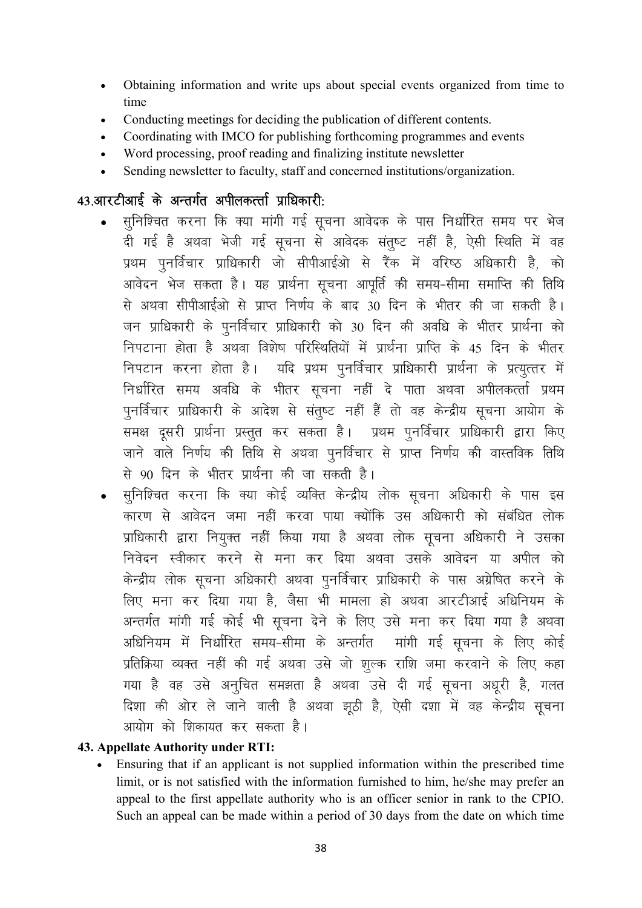- Obtaining information and write ups about special events organized from time to  $\bullet$ time
- Conducting meetings for deciding the publication of different contents.
- Coordinating with IMCO for publishing forthcoming programmes and events
- Word processing, proof reading and finalizing institute newsletter
- Sending newsletter to faculty, staff and concerned institutions/organization.

## 43.आरटीआई के अन्तर्गत अपीलकर्त्ता प्राधिकारी:

- सुनिश्चित करना कि क्या मांगी गई सूचना आवेदक के पास निर्धारित समय पर भेज दी गई है अथवा भेजी गई सूचना से आवेदक संतुष्ट नहीं है, ऐसी स्थिति में वह प्रथम पुनर्विचार प्राधिकारी जो सीपीआईओ से रैंक में वरिष्ठ अधिकारी है. को आवेदन भेज सकता है। यह प्रार्थना सूचना आपूर्ति की समय-सीमा समाप्ति की तिथि से अथवा सीपीआईओ से प्राप्त निर्णय के बाद 30 दिन के भीतर की जा सकती है। जन प्राधिकारी के पुनर्विचार प्राधिकारी को 30 दिन की अवधि के भीतर प्रार्थना को निपटाना होता है अथवा विशेष परिस्थितियों में प्रार्थना प्राप्ति के 45 दिन के भीतर निपटान करना होता है। यदि प्रथम पुनर्विचार प्राधिकारी प्रार्थना के प्रत्युत्तर में निर्धारित समय अवधि के भीतर सूचना नहीं दे पाता अथवा अपीलकर्त्ता प्रथम .<br>पुनर्विचार प्राधिकारी के आदेश से संतुष्ट नहीं हैं तो वह केन्द्रीय सूचना आयोग के समक्ष दूसरी प्रार्थना प्रस्तुत कर सकता है। प्रथम पुनर्विचार प्राधिकारी द्वारा किए जाने वाले निर्णय की तिथि से अथवा पूनर्विचार से प्राप्त निर्णय की वास्तविक तिथि से 90 दिन के भीतर प्रार्थना की जा सकती है।
- सुनिश्चित करना कि क्या कोई व्यक्ति केन्द्रीय लोक सूचना अधिकारी के पास इस कारण से आवेदन जमा नहीं करवा पाया क्योंकि उस अधिकारी को संबंधित लोक प्राधिकारी द्वारा नियूक्त नहीं किया गया है अथवा लोक सूचना अधिकारी ने उसका निवेदन स्वीकार करने से मना कर दिया अथवा उसके आवेदन या अपील को केन्द्रीय लोक सूचना अधिकारी अथवा पुनर्विचार प्राधिकारी के पास अग्रेषित करने के लिए मना कर दिया गया है, जैसा भी मामला हो अथवा आरटीआई अधिनियम के अन्तर्गत मांगी गई कोई भी सूचना देने के लिए उसे मना कर दिया गया है अथवा अधिनियम में निर्धारित समय-सीमा के अन्तर्गत सांगी गई सूचना के लिए कोई प्रतिक्रिया व्यक्त नहीं की गई अथवा उसे जो शुल्क राशि जमा करवाने के लिए कहा गया है वह उसे अनुचित समझता है अथवा उसे दी गई सूचना अधूरी है, गलत दिशा की ओर ले जाने वाली है अथवा झूठी है, ऐसी दशा में वह केन्द्रीय सूचना आयोग को शिकायत कर सकता है।

#### 43. Appellate Authority under RTI:

Ensuring that if an applicant is not supplied information within the prescribed time limit, or is not satisfied with the information furnished to him, he/she may prefer an appeal to the first appellate authority who is an officer senior in rank to the CPIO. Such an appeal can be made within a period of 30 days from the date on which time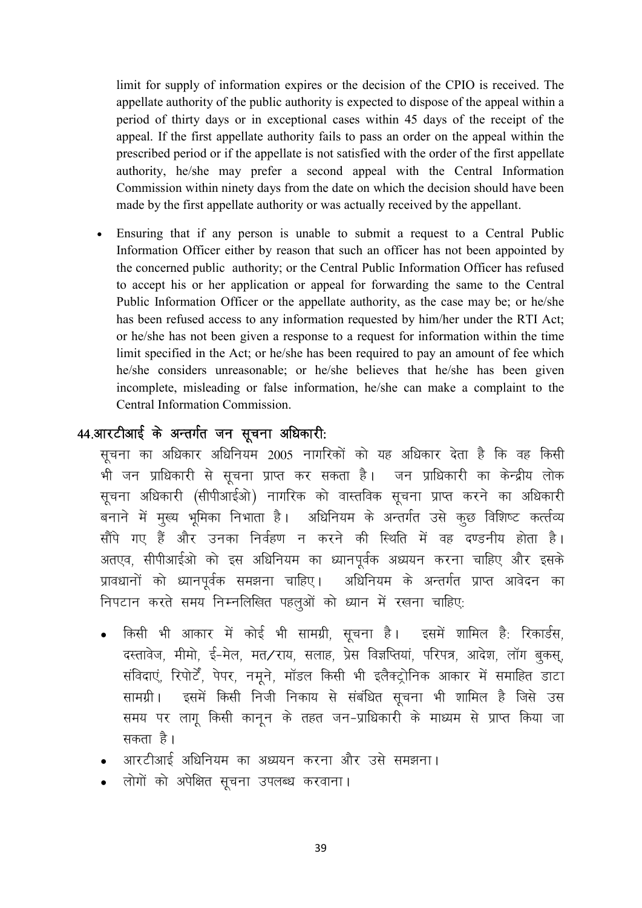limit for supply of information expires or the decision of the CPIO is received. The appellate authority of the public authority is expected to dispose of the appeal within a period of thirty days or in exceptional cases within 45 days of the receipt of the appeal. If the first appellate authority fails to pass an order on the appeal within the prescribed period or if the appellate is not satisfied with the order of the first appellate authority, he/she may prefer a second appeal with the Central Information Commission within ninety days from the date on which the decision should have been made by the first appellate authority or was actually received by the appellant.

 Ensuring that if any person is unable to submit a request to a Central Public Information Officer either by reason that such an officer has not been appointed by the concerned public authority; or the Central Public Information Officer has refused to accept his or her application or appeal for forwarding the same to the Central Public Information Officer or the appellate authority, as the case may be; or he/she has been refused access to any information requested by him/her under the RTI Act; or he/she has not been given a response to a request for information within the time limit specified in the Act; or he/she has been required to pay an amount of fee which he/she considers unreasonable; or he/she believes that he/she has been given incomplete, misleading or false information, he/she can make a complaint to the Central Information Commission.

#### 44.आरटीआई के अन्तर्गत जन सूचना अधिकारी:

सचना का अधिकार अधिनियम 2005 नागरिकों को यह अधिकार देता है कि वह किसी भी जन प्राधिकारी से सूचना प्राप्त कर सकता है। जन प्राधिकारी का केन्द्रीय लोक सूचना अधिकारी (सीपीआईओ) नागरिक को वास्तविक सूचना प्राप्त करने का अधिकारी बनाने में मुख्य भूमिका निभाता है। अधिनियम के अन्तर्गत उसे कुछ विशिष्ट कर्त्तव्य सौंपे गए हैं और उनका निर्वहण न करने की स्थिति में वह दण्डनीय होता है। अतएव, सीपीआईओ को इस अधिनियम का ध्यानपूर्वक अध्ययन करना चाहिए और इसके प्रावधानों को ध्यानपूर्वक समझना चाहिए। अधिनियम के अन्तर्गत प्राप्त आवेदन का निपटान करते समय निम्नलिखित पहलुओं को ध्यान में रखना चाहिए:

- किसी भी आकार में कोई भी सामग्री, सूचना है। इसमें शामिल है: रिकार्डस, दस्तावेज, मीमो, ई-मेल, मत/राय, सलाह, प्रेस विज्ञप्तियां, परिपत्र, आदेश, लॉग बकस, संविदाएं, रिपोर्टें, पेपर, नमूने, मॉडल किसी भी इलैक्ट्रोनिक आकार में समाहित डाटा सामग्री। इसमें किसी निजी निकाय से संबंधित सूचना भी शामिल है जिसे उस समय पर लागू किसी कानून के तहत जन-प्राधिकारी के माध्यम से प्राप्त किया जा सकता है।
- आरटीआई अधिनियम का अध्ययन करना और उसे समझना।
- लोगों को अपेक्षित सूचना उपलब्ध करवाना।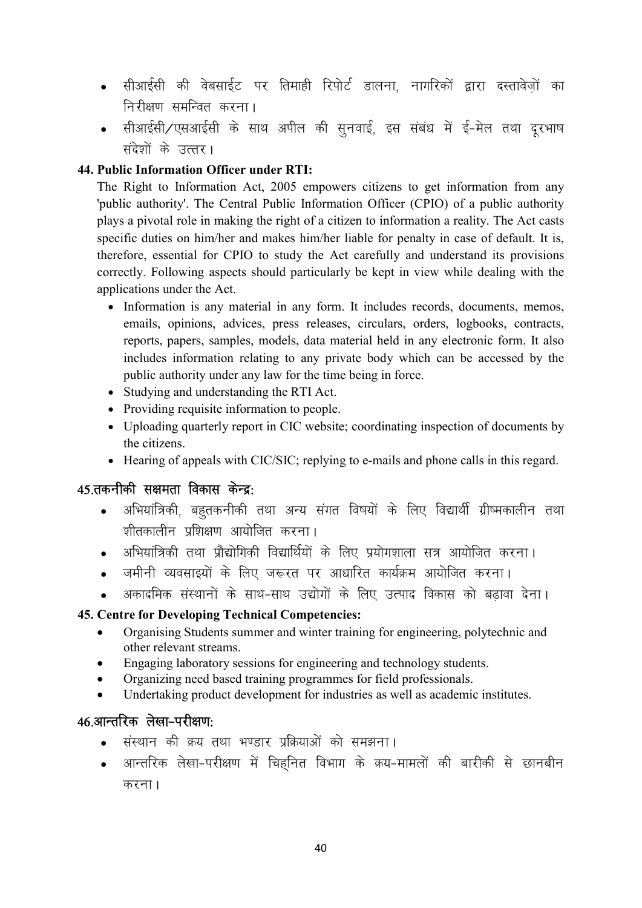- सीआईसी की वेबसाईट पर तिमाही रिपोर्ट डालना. नागरिकों द्वारा दस्तावेजों का निरीक्षण समन्वित करना।
- सीआईसी/एसआईसी के साथ अपील की सूनवाई, इस संबंध में ई-मेल तथा दूरभाष संदेशों के उत्तर।

#### 44. Public Information Officer under RTI:

The Right to Information Act, 2005 empowers citizens to get information from any 'public authority'. The Central Public Information Officer (CPIO) of a public authority plays a pivotal role in making the right of a citizen to information a reality. The Act casts specific duties on him/her and makes him/her liable for penalty in case of default. It is, therefore, essential for CPIO to study the Act carefully and understand its provisions correctly. Following aspects should particularly be kept in view while dealing with the applications under the Act.

- Information is any material in any form. It includes records, documents, memos, emails, opinions, advices, press releases, circulars, orders, logbooks, contracts, reports, papers, samples, models, data material held in any electronic form. It also includes information relating to any private body which can be accessed by the public authority under any law for the time being in force.
- Studying and understanding the RTI Act.
- Providing requisite information to people.
- Uploading quarterly report in CIC website; coordinating inspection of documents by the citizens.
- Hearing of appeals with CIC/SIC; replying to e-mails and phone calls in this regard.

#### 45.तकनीकी सक्षमता विकास केन्द्र:

- अभियांत्रिकी, बहुतकनीकी तथा अन्य संगत विषयों के लिए विद्यार्थी ग्रीष्मकालीन तथा  $\bullet$ <u>श्रीतकालीन पशिक्षण आयोजित करना।</u>
- अभियांत्रिकी तथा प्रौद्योगिकी विद्यार्थियों के लिए प्रयोगशाला सत्र आयोजित करना।  $\bullet$
- जमीनी व्यवसाइयों के लिए जरूरत पर आधारित कार्यक्रम आयोजित करना।
- अकादमिक संस्थानों के साथ-साथ उद्योगों के लिए उत्पाद विकास को बढावा देना।

#### 45. Centre for Developing Technical Competencies:

- Organising Students summer and winter training for engineering, polytechnic and  $\bullet$ other relevant streams.
- Engaging laboratory sessions for engineering and technology students.  $\bullet$
- Organizing need based training programmes for field professionals.
- Undertaking product development for industries as well as academic institutes.

## 46.आन्तरिक लेखा-परीक्षण:

- संस्थान की क्रय तथा भण्डार प्रक्रियाओं को समझना।
- आन्तरिक लेखा-परीक्षण में चिहनित विभाग के क्रय-मामलों की बारीकी से छानबीन करना।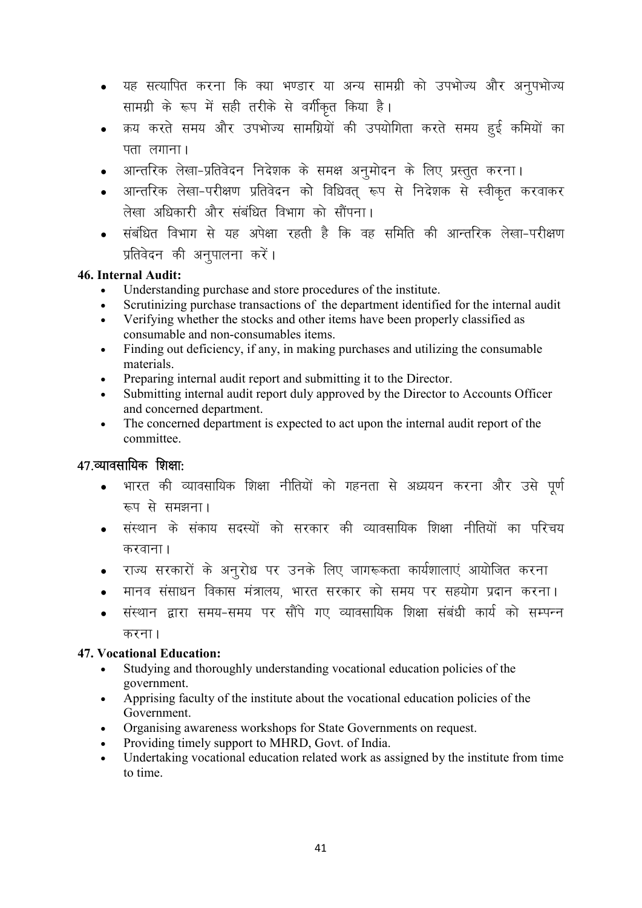- यह सत्यापित करना कि क्या भण्डार या अन्य सामग्री को उपभोज्य और अनुपभोज्य सामग्री के रूप में सही तरीके से वर्गीकृत किया है।
- क्रय करते समय और उपभोज्य सामग्रियों की उपयोगिता करते समय हूई कमियों का पता $\overline{r}$ लगाना।
- आन्तरिक लेखा-प्रतिवेदन निदेशक के समक्ष अनुमोदन के लिए प्रस्तुत करना।
- आन्तरिक लेखा-परीक्षण प्रतिवेदन को विधिवत् रूप से निदेशक से स्वीकृत करवाकर लेखा अधिकारी और संबंधित विभाग को सौंपना।
- संबंधित विभाग से यह अपेक्षा रहती है कि वह समिति की आन्तरिक लेखा-परीक्षण प्रतिवेदन की अनुपालना करें।

#### 46. Internal Audit:

- Understanding purchase and store procedures of the institute.
- Scrutinizing purchase transactions of the department identified for the internal audit
- Verifying whether the stocks and other items have been properly classified as consumable and non-consumables items.
- Finding out deficiency, if any, in making purchases and utilizing the consumable materials.
- Preparing internal audit report and submitting it to the Director.
- Submitting internal audit report duly approved by the Director to Accounts Officer and concerned department.
- The concerned department is expected to act upon the internal audit report of the committee.

## $47.$ व्यावसायिक शिक्षा:

- भारत की व्यावसायिक शिक्षा नीतियों को गहनता से अध्ययन करना और उसे पूर्ण रूप से समझना।
- संस्थान के संकाय सदस्यों को सरकार की व्यावसायिक शिक्षा नीतियों का परिचय करवाना ।
- राज्य सरकारों के अनुरोध पर उनके लिए जागरूकता कार्यशालाएं आयोजित करना
- मानव संसाधन विकास मंत्रालय, भारत सरकार को समय पर सहयोग प्रदान करना।
- संस्थान द्वारा समय-समय पर सौंपे गए व्यावसायिक शिक्षा संबंधी कार्य को सम्पन्न करना $<sub>1</sub>$ </sub>

#### 47. Vocational Education:

- Studying and thoroughly understanding vocational education policies of the government.
- Apprising faculty of the institute about the vocational education policies of the Government.
- Organising awareness workshops for State Governments on request.
- Providing timely support to MHRD, Govt. of India.
- Undertaking vocational education related work as assigned by the institute from time to time.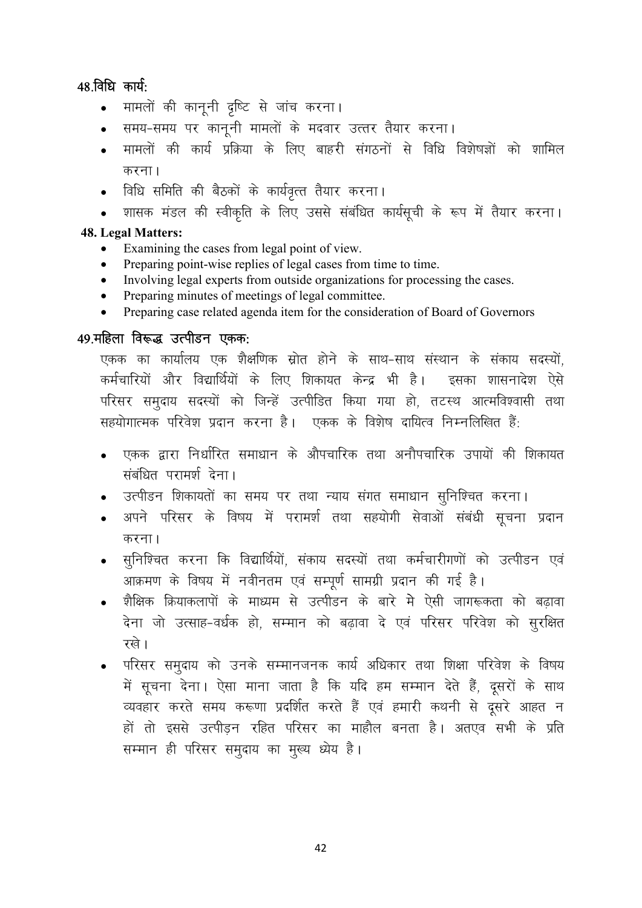## $48.$ विधि कार्य:

- मामलों की कानूनी दृष्टि से जांच करना।
- समय-समय पर काननी मामलों के मदवार उत्तर तैयार करना।
- <u>मामलों की कार्य प्रक्रिया के लिए बाहरी संगठनों से विधि विशेषज्ञों को शामिल</u> करना।
- विधि समिति की बैठकों के कार्यवृत्त तैयार करना।
- शासक मंडल की स्वीकृति के लिए उससे संबंधित कार्यसूची के रूप में तैयार करना।

#### 48. Legal Matters:

- Examining the cases from legal point of view.
- Preparing point-wise replies of legal cases from time to time.
- Involving legal experts from outside organizations for processing the cases.
- Preparing minutes of meetings of legal committee.
- Preparing case related agenda item for the consideration of Board of Governors

#### $49.$ महिला विरूद्ध उत्पीडन एकक:

एकक का कार्यालय एक शैक्षणिक स्रोत होने के साथ-साथ संस्थान के संकाय सदस्यों. कर्मचारियों और विद्यार्थियों के लिए शिकायत केन्द्र भी है। इसका शासनादेश ऐसे परिसर समदाय सदस्यों को जिन्हें उत्पीडित किया गया हो, तटस्थ आत्मविश्वासी तथा सहयोगात्मक परिवेश प्रदान करना है। एकक के विशेष दायित्व निम्नलिखित हैं:

- एकक द्वारा निर्धारित समाधान के औपचारिक तथा अनौपचारिक उपायों की शिकायत संबंधित परामर्श देना।
- ाउत्पीडन शिकायतों का समय पर तथा न्याय संगत समाधान सुनिश्चित करना**।**
- अपने परिसर के विषय में परामर्श तथा सहयोगी सेवाओं संबंधी सूचना प्रदान करना।
- सुनिश्चित करना कि विद्यार्थियों, संकाय सदस्यों तथा कर्मचारीगणों को उत्पीडन एवं आक्रमण के विषय में नवीनतम एवं सम्पूर्ण सामग्री प्रदान की गई है।
- शैक्षिक क्रियाकलापों के माध्यम से उत्पीडन के बारे मे ऐसी जागरूकता को बढावा देना जो उत्साह-वर्धक हो, सम्मान को बढ़ावा दे एवं परिसर परिवेश को सुरक्षित रखे।
- परिसर समुदाय को उनके सम्मानजनक कार्य अधिकार तथा शिक्षा परिवेश के विषय में सूचना देना। ऐसा माना जाता है कि यदि हम सम्मान देते हैं, दूसरों के साथ व्यवहार करते समय करूणा प्रदर्शित करते हैं एवं हमारी कथनी से दूसरे आहत न हों तो इससे उत्पीड़न रहित परिसर का माहौल बनता है। अतएव सभी के प्रति सम्मान ही परिसर समुदाय का मूल्य ध्येय है।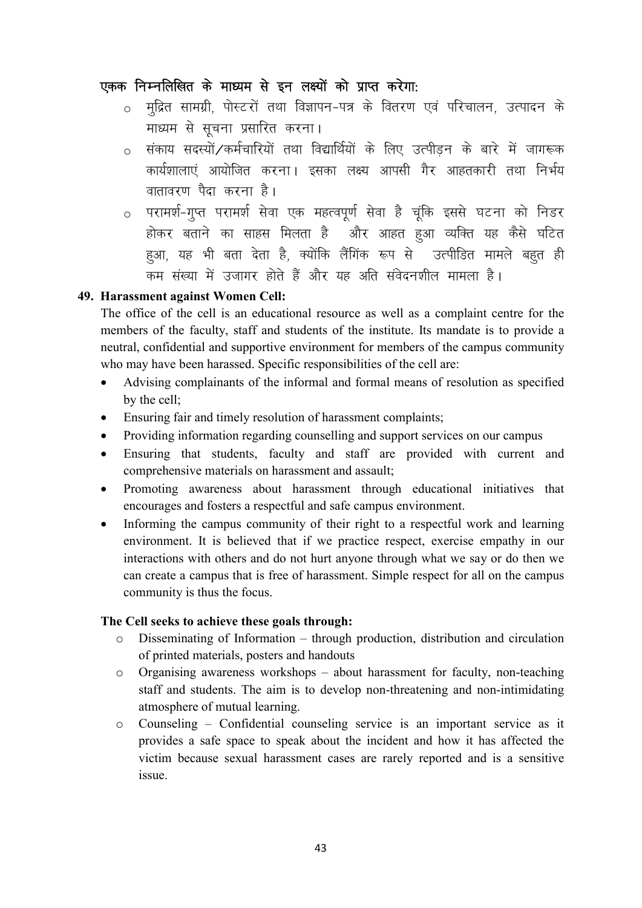#### एकक निम्नलिखित के माध्यम से इन लक्ष्यों को प्राप्त करेगा:

- o मुद्रित सामग्री, पोस्टरों तथा विज्ञापन-पत्र के वितरण एवं परिचालन, उत्पादन के माध्यम से सूचना प्रसारित करना।
- संकाय सदस्यों ∕कर्मचारियों तथा विद्यार्थियों के लिए उत्पीड़न के बारे में जागरूक कार्यशालाएं आयोजित करना। इसका लक्ष्य आपसी गैर आहतकारी तथा निर्भय वातावरण पैदा करना है।
- o परामर्श-गूप्त परामर्श सेवा एक महत्वपूर्ण सेवा है चूंकि इससे घटना को निडर होकर बताने का साहस मिलता है और आहत हुआ व्यक्ति यह कैसे घटित हुआ, यह भी बता देता है, क्योंकि लैंगिंक रूप से उत्पीडित मामले बहुत ही कम संख्या में उजागर होते हैं और यह अति संवेदनशील मामला है।

#### 49. Harassment against Women Cell:

The office of the cell is an educational resource as well as a complaint centre for the members of the faculty, staff and students of the institute. Its mandate is to provide a neutral, confidential and supportive environment for members of the campus community who may have been harassed. Specific responsibilities of the cell are:

- Advising complainants of the informal and formal means of resolution as specified by the cell:
- Ensuring fair and timely resolution of harassment complaints;  $\bullet$
- Providing information regarding counselling and support services on our campus
- Ensuring that students, faculty and staff are provided with current and comprehensive materials on harassment and assault;
- Promoting awareness about harassment through educational initiatives that  $\bullet$ encourages and fosters a respectful and safe campus environment.
- Informing the campus community of their right to a respectful work and learning environment. It is believed that if we practice respect, exercise empathy in our interactions with others and do not hurt anyone through what we say or do then we can create a campus that is free of harassment. Simple respect for all on the campus community is thus the focus.

#### The Cell seeks to achieve these goals through:

- Disseminating of Information through production, distribution and circulation  $\circ$ of printed materials, posters and handouts
- Organising awareness workshops about harassment for faculty, non-teaching  $\circ$ staff and students. The aim is to develop non-threatening and non-intimidating atmosphere of mutual learning.
- $\circ$ Counseling – Confidential counseling service is an important service as it provides a safe space to speak about the incident and how it has affected the victim because sexual harassment cases are rarely reported and is a sensitive issue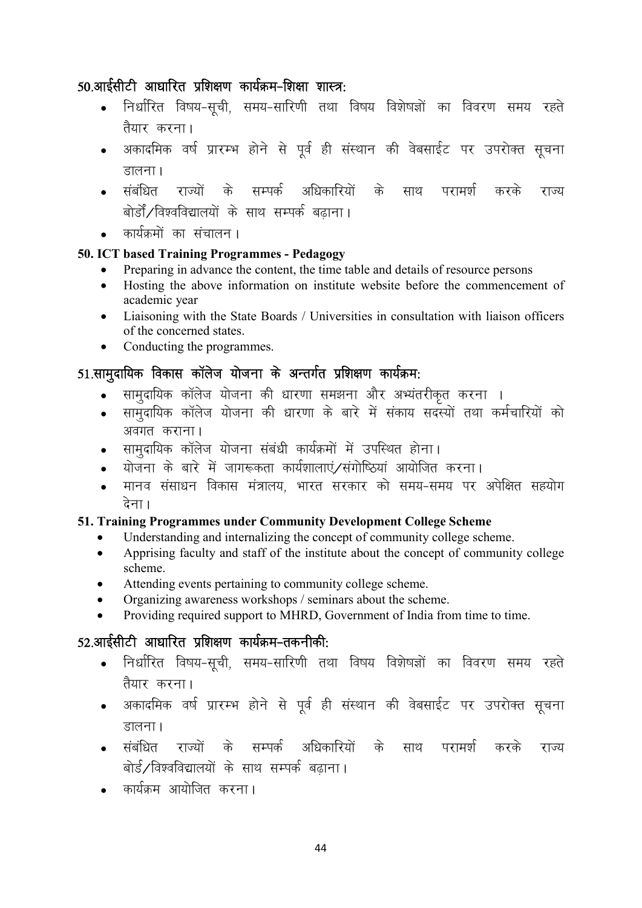## $50.$ आईसीटी आधारित प्रशिक्षण कार्यक्रम-शिक्षा शास्त्र:

- निर्धारित विषय-सुची, समय-सारिणी तथा विषय विशेषज्ञों का विवरण समय रहते तैयार करना।
- अकादमिक वर्ष प्रारम्भ होने से पूर्व ही संस्थान की वेबसाईट पर उपरोक्त सूचना डालना ।
- संबंधित राज्यों के सम्पर्क अधिकारियों के साथ परामर्श करके राज्य बोर्डों/विश्वविद्यालयों के साथ सम्पर्क बढाना।
- कार्यक्रमों का संचालन।

#### 50. ICT based Training Programmes - Pedagogy

- Preparing in advance the content, the time table and details of resource persons
- Hosting the above information on institute website before the commencement of academic year
- Liaisoning with the State Boards / Universities in consultation with liaison officers of the concerned states.
- Conducting the programmes.

## $51.$ सामदायिक विकास कॉलेज योजना के अन्तर्गत प्रशिक्षण कार्यक्रम:

- सामदायिक कॉलेज योजना की धारणा समझना और अभ्यंतरीकत करना ।
- सामूदायिक कॉलेज योजना की धारणा के बारे में संकाय सदस्यों तथा कर्मचारियों को अवगत कराना।
- सामदायिक कॉलेज योजना संबंधी कार्यक्रमों में उपस्थित होना।
- योजना के बारे में जागरूकता कार्यशालाएं/संगोष्ठियां आयोजित करना।
- ekuo alkalkar alakar ku foda araki ku foda arabi da kara da arazi da kaski aka da da da kaski da kaski da kaski देना।

#### 51. Training Programmes under Community Development College Scheme

- Understanding and internalizing the concept of community college scheme.
- Apprising faculty and staff of the institute about the concept of community college scheme.
- Attending events pertaining to community college scheme.
- Organizing awareness workshops / seminars about the scheme.
- Providing required support to MHRD, Government of India from time to time.

## $52.$ आईसीटी आधारित प्रशिक्षण कार्यक्रम-तकनीकी:

- निर्धारित विषय-सूची, समय-सारिणी तथा विषय विशेषज्ञों का विवरण समय रहते तैयार करना।
- अकादमिक वर्ष प्रारम्भ होने से पूर्व ही संस्थान की वेबसाईट पर उपरोक्त सूचना डालना ।
- संबंधित राज्यों के सम्पर्क अधिकारियों के साथ परामर्श करके राज्य बोर्ड/विश्वविद्यालयों के साथ सम्पर्क बढाना।
- कार्यकम आयोजित करना।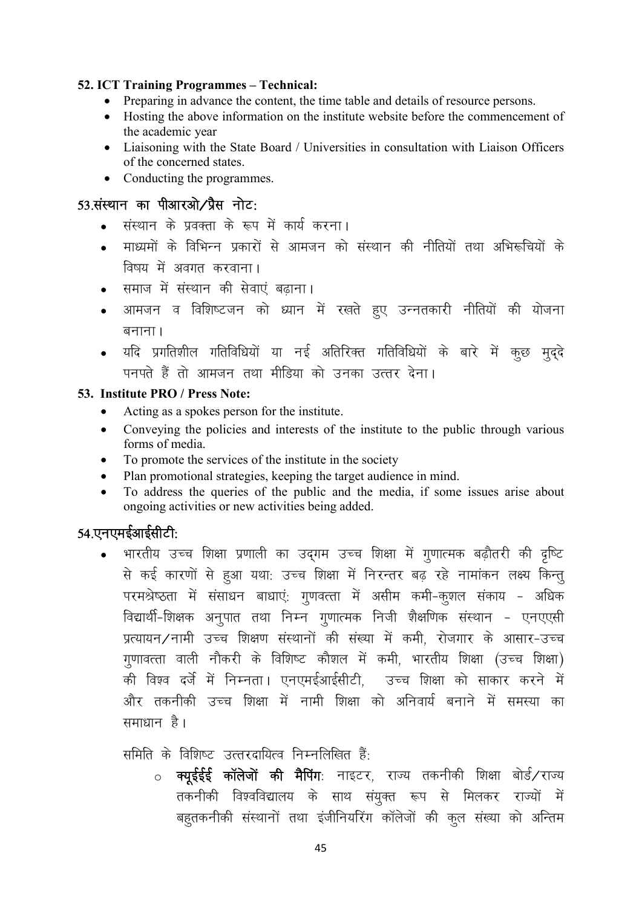#### 52. ICT Training Programmes – Technical:

- Preparing in advance the content, the time table and details of resource persons.
- Hosting the above information on the institute website before the commencement of the academic year
- Liaisoning with the State Board / Universities in consultation with Liaison Officers of the concerned states.
- Conducting the programmes.

#### $53.$ संस्थान का पीआरओ $\overline{\smash{7}}$ प्रैस नोट:

- संस्थान के प्रवक्ता के रूप में कार्य करना।
- माध्यमों के विभिन्न प्रकारों से आमजन को संस्थान की नीतियों तथा अभिरूचियों के विषय में अवगत करवाना।
- समाज में संस्थान की सेवाएं बढाना।
- आमजन व विशिष्टजन को ध्यान में रखते हुए उन्नतकारी नीतियों की योजना बनाना ।
- यदि प्रगतिशील गतिविधियों या नई अतिरिक्त गतिविधियों के बारे में कूछ मृद्दे पनपते हैं तो आमजन तथा मीडिया को उनका उत्तर देना।

#### 53. Institute PRO / Press Note:

- Acting as a spokes person for the institute.
- Conveying the policies and interests of the institute to the public through various forms of media.
- To promote the services of the institute in the society
- Plan promotional strategies, keeping the target audience in mind.
- To address the queries of the public and the media, if some issues arise about ongoing activities or new activities being added.

## $54.$ एनएमईआईसीटी:

भारतीय उच्च शिक्षा प्रणाली का उद्गम उच्च शिक्षा में गुणात्मक बढ़ौतरी की दृष्टि से कई कारणों से हुआ यथा: उच्च शिक्षा में निरन्तर बढ़ रहे नामांकन लक्ष्य किन्त् परमश्रेष्ठता में संसाधन बाधाएं: गुणवत्ता में असीम कमी-कुशल संकाय - अधिक विद्यार्थी-शिक्षक अनुपात तथा निम्न गुणात्मक निजी शैक्षणिक संस्थान - एनएएसी प्रत्यायन/नामी उच्च शिक्षण संस्थानों की संख्या में कमी, रोजगार के आसार-उच्च गुणावत्ता वाली नौकरी के विशिष्ट कौशल में कमी, भारतीय शिक्षा (उच्च शिक्षा) की विश्व दर्जे में निम्नता। एनएमईआईसीटी, उच्च शिक्षा को साकार करने में <u>और तकनीकी उच्च शिक्षा में नामी शिक्षा को अनिवार्य बनाने में समस्या का</u> समाधान $\beta$ ।

समिति के विशिष्ट उत्तरदायित्व निम्नलिखित हैं:

 $\circ$  क्युईईई कॉलेजों की मैपिंग: नाइटर, राज्य तकनीकी शिक्षा बोर्ड/राज्य तकनीकी विश्वविद्यालय के साथ संयुक्त रूप से मिलकर राज्यों में बहुतकनीकी संस्थानों तथा इंजीनियरिंग कॉलेजों की कुल संख्या को अन्तिम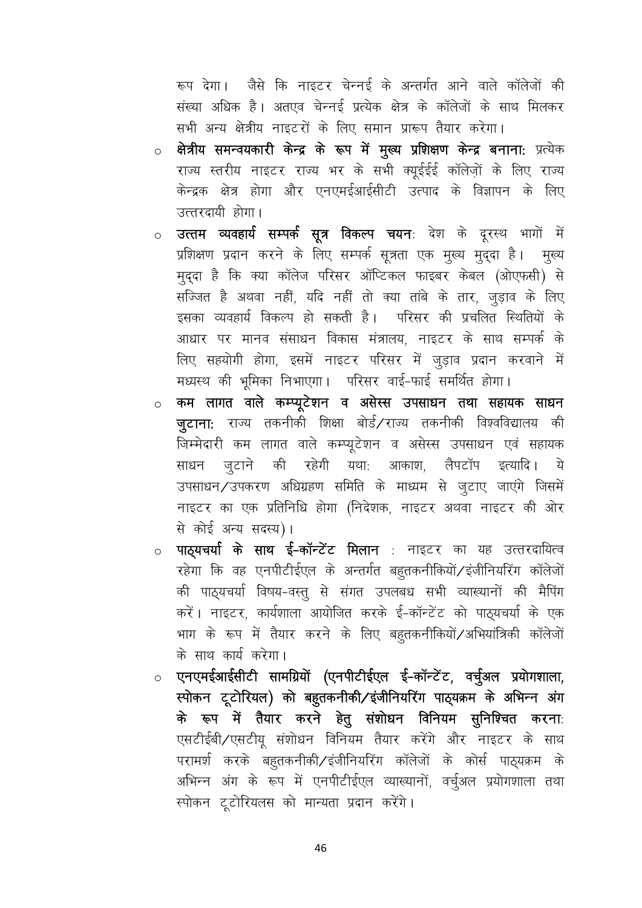रूप देगा। जैसे कि नाइटर चेन्नई के अन्तर्गत आने वाले कॉलेजों की संख्या अधिक है। अतएव चेन्नई प्रत्येक क्षेत्र के कॉलेजों के साथ मिलकर सभी अन्य क्षेत्रीय नाइटरों के लिए समान प्रारूप तैयार करेगा।

- क्षेत्रीय समन्वयकारी केन्द्र के रूप में मुख्य प्रशिक्षण केन्द्र बनाना: प्रत्येक  $\circ$ राज्य स्तरीय नाइटर राज्य भर के सभी क्युईईई कॉलेजों के लिए राज्य केन्द्रक क्षेत्र होगा और एनएमईआईसीटी उत्पाद के विज्ञापन के लिए उत्तरदायी होगा।
- उत्तम व्यवहार्य सम्पर्क सूत्र विकल्प चयनः देश के दूरस्थ भागों में  $\circ$ प्रशिक्षण प्रदान करने के लिए सम्पर्क सूत्रता एक मूख्य मूद्दा है। मूख्य मुद्दा है कि क्या कॉलेज परिसर ऑप्टिकल फाइबर केबल (ओएफसी) से सज्जित है अथवा नहीं, यदि नहीं तो क्या तांबे के तार, जुड़ाव के लिए इसका व्यवहार्य विकल्प हो सकती है। परिसर की प्रचलित स्थितियों के आधार पर मानव संसाधन विकास मंत्रालय, नाइटर के साथ सम्पर्क के लिए सहयोगी होगा, इसमें नाइटर परिसर में जूड़ाव प्रदान करवाने में मध्यस्थ की भूमिका निभाएगा। परिसर वाई-फाई समर्थित होगा।
- कम लागत वाले कम्प्यूटेशन व असेस्स उपसाधन तथा सहायक साधन  $\circ$ जुटाना: राज्य तकनीकी शिक्षा बोर्ड/राज्य तकनीकी विश्वविद्यालय की जिम्मेदारी कम लागत वाले कम्प्यूटेशन व असेस्स उपसाधन एवं सहायक साधन जुटाने की रहेगी यथा: आकाश, लैपटॉप इत्यादि। ये उपसाधन/उपकरण अधिग्रहण समिति के माध्यम से जूटाए जाएंगे जिसमें नाइटर का एक प्रतिनिधि होगा (निदेशक, नाइटर अथवा नाइटर की ओर से कोई अन्य सदस्य)।
- **पाठ्यचर्या के साथ ई-कॉन्टेंट मिलान** : नाइटर का यह उत्तरदायित्व  $\circ$ रहेगा कि वह एनपीटीईएल के अन्तर्गत बहुतकनीकियों/इंजीनियरिंग कॉलेजों की पाठ्यचर्या विषय-वस्तु से संगत उपलबध सभी व्याख्यानों की मैपिंग करें। नाइटर, कार्यशाला आयोजित करके ई-कॉन्टेंट को पाठ्यचर्या के एक भाग के रूप में तैयार करने के लिए बहुतकनीकियों/अभियांत्रिकी कॉलेजों के साथ कार्य करेगा।
- एनएमईआईसीटी सामग्रियों (एनपीटीईएल ई-कॉन्टेंट, वर्चुअल प्रयोगशाला, स्पोकन टूटोरियल) को बहुतकनीकी/इंजीनियरिंग पाठ्यक्रम के अभिन्न अंग के रूप में तैयार करने हेतु संशोधन विनियम सुनिश्चित करना: एसटीईबी/एसटीयू संशोधन विनियम तैयार करेंगे और नाइटर के साथ परामर्श करके बहुतकनीकी/इंजीनियरिंग कॉलेजों के कोर्स पाठ्यक्रम के अभिन्न अंग के रूप में एनपीटीईएल व्याख्यानों, वर्चुअल प्रयोगशाला तथा स्पोकन टूटोरियलस को मान्यता प्रदान करेंगे।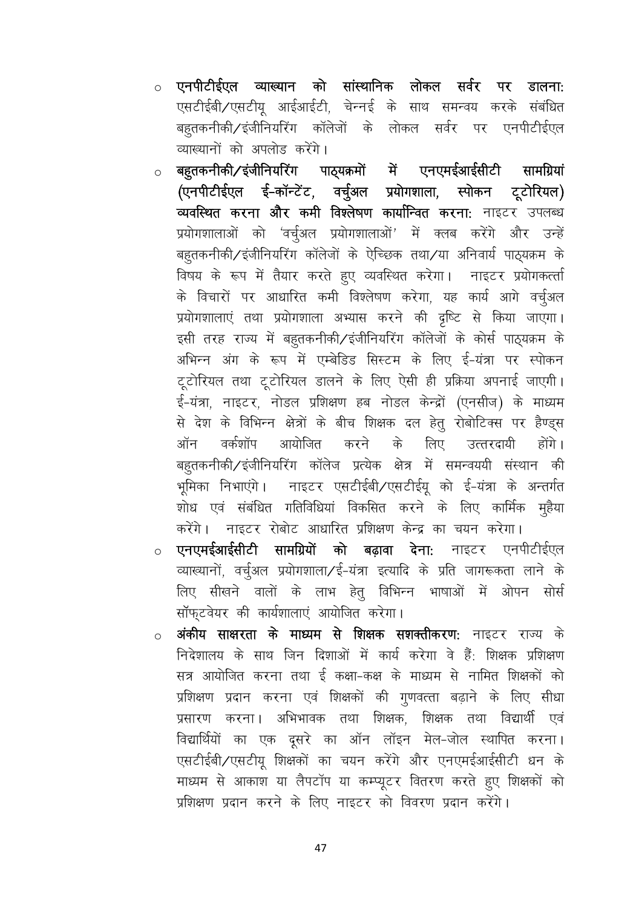- एनपीटीईएल व्याख्यान को सांस्थानिक लोकल सर्वर पर डालना:  $\circ$ एसटीईबी/एसटीयू आईआईटी, चेन्नई के साथ समन्वय करके संबंधित बहुतकनीकी/इंजीनियरिंग कॉलेजों के लोकल सर्वर पर एनपीटीईएल व्याख्यानों को अपलोड़ करेंगे।
- बहुतकनीकी⁄ इंजीनियरिंग पाठ्यक्रमों में एनएमईआईसीटी सामग्रियां  $\circ$ (एनपीटीईएल ई-कॉन्टेंट, वर्चुअल प्रयोगशाला, स्पोकन टूटोरियल) व्यवस्थित करना और कमी विश्लेषण कार्यान्वित करना: नाइटर उपलब्ध प्रयोगशालाओं को 'वर्चुअल प्रयोगशालाओं' में क्लब करेंगे और उन्हें बहूतकनीकी/इंजीनियरिंग कॉलेजों के ऐच्छिक तथा/या अनिवार्य पाठ्यक्रम के विषय के रूप में तैयार करते हुए व्यवस्थित करेगा। नाइटर प्रयोगकर्त्ता के विचारों पर आधारित कमी विश्लेषण करेगा, यह कार्य आगे वर्चुअल प्रयोगशालाएं तथा प्रयोगशाला अभ्यास करने की दृष्टि से किया जाएगा। इसी तरह राज्य में बहुतकनीकी/इंजीनियरिंग कॉलेजों के कोर्स पाठ्यक्रम के अभिन्न अंग के रूप में एम्बेडिड सिस्टम के लिए ई-यंत्रा पर स्पोकन टूटोरियल तथा टूटोरियल डालने के लिए ऐसी ही प्रक्रिया अपनाई जाएगी। ई-यंत्रा, नाइटर, नोडल प्रशिक्षण हब नोडल केन्द्रों (एनसीज) के माध्यम से देश के विभिन्न क्षेत्रों के बीच शिक्षक दल हेतु रोबोटिक्स पर हैण्ड्स ऑन वर्कशॉप आयोजित करने के लिए उत्तरदायी होंगे। बहुतकनीकी/इंजीनियरिंग कॉलेज प्रत्येक क्षेत्र में समन्वययी संस्थान की भूमिका निभाएंगे। नाइटर एसटीईबी/एसटीईयू को ई-यंत्रा के अन्तर्गत शोध एवं संबंधित गतिविधियां विकसित करने के लिए कार्मिक मुहैया करेंगे। नाइटर रोबोट आधारित प्रशिक्षण केन्द्र का चयन करेगा।
- एनएमईआईसीटी सामग्रियों को बढ़ावा देना: नाइटर एनपीटीईएल व्याख्यानों, वर्चुअल प्रयोगशाला/ई-यंत्रा इत्यादि के प्रति जागरूकता लाने के लिए सीखने वालों के लाभ हेतु विभिन्न भाषाओं में ओपन सोर्स सॉफ्टवेयर की कार्यशालाएं आयोजित करेगा।
- अंकीय साक्षरता के माध्यम से शिक्षक सशक्तीकरण: नाइटर राज्य के  $\circ$ निदेशालय के साथ जिन दिशाओं में कार्य करेगा वे हैं: शिक्षक प्रशिक्षण सत्र आयोजित करना तथा ई कक्षा-कक्ष के माध्यम से नामित शिक्षकों को प्रशिक्षण प्रदान करना एवं शिक्षकों की गुणवत्ता बढ़ाने के लिए सीधा प्रसारण करना। अभिभावक तथा शिक्षक, शिक्षक तथा विद्यार्थी एवं विद्यार्थियों का एक दूसरे का ऑन लॉइन मेल-जोल स्थापित करना। एसटीईबी/एसटीयू शिक्षकों का चयन करेंगे और एनएमईआईसीटी धन के माध्यम से आकाश या लैपटॉप या कम्प्यूटर वितरण करते हुए शिक्षकों को प्रशिक्षण प्रदान करने के लिए नाइटर को विवरण प्रदान करेंगे।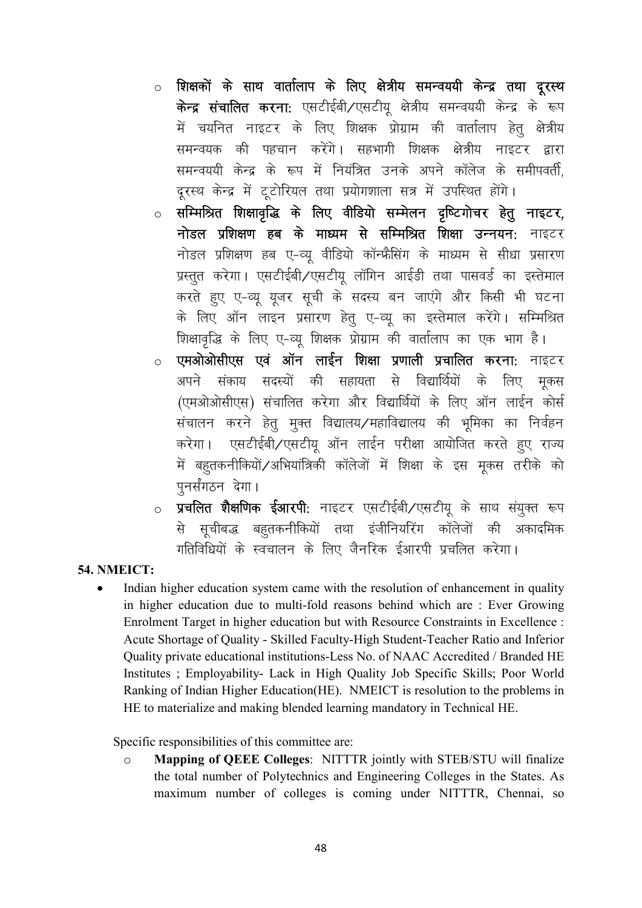- <u>ं</u> शिक्षकों के साथ वार्तालाप के लिए क्षेत्रीय समन्वययी केन्द्र तथा दूरस्थ केन्द्र संचालित करना: एसटीईबी/एसटीयू क्षेत्रीय समन्वययी केन्द्र के रूप में चयनित नाइटर के लिए शिक्षक प्रोग्राम की वार्तालाप हेतु क्षेत्रीय समन्वयक की पहचान करेंगे। सहभागी शिक्षक क्षेत्रीय नाइटर द्वारा समन्वययी केन्द्र के रूप में नियंत्रित उनके अपने कॉलेज के समीपवर्ती, दूरस्थ केन्द्र में टूटोरियल तथा प्रयोगशाला सत्र में उपस्थित होंगे।
- सम्मिश्रित शिक्षावृद्धि के लिए वीडियो सम्मेलन दृष्टिगोचर हेतु नाइटर, नोडल प्रशिक्षण हब के माध्यम से सम्मिश्रित शिक्षा उन्नयन: नाइटर नोडल प्रशिक्षण हब ए-व्य वीडियो कॉन्फ्रैसिंग के माध्यम से सीधा प्रसारण प्रस्तुत करेगा। एसटीईबी/एसटीयू लॉगिन आईडी तथा पासवर्ड का इस्तेमाल करते हुए ए-व्यू यूजर सूची के सदस्य बन जाएंगे और किसी भी घटना के लिए ऑन लाइन प्रसारण हेतु ए-व्यू का इस्तेमाल करेंगे। सम्मिश्रित शिक्षावृद्धि के लिए ए-व्यू शिक्षक प्रोग्राम की वार्तालाप का एक भाग है।
- एमओओसीएस एवं ऑन लाईन शिक्षा प्रणाली प्रचालित करना: नाइटर  $\circ$ अपने संकाय सदस्यों की सहायता से विद्यार्थियों के लिए मकस (एमओओसीएस) संचालित करेगा और विद्यार्थियों के लिए ऑन लाईन कोर्स संचालन करने हेतु मुक्त विद्यालय/महाविद्यालय की भूमिका का निर्वहन करेगा। एसटीईबी/एसटीयू ऑन लाईन परीक्षा आयोजित करते हुए राज्य में बहुतकनीकियों/अभियांत्रिकी कॉलेजों में शिक्षा के इस मूकस तरीके को पनर्संगठन देगा।
- **प्रचलित शैक्षणिक ईआरपी:** नाइटर एसटीईबी⁄एसटीयू के साथ संयुक्त रूप  $\circ$ से सूचीबद्ध बहुतकनीकियों तथा इंजीनियरिंग कॉलेजों की अकादमिक गतिविधियों के स्वचालन के लिए जैनरिक ईआरपी प्रचलित करेगा।

#### **54. NMEICT:**

 $\bullet$ Indian higher education system came with the resolution of enhancement in quality in higher education due to multi-fold reasons behind which are : Ever Growing Enrolment Target in higher education but with Resource Constraints in Excellence : Acute Shortage of Quality - Skilled Faculty-High Student-Teacher Ratio and Inferior Ouality private educational institutions-Less No. of NAAC Accredited / Branded HE Institutes ; Employability- Lack in High Quality Job Specific Skills; Poor World Ranking of Indian Higher Education (HE). NMEICT is resolution to the problems in HE to materialize and making blended learning mandatory in Technical HE.

Specific responsibilities of this committee are:

 $\circ$ **Mapping of QEEE Colleges: NITTTR jointly with STEB/STU will finalize** the total number of Polytechnics and Engineering Colleges in the States. As maximum number of colleges is coming under NITTTR, Chennai, so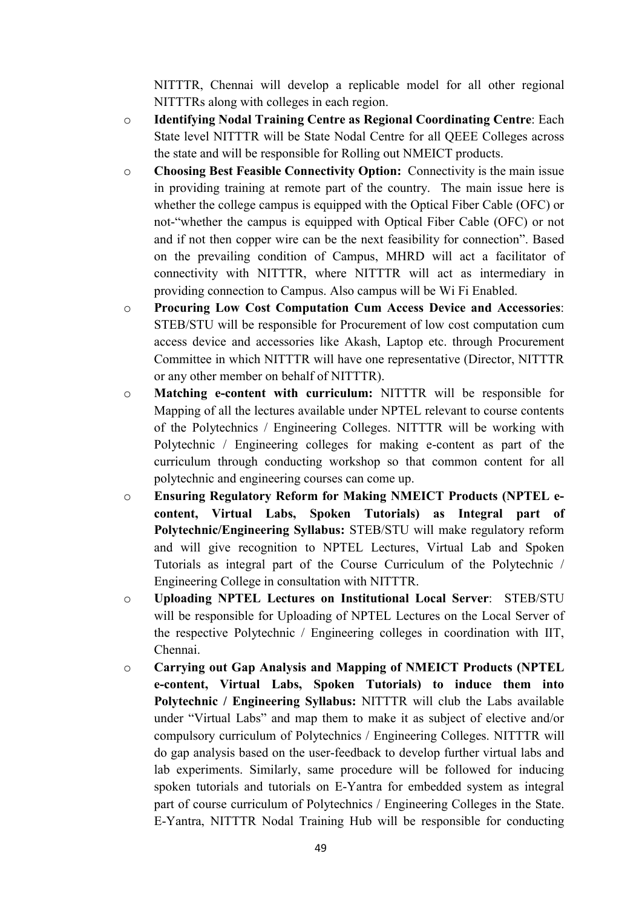NITTTR, Chennai will develop a replicable model for all other regional NITTTRs along with colleges in each region.

- o Identifying Nodal Training Centre as Regional Coordinating Centre: Each State level NITTTR will be State Nodal Centre for all QEEE Colleges across the state and will be responsible for Rolling out NMEICT products.
- o Choosing Best Feasible Connectivity Option: Connectivity is the main issue in providing training at remote part of the country. The main issue here is whether the college campus is equipped with the Optical Fiber Cable (OFC) or not-"whether the campus is equipped with Optical Fiber Cable (OFC) or not and if not then copper wire can be the next feasibility for connection". Based on the prevailing condition of Campus, MHRD will act a facilitator of connectivity with NITTTR, where NITTTR will act as intermediary in providing connection to Campus. Also campus will be Wi Fi Enabled.
- o Procuring Low Cost Computation Cum Access Device and Accessories: STEB/STU will be responsible for Procurement of low cost computation cum access device and accessories like Akash, Laptop etc. through Procurement Committee in which NITTTR will have one representative (Director, NITTTR or any other member on behalf of NITTTR).
- o Matching e-content with curriculum: NITTTR will be responsible for Mapping of all the lectures available under NPTEL relevant to course contents of the Polytechnics / Engineering Colleges. NITTTR will be working with Polytechnic / Engineering colleges for making e-content as part of the curriculum through conducting workshop so that common content for all polytechnic and engineering courses can come up.
- o Ensuring Regulatory Reform for Making NMEICT Products (NPTEL econtent, Virtual Labs, Spoken Tutorials) as Integral part of Polytechnic/Engineering Syllabus: STEB/STU will make regulatory reform and will give recognition to NPTEL Lectures, Virtual Lab and Spoken Tutorials as integral part of the Course Curriculum of the Polytechnic / Engineering College in consultation with NITTTR.
- o Uploading NPTEL Lectures on Institutional Local Server: STEB/STU will be responsible for Uploading of NPTEL Lectures on the Local Server of the respective Polytechnic / Engineering colleges in coordination with IIT, Chennai.
- o Carrying out Gap Analysis and Mapping of NMEICT Products (NPTEL e-content, Virtual Labs, Spoken Tutorials) to induce them into Polytechnic / Engineering Syllabus: NITTTR will club the Labs available under "Virtual Labs" and map them to make it as subject of elective and/or compulsory curriculum of Polytechnics / Engineering Colleges. NITTTR will do gap analysis based on the user-feedback to develop further virtual labs and lab experiments. Similarly, same procedure will be followed for inducing spoken tutorials and tutorials on E-Yantra for embedded system as integral part of course curriculum of Polytechnics / Engineering Colleges in the State. E-Yantra, NITTTR Nodal Training Hub will be responsible for conducting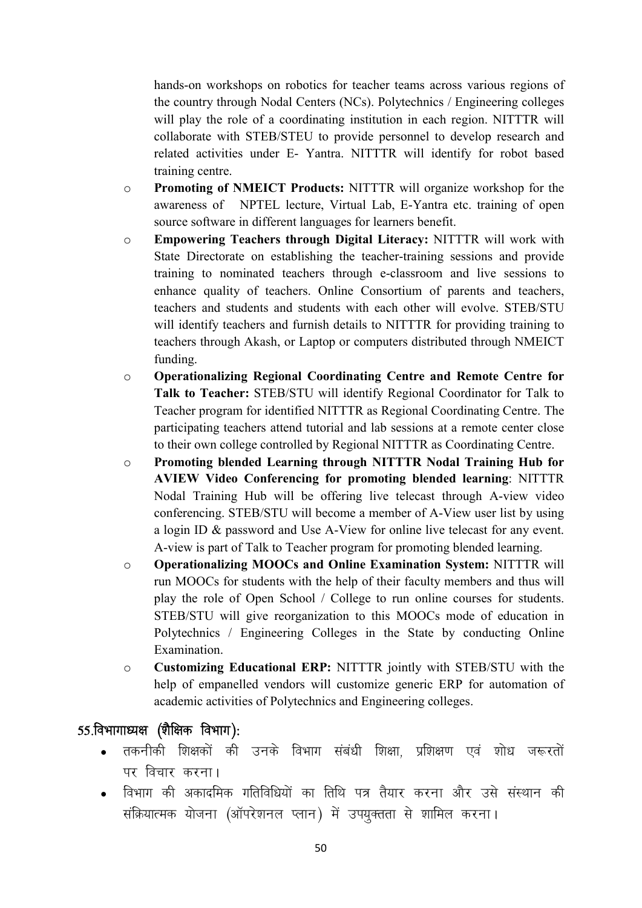hands-on workshops on robotics for teacher teams across various regions of the country through Nodal Centers (NCs). Polytechnics / Engineering colleges will play the role of a coordinating institution in each region. NITTTR will collaborate with STEB/STEU to provide personnel to develop research and related activities under E- Yantra. NITTTR will identify for robot based training centre.

- o Promoting of NMEICT Products: NITTTR will organize workshop for the awareness of NPTEL lecture, Virtual Lab, E-Yantra etc. training of open source software in different languages for learners benefit.
- o Empowering Teachers through Digital Literacy: NITTTR will work with State Directorate on establishing the teacher-training sessions and provide training to nominated teachers through e-classroom and live sessions to enhance quality of teachers. Online Consortium of parents and teachers, teachers and students and students with each other will evolve. STEB/STU will identify teachers and furnish details to NITTTR for providing training to teachers through Akash, or Laptop or computers distributed through NMEICT funding.
- o Operationalizing Regional Coordinating Centre and Remote Centre for Talk to Teacher: STEB/STU will identify Regional Coordinator for Talk to Teacher program for identified NITTTR as Regional Coordinating Centre. The participating teachers attend tutorial and lab sessions at a remote center close to their own college controlled by Regional NITTTR as Coordinating Centre.
- o Promoting blended Learning through NITTTR Nodal Training Hub for AVIEW Video Conferencing for promoting blended learning: NITTTR Nodal Training Hub will be offering live telecast through A-view video conferencing. STEB/STU will become a member of A-View user list by using a login ID & password and Use A-View for online live telecast for any event. A-view is part of Talk to Teacher program for promoting blended learning.
- o Operationalizing MOOCs and Online Examination System: NITTTR will run MOOCs for students with the help of their faculty members and thus will play the role of Open School / College to run online courses for students. STEB/STU will give reorganization to this MOOCs mode of education in Polytechnics / Engineering Colleges in the State by conducting Online Examination.
- o Customizing Educational ERP: NITTTR jointly with STEB/STU with the help of empanelled vendors will customize generic ERP for automation of academic activities of Polytechnics and Engineering colleges.

## $55.$ विभागाध्यक्ष (शैक्षिक विभाग):

- तकनीकी शिक्षकों की उनके विभाग संबंधी शिक्षा, प्रशिक्षण एवं शोध जरूरतों पर विचार करना $\overline{1}$
- विभाग की अकादमिक गतिविधियों का तिथि पत्र तैयार करना और उसे संस्थान की संक्रियात्मक योजना (ऑपरेशनल प्लान) में उपयुक्तता से शामिल करना।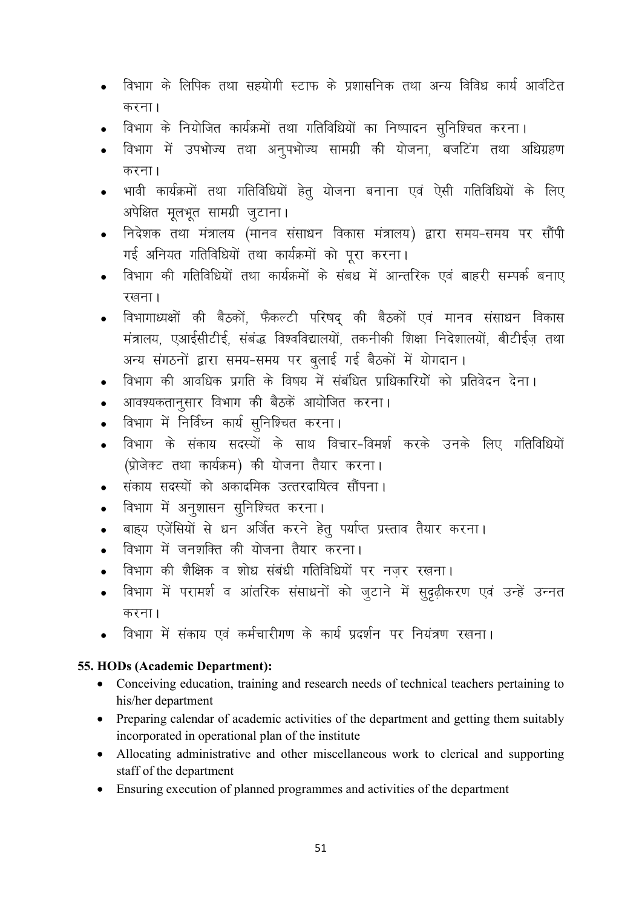- विभाग के लिपिक तथा सहयोगी स्टाफ के प्रशासनिक तथा अन्य विविध कार्य आवंटित करना।
- विभाग के नियोजित कार्यक्रमों तथा गतिविधियों का निष्पादन सुनिश्चित करना।
- विभाग में उपभोज्य तथा अनपभोज्य सामग्री की योजना. बजटिंग तथा अधिग्रहण करना।
- भावी कार्यक्रमों तथा गतिविधियों हेतु योजना बनाना एवं ऐसी गतिविधियों के लिए अपेक्षित मूलभूत सामग्री जुटाना।
- निदेशक तथा मंत्रालय (मानव संसाधन विकास मंत्रालय) द्वारा समय-समय पर सौंपी गई अनियत गतिविधियों तथा कार्यक्रमों को परा करना।
- विभाग की गतिविधियों तथा कार्यक्रमों के संबध में आन्तरिक एवं बाहरी सम्पर्क बनाए रखना।
- विभागाध्यक्षों की बैठकों, फैकल्टी परिषद् की बैठकों एवं मानव संसाधन विकास मंत्रालय, एआईसीटीई, संबंद्ध विश्वविद्यालयों, तकनीकी शिक्षा निदेशालयों, बीटीईज तथा अन्य संगठनों द्वारा समय-समय पर बलाई गई बैठकों में योगदान।
- विभाग की आवधिक प्रगति के विषय में संबंधित प्राधिकारियों को प्रतिवेदन देना।
- आवश्यकतानसार विभाग की बैठकें आयोजित करना।
- विभाग में निर्विघ्न कार्य सुनिश्चित करना।
- विभाग के संकाय सदस्यों के साथ विचार-विमर्श करके उनके लिए गतिविधियों  $\bullet$ (प्रोजेक्ट तथा कार्यक्रम) की योजना तैयार करना।
- संकाय सदस्यों को अकादमिक उत्तरदायित्व सौंपना।
- विभाग में अनुशासन सुनिश्चित करना।  $\bullet$
- बाहय एजेंसियों से धन अर्जित करने हेतू पर्याप्त प्रस्ताव तैयार करना।  $\bullet$
- विभाग में जनशक्ति की योजना तैयार करना।
- विभाग की शैक्षिक व शोध संबंधी गतिविधियों पर नजर रखना।
- विभाग में परामर्श व आंतरिक संसाधनों को जुटाने में सुदृढ़ीकरण एवं उन्हें उन्नत करना।
- विभाग में संकाय एवं कर्मचारीगण के कार्य प्रदर्शन पर नियंत्रण रखना।

#### 55. HODs (Academic Department):

- Conceiving education, training and research needs of technical teachers pertaining to his/her department
- Preparing calendar of academic activities of the department and getting them suitably incorporated in operational plan of the institute
- Allocating administrative and other miscellaneous work to clerical and supporting staff of the department
- Ensuring execution of planned programmes and activities of the department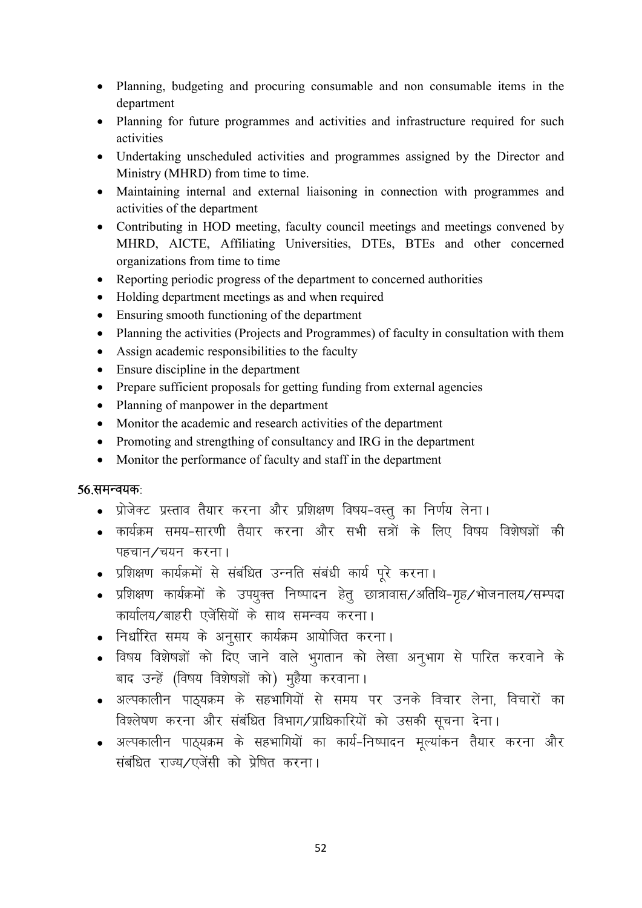- Planning, budgeting and procuring consumable and non consumable items in the department
- Planning for future programmes and activities and infrastructure required for such activities
- Undertaking unscheduled activities and programmes assigned by the Director and Ministry (MHRD) from time to time.
- Maintaining internal and external liaisoning in connection with programmes and activities of the department
- Contributing in HOD meeting, faculty council meetings and meetings convened by MHRD, AICTE, Affiliating Universities, DTEs, BTEs and other concerned organizations from time to time
- Reporting periodic progress of the department to concerned authorities
- Holding department meetings as and when required
- Ensuring smooth functioning of the department
- Planning the activities (Projects and Programmes) of faculty in consultation with them
- Assign academic responsibilities to the faculty
- Ensure discipline in the department
- Prepare sufficient proposals for getting funding from external agencies
- Planning of manpower in the department
- Monitor the academic and research activities of the department
- Promoting and strengthing of consultancy and IRG in the department
- Monitor the performance of faculty and staff in the department

#### $56.$ समन्वयक:

- प्रोजेक्ट प्रस्ताव तैयार करना और प्रशिक्षण विषय-वस्तु का निर्णय लेना।
- कार्यक्रम समय-सारणी तैयार करना और सभी सत्रों के लिए विषय विशेषज्ञों की पहचान $\sqrt{q}u$ न करना।
- प्रशिक्षण कार्यक्रमों से संबंधित उन्नति संबंधी कार्य पूरे करना।
- प्रशिक्षण कार्यक्रमों के उपयूक्त निष्पादन हेतू छात्रावास/अतिथि-गृह/भोजनालय/सम्पदा कार्यालय/बाहरी एजेंसियों के साथ समन्वय करना।
- निर्धारित समय के अनुसार कार्यक्रम आयोजित करना।
- विषय विशेषज्ञों को दिए जाने वाले भुगतान को लेखा अनुभाग से पारित करवाने के बाद उन्हें (विषय विशेषज्ञों को) मुहैया करवाना।
- अल्पकालीन पाठ्यक्रम के सहभागियों से समय पर उनके विचार लेना, विचारों का विश्लेषण करना और संबंधित विभाग/प्राधिकारियों को उसकी सूचना देना।
- अल्पकालीन पाठ्यक्रम के सहभागियों का कार्य-निष्पादन मूल्यांकन तैयार करना और संबंधित राज्य/एजेंसी को प्रेषित करना।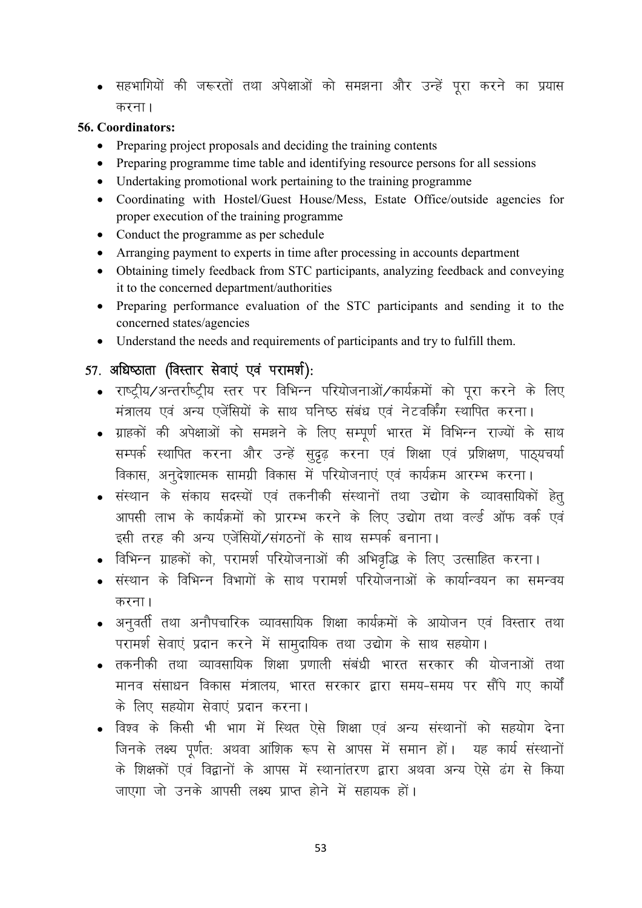• सहभागियों की जरूरतों तथा अपेक्षाओं को समझना और उन्हें पूरा करने का प्रयास करना।

#### 56. Coordinators:

- Preparing project proposals and deciding the training contents
- Preparing programme time table and identifying resource persons for all sessions
- Undertaking promotional work pertaining to the training programme
- Coordinating with Hostel/Guest House/Mess, Estate Office/outside agencies for proper execution of the training programme
- Conduct the programme as per schedule
- Arranging payment to experts in time after processing in accounts department
- Obtaining timely feedback from STC participants, analyzing feedback and conveying it to the concerned department/authorities
- Preparing performance evaluation of the STC participants and sending it to the concerned states/agencies
- Understand the needs and requirements of participants and try to fulfill them.

## 57. अधिष्ठाता (विस्तार सेवाएं एवं परामर्श):

- राष्ट्रीय/अन्तर्राष्ट्रीय स्तर पर विभिन्न परियोजनाओं/कार्यक्रमों को पूरा करने के लिए मंत्रालय एवं अन्य एजेंसियों के साथ घनिष्ठ संबंध एवं नेटवर्किंग स्थापित करना।
- ग्राहकों की अपेक्षाओं को समझने के लिए सम्पूर्ण भारत में विभिन्न राज्यों के साथ सम्पर्क स्थापित करना और उन्हें सुदृढ़ करना एवं शिक्षा एवं प्रशिक्षण, पाठ्यचर्या विकास, अनुदेशात्मक सामग्री विकास में परियोजनाएं एवं कार्यक्रम आरम्भ करना।
- संस्थान के संकाय सदस्यों एवं तकनीकी संस्थानों तथा उद्योग के व्यावसायिकों हेत् आपसी लाभ के कार्यक्रमों को प्रारम्भ करने के लिए उद्योग तथा वर्ल्ड ऑफ वर्क एवं इसी तरह की अन्य एजेंसियों/संगठनों के साथ सम्पर्क बनाना।
- विभिन्न ग्राहकों को, परामर्श परियोजनाओं की अभिवृद्धि के लिए उत्साहित करना।
- संस्थान के विभिन्न विभागों के साथ परामर्श परियोजनाओं के कार्यान्वयन का समन्वय करना।
- अनवर्ती तथा अनौपचारिक व्यावसायिक शिक्षा कार्यक्रमों के आयोजन एवं विस्तार तथा परामर्श सेवाएं प्रदान करने में सामुदायिक तथा उद्योग के साथ सहयोग।
- तकनीकी तथा व्यावसायिक शिक्षा प्रणाली संबंधी भारत सरकार की योजनाओं तथा मानव संसाधन विकास मंत्रालय, भारत सरकार द्वारा समय-समय पर सौंपे गए कार्यों के लिए सहयोग सेवाएं प्रदान करना।
- विश्व के किसी भी भाग में स्थित ऐसे शिक्षा एवं अन्य संस्थानों को सहयोग देना जिनके लक्ष्य पूर्णत: अथवा आंशिक रूप से आपस में समान हों। यह कार्य संस्थानों के शिक्षकों एवं विद्वानों के आपस में स्थानांतरण द्वारा अथवा अन्य ऐसे ढंग से किया जाएगा जो उनके आपसी लक्ष्य प्राप्त होने में सहायक हों।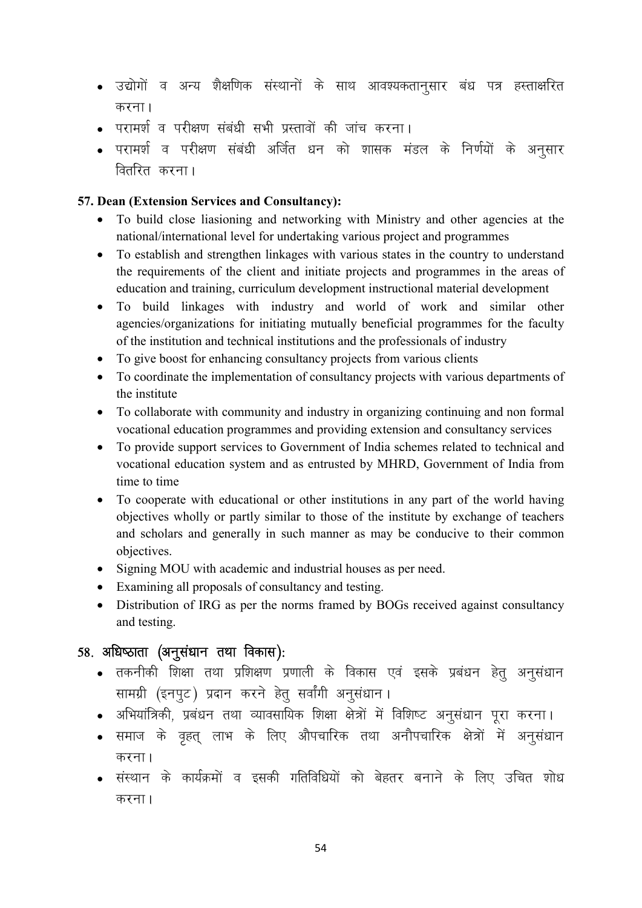- उद्योगों व अन्य शैक्षणिक संस्थानों के साथ आवश्यकतानूसार बंध पत्र हस्ताक्षरित करना $<sub>1</sub>$ </sub>
- परामर्श व परीक्षण संबंधी सभी प्रस्तावों की जांच करना।
- परामर्श व परीक्षण संबंधी अर्जित धन को शासक मंडल के निर्णयों के अनुसार वितरित करना।

#### 57. Dean (Extension Services and Consultancy):

- To build close liasioning and networking with Ministry and other agencies at the national/international level for undertaking various project and programmes
- To establish and strengthen linkages with various states in the country to understand the requirements of the client and initiate projects and programmes in the areas of education and training, curriculum development instructional material development
- To build linkages with industry and world of work and similar other agencies/organizations for initiating mutually beneficial programmes for the faculty of the institution and technical institutions and the professionals of industry
- To give boost for enhancing consultancy projects from various clients
- To coordinate the implementation of consultancy projects with various departments of the institute
- To collaborate with community and industry in organizing continuing and non formal vocational education programmes and providing extension and consultancy services
- To provide support services to Government of India schemes related to technical and vocational education system and as entrusted by MHRD, Government of India from time to time
- To cooperate with educational or other institutions in any part of the world having objectives wholly or partly similar to those of the institute by exchange of teachers and scholars and generally in such manner as may be conducive to their common objectives.
- Signing MOU with academic and industrial houses as per need.
- Examining all proposals of consultancy and testing.
- Distribution of IRG as per the norms framed by BOGs received against consultancy and testing.

## $58.$  अधिष्ठाता (अनुसंधान तथा विकास):

- तकनीकी शिक्षा तथा प्रशिक्षण प्रणाली के विकास एवं इसके प्रबंधन हेत अनसंधान सामग्री (इनपूट) प्रदान करने हेतू सर्वांगी अनूसंधान।
- अभियांत्रिकी, प्रबंधन तथा व्यावसायिक शिक्षा क्षेत्रों में विशिष्ट अनसंधान परा करना।
- समाज के वृहत् लाभ के लिए औपचारिक तथा अनौपचारिक क्षेत्रों में अनुसंधान करना।
- संस्थान के कार्यक्रमों व इसकी गतिविधियों को बेहतर बनाने के लिए उचित शोध करना।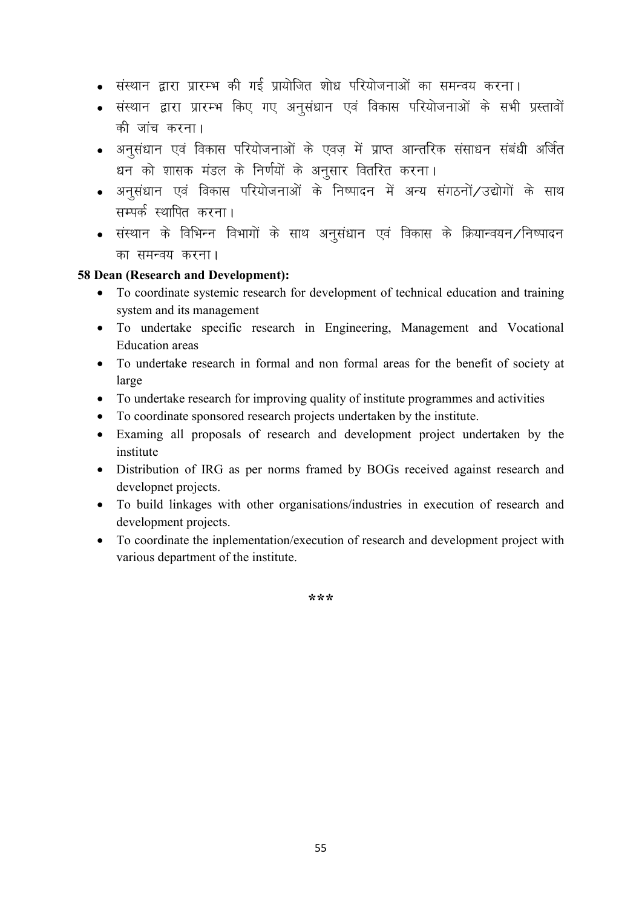- संस्थान द्वारा प्रारम्भ की गई प्रायोजित शोध परियोजनाओं का समन्वय करना।
- संस्थान द्वारा प्रारम्भ किए गए अनुसंधान एवं विकास परियोजनाओं के सभी प्रस्तावों की जांच करना।
- अनुसंधान एवं विकास परियोजनाओं के एवज़ में प्राप्त आन्तरिक संसाधन संबंधी अर्जित धन को शासक मंडल के निर्णयों के अनुसार वितरित करना।
- अनूसंधान एवं विकास परियोजनाओं के निष्पादन में अन्य संगठनों/उद्योगों के साथ सम्पर्क स्थापित करना।
- संस्थान के विभिन्न विभागों के साथ अनसंधान एवं विकास के क्रियान्वयन ∕निष्पादन का समन्वय करना।

#### 58 Dean (Research and Development):

- To coordinate systemic research for development of technical education and training system and its management
- To undertake specific research in Engineering, Management and Vocational Education areas
- To undertake research in formal and non formal areas for the benefit of society at large
- To undertake research for improving quality of institute programmes and activities
- To coordinate sponsored research projects undertaken by the institute.
- Examing all proposals of research and development project undertaken by the institute
- Distribution of IRG as per norms framed by BOGs received against research and developnet projects.
- To build linkages with other organisations/industries in execution of research and development projects.
- To coordinate the inplementation/execution of research and development project with various department of the institute.

\*\*\*